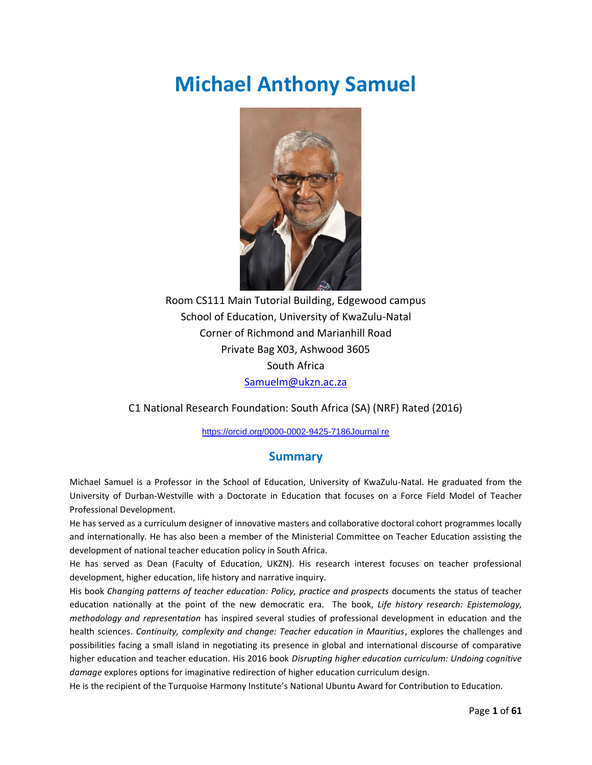# **Michael Anthony Samuel**



Room CS111 Main Tutorial Building, Edgewood campus School of Education, University of KwaZulu-Natal Corner of Richmond and Marianhill Road Private Bag X03, Ashwood 3605 South Africa [Samuelm@ukzn.ac.za](mailto:Samuelm@ukzn.ac.za)

C1 National Research Foundation: South Africa (SA) (NRF) Rated (2016)

<https://orcid.org/0000-0002-9425-7186Journal> re

### **Summary**

Michael Samuel is a Professor in the School of Education, University of KwaZulu-Natal. He graduated from the University of Durban-Westville with a Doctorate in Education that focuses on a Force Field Model of Teacher Professional Development.

He has served as a curriculum designer of innovative masters and collaborative doctoral cohort programmes locally and internationally. He has also been a member of the Ministerial Committee on Teacher Education assisting the development of national teacher education policy in South Africa.

He has served as Dean (Faculty of Education, UKZN). His research interest focuses on teacher professional development, higher education, life history and narrative inquiry.

His book *Changing patterns of teacher education: Policy, practice and prospects* documents the status of teacher education nationally at the point of the new democratic era. The book, *Life history research: Epistemology, methodology and representation* has inspired several studies of professional development in education and the health sciences. *Continuity, complexity and change: Teacher education in Mauritius*, explores the challenges and possibilities facing a small island in negotiating its presence in global and international discourse of comparative higher education and teacher education. His 2016 book *Disrupting higher education curriculum: Undoing cognitive damage* explores options for imaginative redirection of higher education curriculum design.

He is the recipient of the Turquoise Harmony Institute's National Ubuntu Award for Contribution to Education.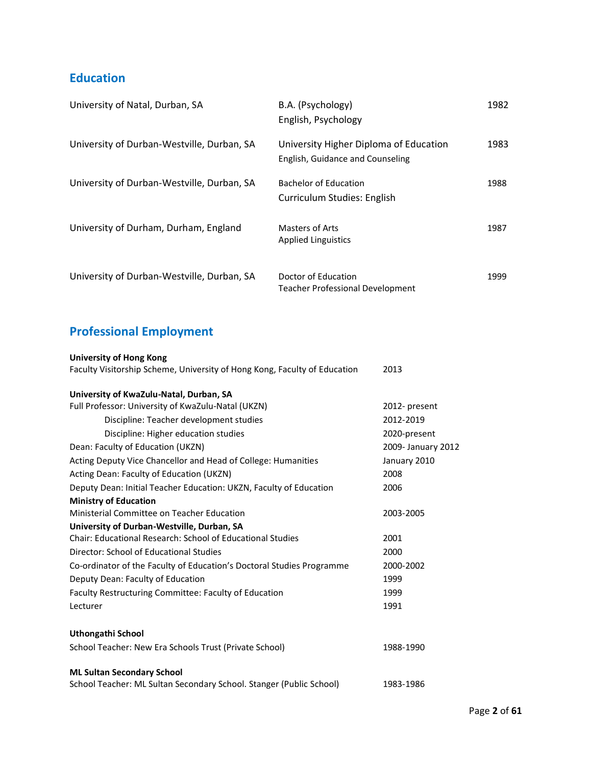### **Education**

| University of Natal, Durban, SA            | B.A. (Psychology)<br>English, Psychology                                   | 1982 |
|--------------------------------------------|----------------------------------------------------------------------------|------|
| University of Durban-Westville, Durban, SA | University Higher Diploma of Education<br>English, Guidance and Counseling | 1983 |
| University of Durban-Westville, Durban, SA | <b>Bachelor of Education</b><br>Curriculum Studies: English                | 1988 |
| University of Durham, Durham, England      | <b>Masters of Arts</b><br><b>Applied Linguistics</b>                       | 1987 |
| University of Durban-Westville, Durban, SA | Doctor of Education<br><b>Teacher Professional Development</b>             | 1999 |

## **Professional Employment**

| <b>University of Hong Kong</b><br>Faculty Visitorship Scheme, University of Hong Kong, Faculty of Education | 2013               |
|-------------------------------------------------------------------------------------------------------------|--------------------|
|                                                                                                             |                    |
| University of KwaZulu-Natal, Durban, SA                                                                     |                    |
| Full Professor: University of KwaZulu-Natal (UKZN)                                                          | 2012- present      |
| Discipline: Teacher development studies                                                                     | 2012-2019          |
| Discipline: Higher education studies                                                                        | 2020-present       |
| Dean: Faculty of Education (UKZN)                                                                           | 2009- January 2012 |
| Acting Deputy Vice Chancellor and Head of College: Humanities                                               | January 2010       |
| Acting Dean: Faculty of Education (UKZN)                                                                    | 2008               |
| Deputy Dean: Initial Teacher Education: UKZN, Faculty of Education                                          | 2006               |
| <b>Ministry of Education</b>                                                                                |                    |
| Ministerial Committee on Teacher Education                                                                  | 2003-2005          |
| University of Durban-Westville, Durban, SA                                                                  |                    |
| Chair: Educational Research: School of Educational Studies                                                  | 2001               |
| Director: School of Educational Studies                                                                     | 2000               |
| Co-ordinator of the Faculty of Education's Doctoral Studies Programme                                       | 2000-2002          |
| Deputy Dean: Faculty of Education                                                                           | 1999               |
| Faculty Restructuring Committee: Faculty of Education                                                       | 1999               |
| Lecturer                                                                                                    | 1991               |
| Uthongathi School                                                                                           |                    |
| School Teacher: New Era Schools Trust (Private School)                                                      | 1988-1990          |
|                                                                                                             |                    |
| <b>ML Sultan Secondary School</b>                                                                           |                    |
| School Teacher: ML Sultan Secondary School. Stanger (Public School)                                         | 1983-1986          |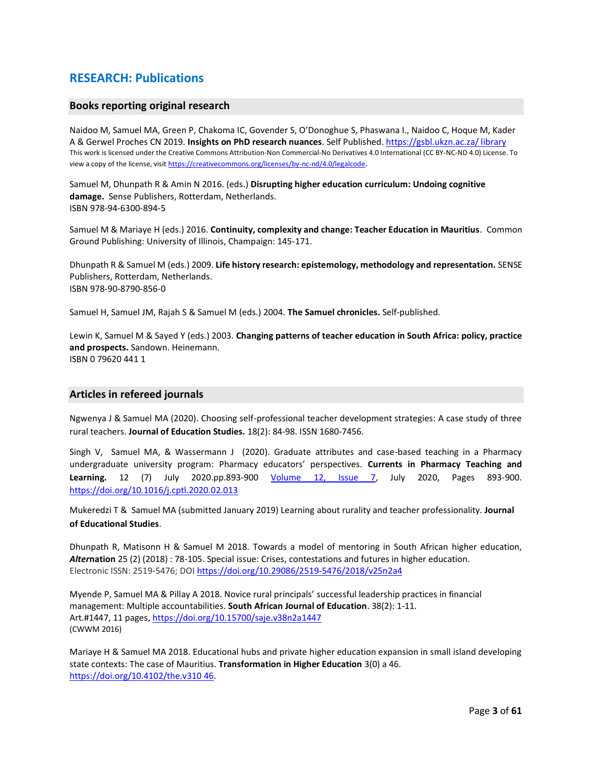### **RESEARCH: Publications**

#### **Books reporting original research**

Naidoo M, Samuel MA, Green P, Chakoma IC, Govender S, O'Donoghue S, Phaswana I., Naidoo C, Hoque M, Kader A & Gerwel Proches CN 2019. **Insights on PhD research nuances**. Self Published. [https://gsbl.ukzn.ac.za/ library](https://gsbl.ukzn.ac.za/%20library) This work is licensed under the Creative Commons Attribution-Non Commercial-No Derivatives 4.0 International (CC BY-NC-ND 4.0) License. To view a copy of the license, visi[t https://creativecommons.org/licenses/by-nc-nd/4.0/legalcode](https://creativecommons.org/licenses/by-nc-nd/4.0/legalcode).

Samuel M, Dhunpath R & Amin N 2016. (eds.) **Disrupting higher education curriculum: Undoing cognitive damage.** Sense Publishers, Rotterdam, Netherlands. ISBN 978-94-6300-894-5

Samuel M & Mariaye H (eds.) 2016. **Continuity, complexity and change: Teacher Education in Mauritius**. Common Ground Publishing: University of Illinois, Champaign: 145-171.

Dhunpath R & Samuel M (eds.) 2009. **Life history research: epistemology, methodology and representation.** SENSE Publishers, Rotterdam, Netherlands. ISBN 978-90-8790-856-0

Samuel H, Samuel JM, Rajah S & Samuel M (eds.) 2004. **The Samuel chronicles.** Self-published.

Lewin K, Samuel M & Sayed Y (eds.) 2003. **Changing patterns of teacher education in South Africa: policy, practice and prospects.** Sandown. Heinemann. ISBN 0 79620 441 1

#### **Articles in refereed journals**

Ngwenya J & Samuel MA (2020). Choosing self-professional teacher development strategies: A case study of three rural teachers. **Journal of Education Studies.** 18(2): 84-98. ISSN 1680-7456.

Singh V, Samuel MA, & Wassermann J (2020). Graduate attributes and case-based teaching in a Pharmacy undergraduate university program: Pharmacy educators' perspectives. **Currents in Pharmacy Teaching and Learning.** 12 (7) July 2020.pp.893-900 [Volume 12, Issue 7,](https://www.sciencedirect.com/science/journal/18771297/12/7) July 2020, Pages 893-900. <https://doi.org/10.1016/j.cptl.2020.02.013>

Mukeredzi T & Samuel MA (submitted January 2019) Learning about rurality and teacher professionality. **Journal of Educational Studies**.

Dhunpath R, Matisonn H & Samuel M 2018. Towards a model of mentoring in South African higher education, *Alter***nation** 25 (2) (2018) : 78-105. Special issue: Crises, contestations and futures in higher education. Electronic ISSN: 2519-5476; DOI <https://doi.org/10.29086/2519-5476/2018/v25n2a4>

Myende P, Samuel MA & Pillay A 2018. Novice rural principals' successful leadership practices in financial management: Multiple accountabilities. **South African Journal of Education**. 38(2): 1-11. Art.#1447, 11 pages,<https://doi.org/10.15700/saje.v38n2a1447> (CWWM 2016)

Mariaye H & Samuel MA 2018. Educational hubs and private higher education expansion in small island developing state contexts: The case of Mauritius. **Transformation in Higher Education** 3(0) a 46. [https://doi.org/10.4102/the.v310 46.](https://doi.org/10.4102/the.v310%2046)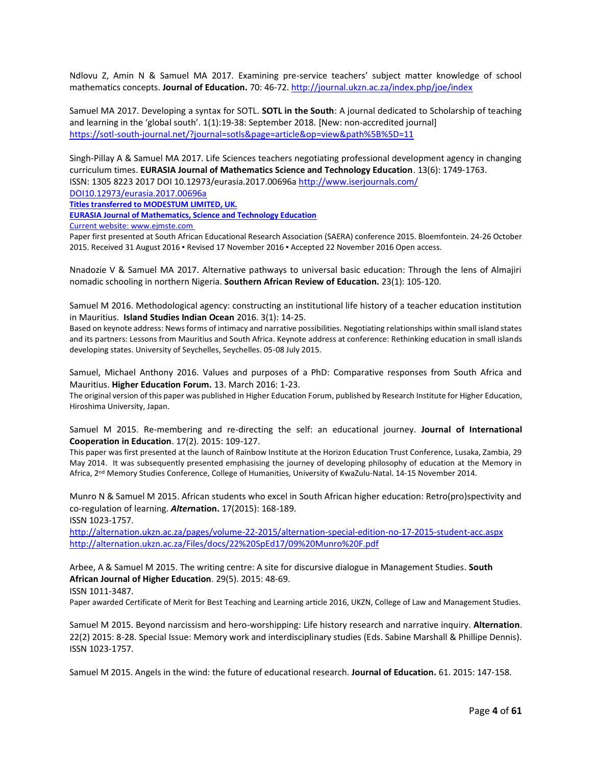Ndlovu Z, Amin N & Samuel MA 2017. Examining pre-service teachers' subject matter knowledge of school mathematics concepts. **Journal of Education.** 70: 46-72[. http://journal.ukzn.ac.za/index.php/joe/index](http://journal.ukzn.ac.za/index.php/joe/index)

Samuel MA 2017. Developing a syntax for SOTL. **SOTL in the South**: A journal dedicated to Scholarship of teaching and learning in the 'global south'. 1(1):19-38: September 2018. [New: non-accredited journal] <https://sotl-south-journal.net/?journal=sotls&page=article&op=view&path%5B%5D=11>

Singh-Pillay A & Samuel MA 2017. Life Sciences teachers negotiating professional development agency in changing curriculum times. **EURASIA Journal of Mathematics Science and Technology Education**. 13(6): 1749-1763. ISSN: 1305 8223 2017 DOI 10.12973/eurasia.2017.00696a<http://www.iserjournals.com/>

DOI10.12973/eurasia.2017.00696a

**Titles transferred to MODESTUM LIMITED, UK.**

**EURASIA Journal of Mathematics, Science and Technology Education**

Current website[: www.ejmste.com](http://www.ejmste.com/)

Paper first presented at South African Educational Research Association (SAERA) conference 2015. Bloemfontein. 24-26 October 2015. Received 31 August 2016 ▪ Revised 17 November 2016 ▪ Accepted 22 November 2016 Open access.

Nnadozie V & Samuel MA 2017. Alternative pathways to universal basic education: Through the lens of Almajiri nomadic schooling in northern Nigeria. **Southern African Review of Education.** 23(1): 105-120.

Samuel M 2016. Methodological agency: constructing an institutional life history of a teacher education institution in Mauritius. **Island Studies Indian Ocean** 2016. 3(1): 14-25.

Based on keynote address: News forms of intimacy and narrative possibilities. Negotiating relationships within small island states and its partners: Lessons from Mauritius and South Africa. Keynote address at conference: Rethinking education in small islands developing states. University of Seychelles, Seychelles. 05-08 July 2015.

Samuel, Michael Anthony 2016. Values and purposes of a PhD: Comparative responses from South Africa and Mauritius. **Higher Education Forum.** 13. March 2016: 1-23.

The original version of this paper was published in Higher Education Forum, published by Research Institute for Higher Education, Hiroshima University, Japan.

Samuel M 2015. Re-membering and re-directing the self: an educational journey. **Journal of International Cooperation in Education**. 17(2). 2015: 109-127.

This paper was first presented at the launch of Rainbow Institute at the Horizon Education Trust Conference, Lusaka, Zambia, 29 May 2014. It was subsequently presented emphasising the journey of developing philosophy of education at the Memory in Africa, 2<sup>nd</sup> Memory Studies Conference, College of Humanities, University of KwaZulu-Natal. 14-15 November 2014.

Munro N & Samuel M 2015. African students who excel in South African higher education: Retro(pro)spectivity and co-regulation of learning. *Alter***nation.** 17(2015): 168-189.

ISSN 1023-1757.

<http://alternation.ukzn.ac.za/pages/volume-22-2015/alternation-special-edition-no-17-2015-student-acc.aspx> <http://alternation.ukzn.ac.za/Files/docs/22%20SpEd17/09%20Munro%20F.pdf>

Arbee, A & Samuel M 2015. The writing centre: A site for discursive dialogue in Management Studies. **South African Journal of Higher Education**. 29(5). 2015: 48-69. ISSN 1011-3487.

Paper awarded Certificate of Merit for Best Teaching and Learning article 2016, UKZN, College of Law and Management Studies.

Samuel M 2015. Beyond narcissism and hero-worshipping: Life history research and narrative inquiry. **Alternation**. 22(2) 2015: 8-28. Special Issue: Memory work and interdisciplinary studies (Eds. Sabine Marshall & Phillipe Dennis). ISSN 1023-1757.

Samuel M 2015. Angels in the wind: the future of educational research. **Journal of Education.** 61. 2015: 147-158.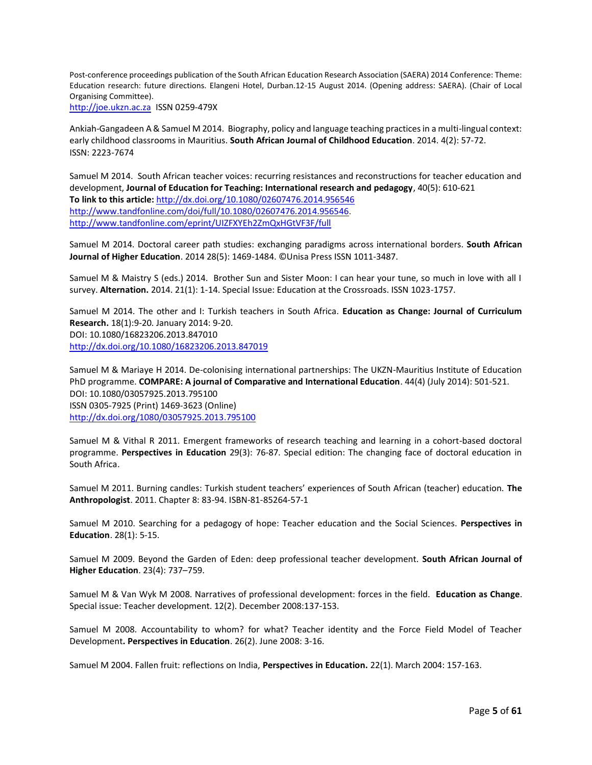Post-conference proceedings publication of the South African Education Research Association (SAERA) 2014 Conference: Theme: Education research: future directions. Elangeni Hotel, Durban.12-15 August 2014. (Opening address: SAERA). (Chair of Local Organising Committee).

[http://joe.ukzn.ac.za](http://joe.ukzn.ac.za/) ISSN 0259-479X

Ankiah-Gangadeen A & Samuel M 2014. Biography, policy and language teaching practices in a multi-lingual context: early childhood classrooms in Mauritius. **South African Journal of Childhood Education**. 2014. 4(2): 57-72. ISSN: 2223-7674

Samuel M 2014. South African teacher voices: recurring resistances and reconstructions for teacher education and development, **Journal of Education for Teaching: International research and pedagogy**, 40(5): 610-621 **To link to this article:** <http://dx.doi.org/10.1080/02607476.2014.956546> [http://www.tandfonline.com/doi/full/10.1080/02607476.2014.956546.](http://www.tandfonline.com/doi/full/10.1080/02607476.2014.956546) <http://www.tandfonline.com/eprint/UIZFXYEh2ZmQxHGtVF3F/full>

Samuel M 2014. Doctoral career path studies: exchanging paradigms across international borders. **South African Journal of Higher Education**. 2014 28(5): 1469-1484. ©Unisa Press ISSN 1011-3487.

Samuel M & Maistry S (eds.) 2014. Brother Sun and Sister Moon: I can hear your tune, so much in love with all I survey. **Alternation.** 2014. 21(1): 1-14. Special Issue: Education at the Crossroads. ISSN 1023-1757.

Samuel M 2014. The other and I: Turkish teachers in South Africa. **Education as Change: Journal of Curriculum Research.** 18(1):9-20. January 2014: 9-20. DOI: 10.1080/16823206.2013.847010 <http://dx.doi.org/10.1080/16823206.2013.847019>

Samuel M & Mariaye H 2014. De-colonising international partnerships: The UKZN-Mauritius Institute of Education PhD programme. **COMPARE: A journal of Comparative and International Education**. 44(4) (July 2014): 501-521. DOI: 10.1080/03057925.2013.795100 ISSN 0305-7925 (Print) 1469-3623 (Online) <http://dx.doi.org/1080/03057925.2013.795100>

Samuel M & Vithal R 2011. Emergent frameworks of research teaching and learning in a cohort-based doctoral programme. **Perspectives in Education** 29(3): 76-87. Special edition: The changing face of doctoral education in South Africa.

Samuel M 2011. Burning candles: Turkish student teachers' experiences of South African (teacher) education. **The Anthropologist**. 2011. Chapter 8: 83-94. ISBN-81-85264-57-1

Samuel M 2010. Searching for a pedagogy of hope: Teacher education and the Social Sciences. **Perspectives in Education**. 28(1): 5-15.

Samuel M 2009. Beyond the Garden of Eden: deep professional teacher development. **South African Journal of Higher Education**. 23(4): 737–759.

Samuel M & Van Wyk M 2008. Narratives of professional development: forces in the field. **Education as Change**. Special issue: Teacher development. 12(2). December 2008:137-153.

Samuel M 2008. Accountability to whom? for what? Teacher identity and the Force Field Model of Teacher Development**. Perspectives in Education**. 26(2). June 2008: 3-16.

Samuel M 2004. Fallen fruit: reflections on India, **Perspectives in Education.** 22(1). March 2004: 157-163.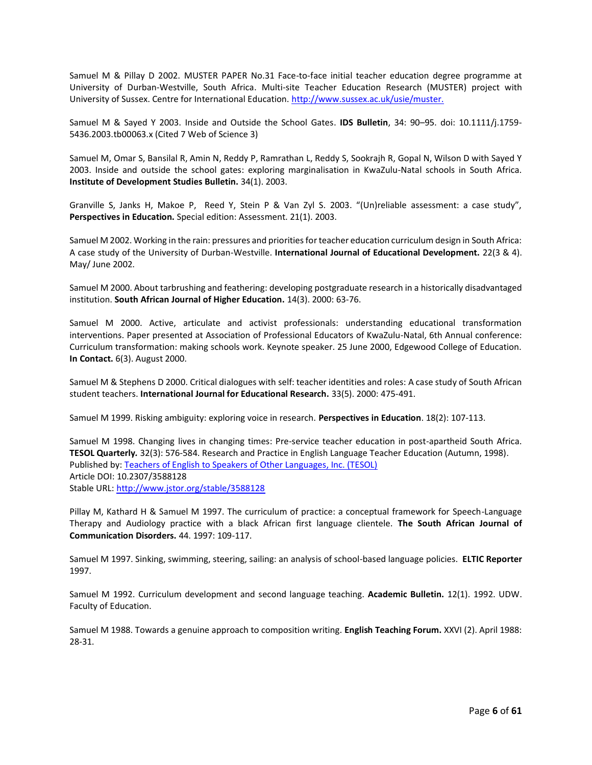Samuel M & Pillay D 2002. MUSTER PAPER No.31 Face-to-face initial teacher education degree programme at University of Durban-Westville, South Africa. Multi-site Teacher Education Research (MUSTER) project with University of Sussex. Centre for International Education. [http://www.sussex.ac.uk/usie/muster.](http://www.sussex.ac.uk/usie/muster)

Samuel M & Sayed Y 2003. Inside and Outside the School Gates. **IDS Bulletin**, 34: 90–95. doi: 10.1111/j.1759- 5436.2003.tb00063.x (Cited 7 Web of Science 3)

Samuel M, Omar S, Bansilal R, Amin N, Reddy P, Ramrathan L, Reddy S, Sookrajh R, Gopal N, Wilson D with Sayed Y 2003. Inside and outside the school gates: exploring marginalisation in KwaZulu-Natal schools in South Africa. **Institute of Development Studies Bulletin.** 34(1). 2003.

Granville S, Janks H, Makoe P, Reed Y, Stein P & Van Zyl S. 2003. "(Un)reliable assessment: a case study", **Perspectives in Education.** Special edition: Assessment. 21(1). 2003.

Samuel M 2002. Working in the rain: pressures and priorities for teacher education curriculum design in South Africa: A case study of the University of Durban-Westville. **International Journal of Educational Development.** 22(3 & 4). May/ June 2002.

Samuel M 2000. About tarbrushing and feathering: developing postgraduate research in a historically disadvantaged institution. **South African Journal of Higher Education.** 14(3). 2000: 63-76.

Samuel M 2000. Active, articulate and activist professionals: understanding educational transformation interventions. Paper presented at Association of Professional Educators of KwaZulu-Natal, 6th Annual conference: Curriculum transformation: making schools work. Keynote speaker. 25 June 2000, Edgewood College of Education. **In Contact.** 6(3). August 2000.

Samuel M & Stephens D 2000. Critical dialogues with self: teacher identities and roles: A case study of South African student teachers. **International Journal for Educational Research.** 33(5). 2000: 475-491.

Samuel M 1999. Risking ambiguity: exploring voice in research. **Perspectives in Education**. 18(2): 107-113.

Samuel M 1998. Changing lives in changing times: Pre-service teacher education in post-apartheid South Africa. **TESOL Quarterly***.* 32(3): 576-584. Research and Practice in English Language Teacher Education (Autumn, 1998). Published by[: Teachers of English to Speakers of Other Languages, Inc. \(TESOL\)](http://www.jstor.org/action/showPublisher?publisherCode=tesol) Article DOI: 10.2307/3588128 Stable URL[: http://www.jstor.org/stable/3588128](http://www.jstor.org/stable/3588128)

Pillay M, Kathard H & Samuel M 1997. The curriculum of practice: a conceptual framework for Speech-Language Therapy and Audiology practice with a black African first language clientele. **The South African Journal of Communication Disorders.** 44. 1997: 109-117.

Samuel M 1997. Sinking, swimming, steering, sailing: an analysis of school-based language policies. **ELTIC Reporter** 1997.

Samuel M 1992. Curriculum development and second language teaching. **Academic Bulletin.** 12(1). 1992. UDW. Faculty of Education.

Samuel M 1988. Towards a genuine approach to composition writing. **English Teaching Forum.** XXVI (2). April 1988: 28-31.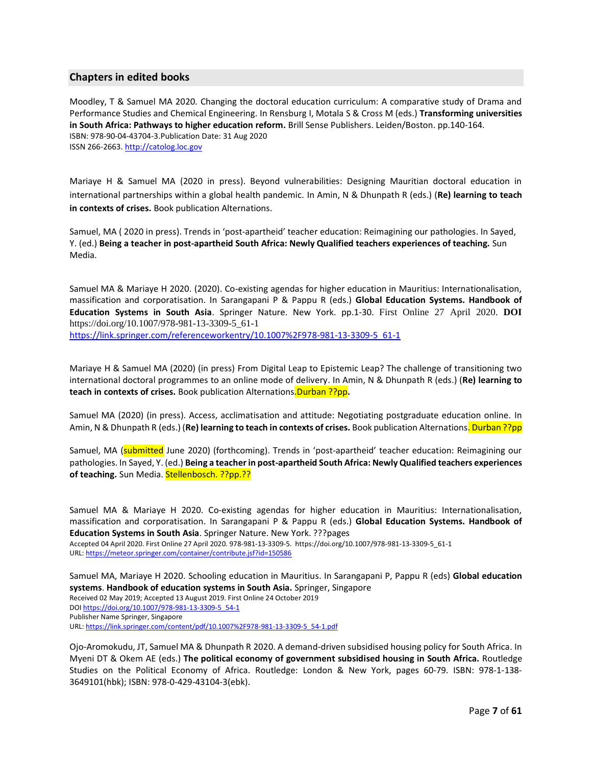#### **Chapters in edited books**

Moodley, T & Samuel MA 2020. Changing the doctoral education curriculum: A comparative study of Drama and Performance Studies and Chemical Engineering. In Rensburg I, Motala S & Cross M (eds.) **Transforming universities in South Africa: Pathways to higher education reform.** Brill Sense Publishers. Leiden/Boston. pp.140-164. ISBN: 978-90-04-43704-3.Publication Date: 31 Aug 2020 ISSN 266-2663[. http://catolog.loc.gov](http://catolog.loc.gov/)

Mariaye H & Samuel MA (2020 in press). Beyond vulnerabilities: Designing Mauritian doctoral education in international partnerships within a global health pandemic. In Amin, N & Dhunpath R (eds.) (**Re) learning to teach in contexts of crises.** Book publication Alternations.

Samuel, MA ( 2020 in press). Trends in 'post-apartheid' teacher education: Reimagining our pathologies. In Sayed, Y. (ed.) **Being a teacher in post-apartheid South Africa: Newly Qualified teachers experiences of teaching.** Sun Media.

Samuel MA & Mariaye H 2020. (2020). Co-existing agendas for higher education in Mauritius: Internationalisation, massification and corporatisation. In Sarangapani P & Pappu R (eds.) **Global Education Systems. Handbook of Education Systems in South Asia**. Springer Nature. New York. pp.1-30. First Online 27 April 2020. **DOI** https://doi.org/10.1007/978-981-13-3309-5\_61-1 [https://link.springer.com/referenceworkentry/10.1007%2F978-981-13-3309-5\\_61-1](https://link.springer.com/referenceworkentry/10.1007%2F978-981-13-3309-5_61-1)

Mariaye H & Samuel MA (2020) (in press) From Digital Leap to Epistemic Leap? The challenge of transitioning two international doctoral programmes to an online mode of delivery. In Amin, N & Dhunpath R (eds.) (**Re) learning to teach in contexts of crises.** Book publication Alternations.Durban ??pp**.** 

Samuel MA (2020) (in press). Access, acclimatisation and attitude: Negotiating postgraduate education online. In Amin, N & Dhunpath R (eds.) (**Re) learning to teach in contexts of crises.** Book publication Alternations. Durban ??pp

Samuel, MA (submitted June 2020) (forthcoming). Trends in 'post-apartheid' teacher education: Reimagining our pathologies. In Sayed, Y. (ed.) **Being a teacher in post-apartheid South Africa: Newly Qualified teachers experiences**  of teaching. Sun Media. Stellenbosch. ??pp.??

Samuel MA & Mariaye H 2020. Co-existing agendas for higher education in Mauritius: Internationalisation, massification and corporatisation. In Sarangapani P & Pappu R (eds.) **Global Education Systems. Handbook of Education Systems in South Asia**. Springer Nature. New York. ???pages Accepted 04 April 2020. First Online 27 April 2020. 978-981-13-3309-5. https://doi.org/10.1007/978-981-13-3309-5\_61-1 URL:<https://meteor.springer.com/container/contribute.jsf?id=150586>

Samuel MA, Mariaye H 2020. Schooling education in Mauritius. In Sarangapani P, Pappu R (eds) **Global education systems**. **Handbook of education systems in South Asia.** Springer, Singapore Received 02 May 2019; Accepted 13 August 2019. First Online 24 October 2019 DO[I https://doi.org/10.1007/978-981-13-3309-5\\_54-1](https://doi.org/10.1007/978-981-13-3309-5_54-1) Publisher Name Springer, Singapore URL: [https://link.springer.com/content/pdf/10.1007%2F978-981-13-3309-5\\_54-1.pdf](https://link.springer.com/content/pdf/10.1007%2F978-981-13-3309-5_54-1.pdf)

Ojo-Aromokudu, JT, Samuel MA & Dhunpath R 2020. A demand-driven subsidised housing policy for South Africa. In Myeni DT & Okem AE (eds.) **The political economy of government subsidised housing in South Africa.** Routledge Studies on the Political Economy of Africa. Routledge: London & New York, pages 60-79. ISBN: 978-1-138- 3649101(hbk); ISBN: 978-0-429-43104-3(ebk).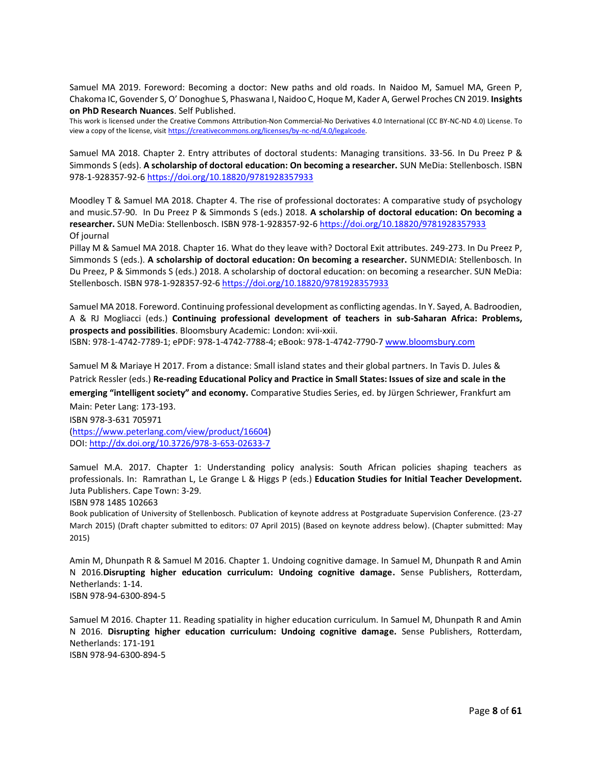Samuel MA 2019. Foreword: Becoming a doctor: New paths and old roads. In Naidoo M, Samuel MA, Green P, Chakoma IC, Govender S, O' Donoghue S, Phaswana I, Naidoo C, Hoque M, Kader A, Gerwel Proches CN 2019. **Insights on PhD Research Nuances**. Self Published.

This work is licensed under the Creative Commons Attribution-Non Commercial-No Derivatives 4.0 International (CC BY-NC-ND 4.0) License. To view a copy of the license, visi[t https://creativecommons.org/licenses/by-nc-nd/4.0/legalcode.](https://creativecommons.org/licenses/by-nc-nd/4.0/legalcode)

Samuel MA 2018. Chapter 2. Entry attributes of doctoral students: Managing transitions. 33-56. In Du Preez P & Simmonds S (eds). **A scholarship of doctoral education: On becoming a researcher.** SUN MeDia: Stellenbosch. ISBN 978-1-928357-92-[6 https://doi.org/10.18820/9781928357933](https://doi.org/10.18820/9781928357933)

Moodley T & Samuel MA 2018. Chapter 4. The rise of professional doctorates: A comparative study of psychology and music.57-90. In Du Preez P & Simmonds S (eds.) 2018. **A scholarship of doctoral education: On becoming a researcher.** SUN MeDia: Stellenbosch. ISBN 978-1-928357-92-[6 https://doi.org/10.18820/9781928357933](https://doi.org/10.18820/9781928357933) Of journal

Pillay M & Samuel MA 2018. Chapter 16. What do they leave with? Doctoral Exit attributes. 249-273. In Du Preez P, Simmonds S (eds.). **A scholarship of doctoral education: On becoming a researcher.** SUNMEDIA: Stellenbosch. In Du Preez, P & Simmonds S (eds.) 2018. A scholarship of doctoral education: on becoming a researcher. SUN MeDia: Stellenbosch. ISBN 978-1-928357-92-6<https://doi.org/10.18820/9781928357933>

Samuel MA 2018. Foreword. Continuing professional development as conflicting agendas. In Y. Sayed, A. Badroodien, A & RJ Mogliacci (eds.) **Continuing professional development of teachers in sub-Saharan Africa: Problems, prospects and possibilities**. Bloomsbury Academic: London: xvii-xxii.

ISBN: 978-1-4742-7789-1; ePDF: 978-1-4742-7788-4; eBook: 978-1-4742-7790-7 [www.bloomsbury.com](http://www.bloomsbury.com/)

Samuel M & Mariaye H 2017. From a distance: Small island states and their global partners. In Tavis D. Jules & Patrick Ressler (eds.) **Re-reading Educational Policy and Practice in Small States: Issues of size and scale in the emerging "intelligent society" and economy.** Comparative Studies Series, ed. by Jürgen Schriewer, Frankfurt am Main: Peter Lang: 173-193.

ISBN 978-3-631 705971 [\(https://www.peterlang.com/view/product/16604\)](https://www.peterlang.com/view/product/16604) DOI[: http://dx.doi.org/10.3726/978-3-653-02633-7](http://dx.doi.org/10.3726/978-3-653-02633-7)

Samuel M.A. 2017. Chapter 1: Understanding policy analysis: South African policies shaping teachers as professionals. In: Ramrathan L, Le Grange L & Higgs P (eds.) **Education Studies for Initial Teacher Development.**  Juta Publishers. Cape Town: 3-29.

ISBN 978 1485 102663

Book publication of University of Stellenbosch. Publication of keynote address at Postgraduate Supervision Conference. (23-27 March 2015) (Draft chapter submitted to editors: 07 April 2015) (Based on keynote address below). (Chapter submitted: May 2015)

Amin M, Dhunpath R & Samuel M 2016. Chapter 1. Undoing cognitive damage. In Samuel M, Dhunpath R and Amin N 2016.**Disrupting higher education curriculum: Undoing cognitive damage.** Sense Publishers, Rotterdam, Netherlands: 1-14. ISBN 978-94-6300-894-5

Samuel M 2016. Chapter 11. Reading spatiality in higher education curriculum. In Samuel M, Dhunpath R and Amin N 2016. **Disrupting higher education curriculum: Undoing cognitive damage.** Sense Publishers, Rotterdam, Netherlands: 171-191

ISBN 978-94-6300-894-5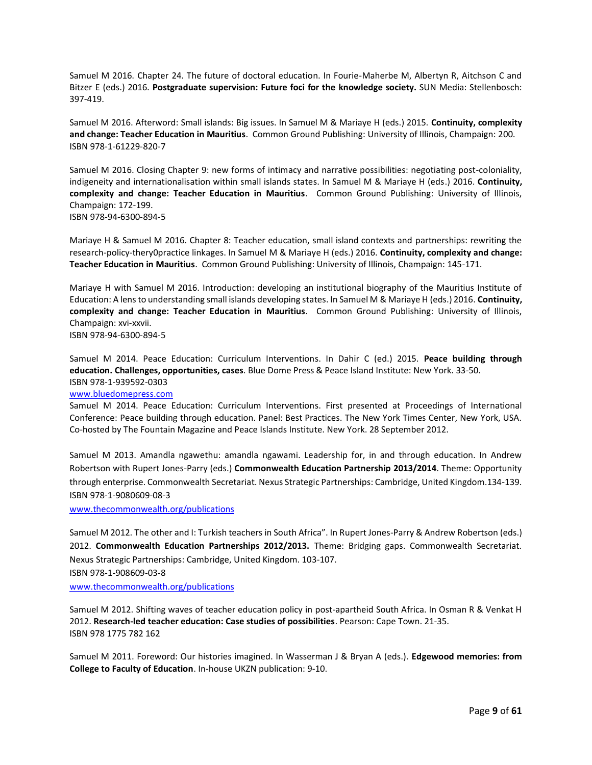Samuel M 2016. Chapter 24. The future of doctoral education. In Fourie-Maherbe M, Albertyn R, Aitchson C and Bitzer E (eds.) 2016. **Postgraduate supervision: Future foci for the knowledge society.** SUN Media: Stellenbosch: 397-419.

Samuel M 2016. Afterword: Small islands: Big issues. In Samuel M & Mariaye H (eds.) 2015. **Continuity, complexity and change: Teacher Education in Mauritius**. Common Ground Publishing: University of Illinois, Champaign: 200. ISBN 978-1-61229-820-7

Samuel M 2016. Closing Chapter 9: new forms of intimacy and narrative possibilities: negotiating post-coloniality, indigeneity and internationalisation within small islands states. In Samuel M & Mariaye H (eds.) 2016. **Continuity, complexity and change: Teacher Education in Mauritius**. Common Ground Publishing: University of Illinois, Champaign: 172-199. ISBN 978-94-6300-894-5

Mariaye H & Samuel M 2016. Chapter 8: Teacher education, small island contexts and partnerships: rewriting the research-policy-thery0practice linkages. In Samuel M & Mariaye H (eds.) 2016. **Continuity, complexity and change: Teacher Education in Mauritius**. Common Ground Publishing: University of Illinois, Champaign: 145-171.

Mariaye H with Samuel M 2016. Introduction: developing an institutional biography of the Mauritius Institute of Education: A lens to understanding small islands developing states. In Samuel M & Mariaye H (eds.) 2016. **Continuity, complexity and change: Teacher Education in Mauritius**. Common Ground Publishing: University of Illinois, Champaign: xvi-xxvii.

ISBN 978-94-6300-894-5

Samuel M 2014. Peace Education: Curriculum Interventions. In Dahir C (ed.) 2015. **Peace building through education. Challenges, opportunities, cases**. Blue Dome Press & Peace Island Institute: New York. 33-50. ISBN 978-1-939592-0303

#### [www.bluedomepress.com](http://www.bluedomepress.com/)

Samuel M 2014. Peace Education: Curriculum Interventions. First presented at Proceedings of International Conference: Peace building through education. Panel: Best Practices. The New York Times Center, New York, USA. Co-hosted by The Fountain Magazine and Peace Islands Institute. New York. 28 September 2012.

Samuel M 2013. Amandla ngawethu: amandla ngawami. Leadership for, in and through education. In Andrew Robertson with Rupert Jones-Parry (eds.) **Commonwealth Education Partnership 2013/2014**. Theme: Opportunity through enterprise. Commonwealth Secretariat. Nexus Strategic Partnerships: Cambridge, United Kingdom.134-139. ISBN 978-1-9080609-08-3

[www.thecommonwealth.org/publications](http://www.thecommonwealth.org/publications)

Samuel M 2012. The other and I: Turkish teachers in South Africa". In Rupert Jones-Parry & Andrew Robertson (eds.) 2012. **Commonwealth Education Partnerships 2012/2013.** Theme: Bridging gaps. Commonwealth Secretariat. Nexus Strategic Partnerships: Cambridge, United Kingdom. 103-107.

ISBN 978-1-908609-03-8

[www.thecommonwealth.org/publications](http://www.thecommonwealth.org/publications)

Samuel M 2012. Shifting waves of teacher education policy in post-apartheid South Africa. In Osman R & Venkat H 2012. **Research-led teacher education: Case studies of possibilities**. Pearson: Cape Town. 21-35. ISBN 978 1775 782 162

Samuel M 2011. Foreword: Our histories imagined. In Wasserman J & Bryan A (eds.). **Edgewood memories: from College to Faculty of Education**. In-house UKZN publication: 9-10.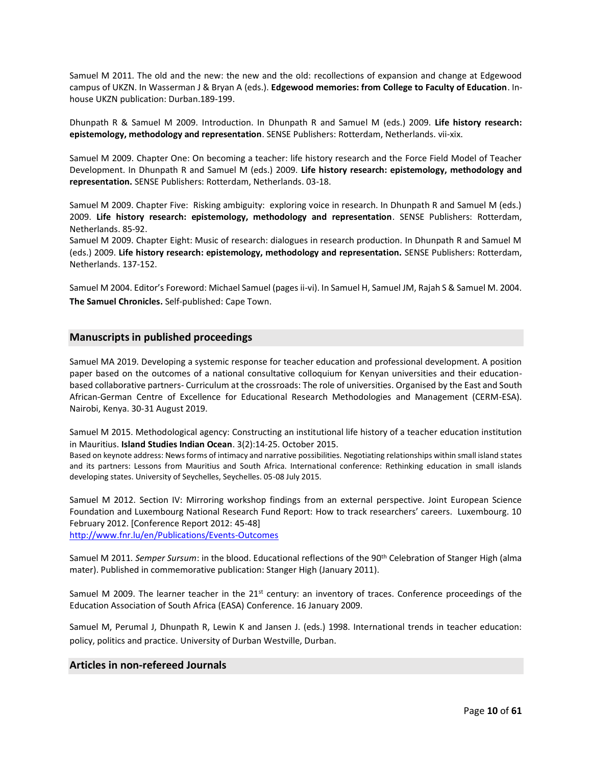Samuel M 2011. The old and the new: the new and the old: recollections of expansion and change at Edgewood campus of UKZN. In Wasserman J & Bryan A (eds.). **Edgewood memories: from College to Faculty of Education**. Inhouse UKZN publication: Durban.189-199.

Dhunpath R & Samuel M 2009. Introduction. In Dhunpath R and Samuel M (eds.) 2009. **Life history research: epistemology, methodology and representation**. SENSE Publishers: Rotterdam, Netherlands. vii-xix.

Samuel M 2009. Chapter One: On becoming a teacher: life history research and the Force Field Model of Teacher Development. In Dhunpath R and Samuel M (eds.) 2009. **Life history research: epistemology, methodology and representation.** SENSE Publishers: Rotterdam, Netherlands. 03-18.

Samuel M 2009. Chapter Five: Risking ambiguity: exploring voice in research. In Dhunpath R and Samuel M (eds.) 2009. **Life history research: epistemology, methodology and representation**. SENSE Publishers: Rotterdam, Netherlands. 85-92.

Samuel M 2009. Chapter Eight: Music of research: dialogues in research production. In Dhunpath R and Samuel M (eds.) 2009. **Life history research: epistemology, methodology and representation.** SENSE Publishers: Rotterdam, Netherlands. 137-152.

Samuel M 2004. Editor's Foreword: Michael Samuel (pages ii-vi). In Samuel H, Samuel JM, Rajah S & Samuel M. 2004. **The Samuel Chronicles.** Self-published: Cape Town.

#### **Manuscripts in published proceedings**

Samuel MA 2019. Developing a systemic response for teacher education and professional development. A position paper based on the outcomes of a national consultative colloquium for Kenyan universities and their educationbased collaborative partners- Curriculum at the crossroads: The role of universities. Organised by the East and South African-German Centre of Excellence for Educational Research Methodologies and Management (CERM-ESA). Nairobi, Kenya. 30-31 August 2019.

Samuel M 2015. Methodological agency: Constructing an institutional life history of a teacher education institution in Mauritius. **Island Studies Indian Ocean**. 3(2):14-25. October 2015.

Based on keynote address: News forms of intimacy and narrative possibilities. Negotiating relationships within small island states and its partners: Lessons from Mauritius and South Africa. International conference: Rethinking education in small islands developing states. University of Seychelles, Seychelles. 05-08 July 2015.

Samuel M 2012. Section IV: Mirroring workshop findings from an external perspective. Joint European Science Foundation and Luxembourg National Research Fund Report: How to track researchers' careers. Luxembourg. 10 February 2012. [Conference Report 2012: 45-48]

<http://www.fnr.lu/en/Publications/Events-Outcomes>

Samuel M 2011*. Semper Sursum*: in the blood. Educational reflections of the 90th Celebration of Stanger High (alma mater). Published in commemorative publication: Stanger High (January 2011).

Samuel M 2009. The learner teacher in the  $21^{st}$  century: an inventory of traces. Conference proceedings of the Education Association of South Africa (EASA) Conference. 16 January 2009.

Samuel M, Perumal J, Dhunpath R, Lewin K and Jansen J. (eds.) 1998. International trends in teacher education: policy, politics and practice. University of Durban Westville, Durban.

#### **Articles in non-refereed Journals**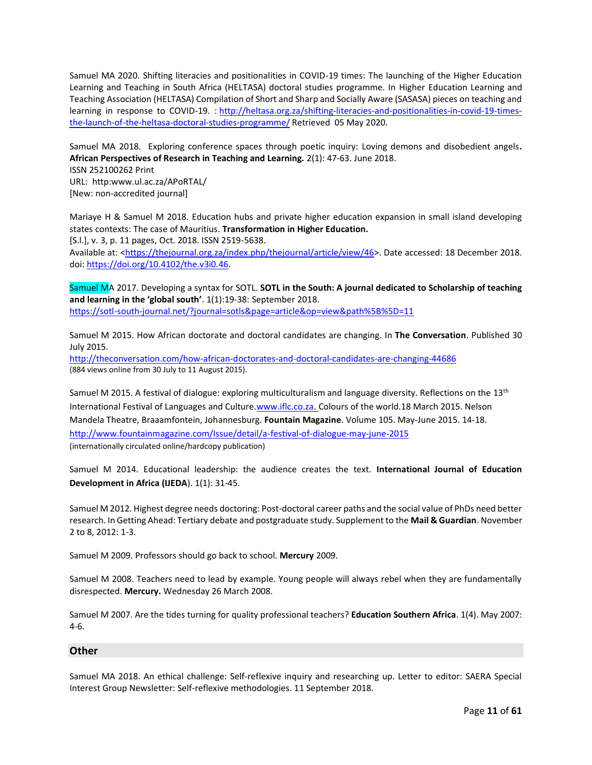Samuel MA 2020. Shifting literacies and positionalities in COVID-19 times: The launching of the Higher Education Learning and Teaching in South Africa (HELTASA) doctoral studies programme. In Higher Education Learning and Teaching Association (HELTASA) Compilation of Short and Sharp and Socially Aware (SASASA) pieces on teaching and learning in response to COVID-19. : [http://heltasa.org.za/shifting-literacies-and-positionalities-in-covid-19-times](https://protect-za.mimecast.com/s/EAPzC66VKkCoZDmLSpeusG?domain=heltasa.org.za)[the-launch-of-the-heltasa-doctoral-studies-programme/](https://protect-za.mimecast.com/s/EAPzC66VKkCoZDmLSpeusG?domain=heltasa.org.za) Retrieved 05 May 2020.

Samuel MA 2018. Exploring conference spaces through poetic inquiry: Loving demons and disobedient angels**. African Perspectives of Research in Teaching and Learning.** 2(1): 47-63. June 2018. ISSN 252100262 Print

URL: http:www.ul.ac.za/APoRTAL/ [New: non-accredited journal]

Mariaye H & Samuel M 2018. Education hubs and private higher education expansion in small island developing states contexts: The case of Mauritius. **Transformation in Higher Education.**

[S.l.], v. 3, p. 11 pages, Oct. 2018. ISSN 2519-5638.

Available at: [<https://thejournal.org.za/index.php/thejournal/article/view/46>](https://thejournal.org.za/index.php/thejournal/article/view/46). Date accessed: 18 December 2018. doi: [https://doi.org/10.4102/the.v3i0.46.](https://doi.org/10.4102/the.v3i0.46)

Samuel MA 2017. Developing a syntax for SOTL. **SOTL in the South: A journal dedicated to Scholarship of teaching and learning in the 'global south'**. 1(1):19-38: September 2018. <https://sotl-south-journal.net/?journal=sotls&page=article&op=view&path%5B%5D=11>

Samuel M 2015. How African doctorate and doctoral candidates are changing. In **The Conversation**. Published 30 July 2015.

<http://theconversation.com/how-african-doctorates-and-doctoral-candidates-are-changing-44686> (884 views online from 30 July to 11 August 2015).

Samuel M 2015. A festival of dialogue: exploring multiculturalism and language diversity. Reflections on the 13<sup>th</sup> International Festival of Languages and Culture[.www.iflc.co.za.](http://www.iflc.co.za/) Colours of the world.18 March 2015. Nelson Mandela Theatre, Braaamfontein, Johannesburg. **Fountain Magazine**. Volume 105. May-June 2015. 14-18. <http://www.fountainmagazine.com/Issue/detail/a-festival-of-dialogue-may-june-2015> (internationally circulated online/hardcopy publication)

Samuel M 2014. Educational leadership: the audience creates the text. **International Journal of Education Development in Africa (IJEDA**). 1(1): 31-45.

Samuel M 2012. Highest degree needs doctoring: Post-doctoral career paths and the social value of PhDs need better research. In Getting Ahead: Tertiary debate and postgraduate study. Supplement to the **Mail & Guardian**. November 2 to 8, 2012: 1-3.

Samuel M 2009. Professors should go back to school. **Mercury** 2009.

Samuel M 2008. Teachers need to lead by example. Young people will always rebel when they are fundamentally disrespected. **Mercury.** Wednesday 26 March 2008.

Samuel M 2007. Are the tides turning for quality professional teachers? **Education Southern Africa**. 1(4). May 2007: 4-6.

#### **Other**

Samuel MA 2018. An ethical challenge: Self-reflexive inquiry and researching up. Letter to editor: SAERA Special Interest Group Newsletter: Self-reflexive methodologies. 11 September 2018.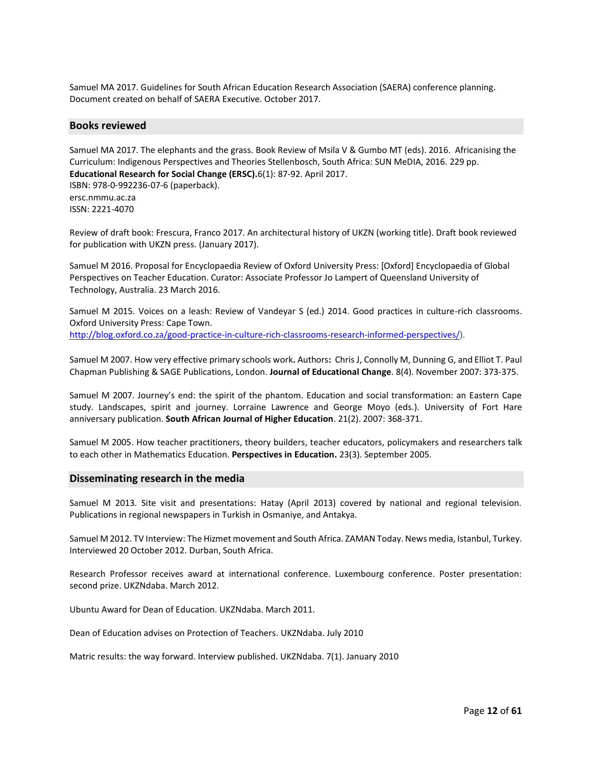Samuel MA 2017. Guidelines for South African Education Research Association (SAERA) conference planning. Document created on behalf of SAERA Executive. October 2017.

#### **Books reviewed**

Samuel MA 2017. The elephants and the grass. Book Review of Msila V & Gumbo MT (eds). 2016. Africanising the Curriculum: Indigenous Perspectives and Theories Stellenbosch, South Africa: SUN MeDIA, 2016. 229 pp. **Educational Research for Social Change (ERSC).**6(1): 87-92. April 2017. ISBN: 978-0-992236-07-6 (paperback). ersc.nmmu.ac.za ISSN: 2221-4070

Review of draft book: Frescura, Franco 2017. An architectural history of UKZN (working title). Draft book reviewed for publication with UKZN press. (January 2017).

Samuel M 2016. Proposal for Encyclopaedia Review of Oxford University Press: [Oxford] Encyclopaedia of Global Perspectives on Teacher Education. Curator: Associate Professor Jo Lampert of Queensland University of Technology, Australia. 23 March 2016.

Samuel M 2015. Voices on a leash: Review of Vandeyar S (ed.) 2014. Good practices in culture-rich classrooms. Oxford University Press: Cape Town. [http://blog.oxford.co.za/good-practice-in-culture-rich-classrooms-research-informed-perspectives/\)](http://blog.oxford.co.za/good-practice-in-culture-rich-classrooms-research-informed-perspectives/).

Samuel M 2007. How very effective primary schools work**.** Authors**:** Chris J, Connolly M, Dunning G, and Elliot T. Paul Chapman Publishing & SAGE Publications, London. **Journal of Educational Change**. 8(4). November 2007: 373-375.

Samuel M 2007. Journey's end: the spirit of the phantom. Education and social transformation: an Eastern Cape study. Landscapes, spirit and journey. Lorraine Lawrence and George Moyo (eds.). University of Fort Hare anniversary publication. **South African Journal of Higher Education**. 21(2). 2007: 368-371.

Samuel M 2005. How teacher practitioners, theory builders, teacher educators, policymakers and researchers talk to each other in Mathematics Education. **Perspectives in Education.** 23(3). September 2005.

#### **Disseminating research in the media**

Samuel M 2013. Site visit and presentations: Hatay (April 2013) covered by national and regional television. Publications in regional newspapers in Turkish in Osmaniye, and Antakya.

Samuel M 2012. TV Interview: The Hizmet movement and South Africa. ZAMAN Today. News media, Istanbul, Turkey. Interviewed 20 October 2012. Durban, South Africa.

Research Professor receives award at international conference. Luxembourg conference. Poster presentation: second prize. UKZNdaba. March 2012.

Ubuntu Award for Dean of Education. UKZNdaba. March 2011.

Dean of Education advises on Protection of Teachers. UKZNdaba. July 2010

Matric results: the way forward. Interview published. UKZNdaba. 7(1). January 2010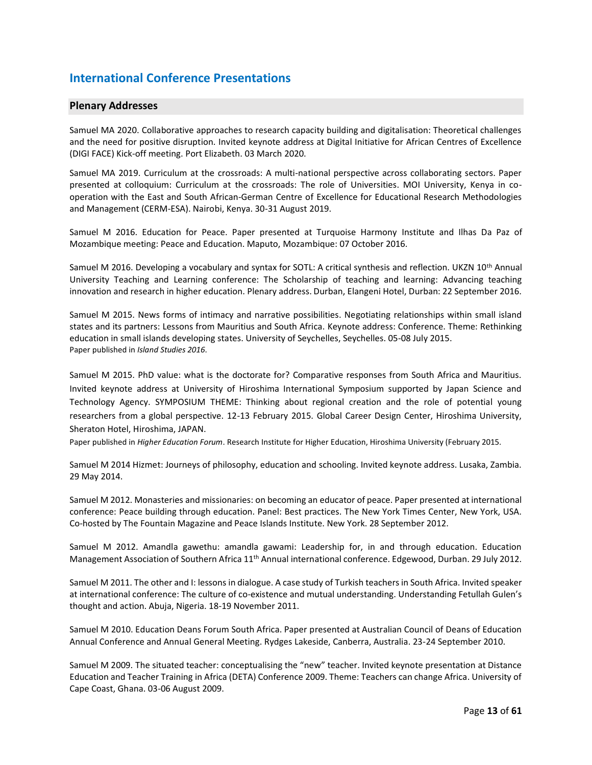### **International Conference Presentations**

#### **Plenary Addresses**

Samuel MA 2020. Collaborative approaches to research capacity building and digitalisation: Theoretical challenges and the need for positive disruption. Invited keynote address at Digital Initiative for African Centres of Excellence (DIGI FACE) Kick-off meeting. Port Elizabeth. 03 March 2020.

Samuel MA 2019. Curriculum at the crossroads: A multi-national perspective across collaborating sectors. Paper presented at colloquium: Curriculum at the crossroads: The role of Universities. MOI University, Kenya in cooperation with the East and South African-German Centre of Excellence for Educational Research Methodologies and Management (CERM-ESA). Nairobi, Kenya. 30-31 August 2019.

Samuel M 2016. Education for Peace. Paper presented at Turquoise Harmony Institute and Ilhas Da Paz of Mozambique meeting: Peace and Education. Maputo, Mozambique: 07 October 2016.

Samuel M 2016. Developing a vocabulary and syntax for SOTL: A critical synthesis and reflection. UKZN 10<sup>th</sup> Annual University Teaching and Learning conference: The Scholarship of teaching and learning: Advancing teaching innovation and research in higher education. Plenary address. Durban, Elangeni Hotel, Durban: 22 September 2016.

Samuel M 2015. News forms of intimacy and narrative possibilities. Negotiating relationships within small island states and its partners: Lessons from Mauritius and South Africa. Keynote address: Conference. Theme: Rethinking education in small islands developing states. University of Seychelles, Seychelles. 05-08 July 2015. Paper published in *Island Studies 2016*.

Samuel M 2015. PhD value: what is the doctorate for? Comparative responses from South Africa and Mauritius. Invited keynote address at University of Hiroshima International Symposium supported by Japan Science and Technology Agency. SYMPOSIUM THEME: Thinking about regional creation and the role of potential young researchers from a global perspective. 12-13 February 2015. Global Career Design Center, Hiroshima University, Sheraton Hotel, Hiroshima, JAPAN.

Paper published in *Higher Education Forum*. Research Institute for Higher Education, Hiroshima University (February 2015.

Samuel M 2014 Hizmet: Journeys of philosophy, education and schooling. Invited keynote address. Lusaka, Zambia. 29 May 2014.

Samuel M 2012. Monasteries and missionaries: on becoming an educator of peace. Paper presented at international conference: Peace building through education. Panel: Best practices. The New York Times Center, New York, USA. Co-hosted by The Fountain Magazine and Peace Islands Institute. New York. 28 September 2012.

Samuel M 2012. Amandla gawethu: amandla gawami: Leadership for, in and through education. Education Management Association of Southern Africa 11<sup>th</sup> Annual international conference. Edgewood, Durban. 29 July 2012.

Samuel M 2011. The other and I: lessons in dialogue. A case study of Turkish teachers in South Africa. Invited speaker at international conference: The culture of co-existence and mutual understanding. Understanding Fetullah Gulen's thought and action. Abuja, Nigeria. 18-19 November 2011.

Samuel M 2010. Education Deans Forum South Africa. Paper presented at Australian Council of Deans of Education Annual Conference and Annual General Meeting. Rydges Lakeside, Canberra, Australia. 23-24 September 2010.

Samuel M 2009. The situated teacher: conceptualising the "new" teacher. Invited keynote presentation at Distance Education and Teacher Training in Africa (DETA) Conference 2009. Theme: Teachers can change Africa. University of Cape Coast, Ghana. 03-06 August 2009.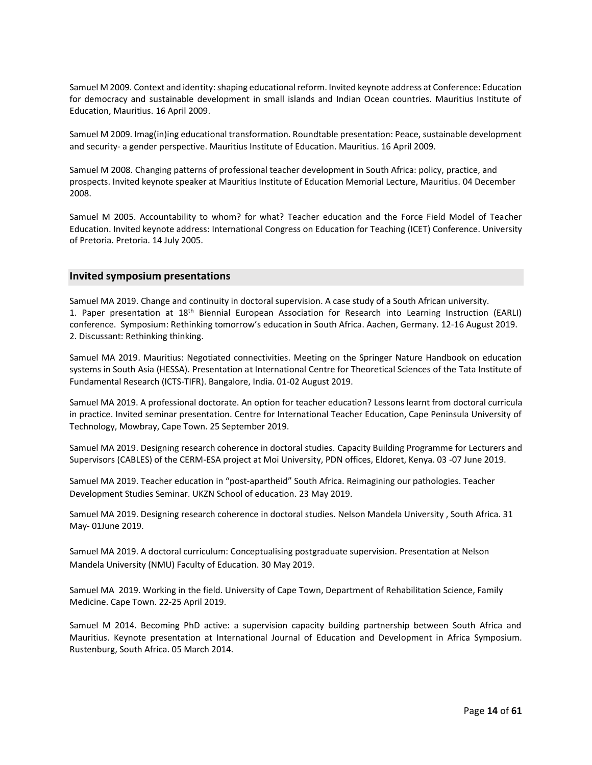Samuel M 2009. Context and identity: shaping educational reform. Invited keynote address at Conference: Education for democracy and sustainable development in small islands and Indian Ocean countries. Mauritius Institute of Education, Mauritius. 16 April 2009.

Samuel M 2009. Imag(in)ing educational transformation. Roundtable presentation: Peace, sustainable development and security- a gender perspective. Mauritius Institute of Education. Mauritius. 16 April 2009.

Samuel M 2008. Changing patterns of professional teacher development in South Africa: policy, practice, and prospects. Invited keynote speaker at Mauritius Institute of Education Memorial Lecture, Mauritius. 04 December 2008.

Samuel M 2005. Accountability to whom? for what? Teacher education and the Force Field Model of Teacher Education. Invited keynote address: International Congress on Education for Teaching (ICET) Conference. University of Pretoria. Pretoria. 14 July 2005.

#### **Invited symposium presentations**

Samuel MA 2019. Change and continuity in doctoral supervision. A case study of a South African university. 1. Paper presentation at 18<sup>th</sup> Biennial European Association for Research into Learning Instruction (EARLI) conference. Symposium: Rethinking tomorrow's education in South Africa. Aachen, Germany. 12-16 August 2019. 2. Discussant: Rethinking thinking.

Samuel MA 2019. Mauritius: Negotiated connectivities. Meeting on the Springer Nature Handbook on education systems in South Asia (HESSA). Presentation at International Centre for Theoretical Sciences of the Tata Institute of Fundamental Research (ICTS-TIFR). Bangalore, India. 01-02 August 2019.

Samuel MA 2019. A professional doctorate. An option for teacher education? Lessons learnt from doctoral curricula in practice. Invited seminar presentation. Centre for International Teacher Education, Cape Peninsula University of Technology, Mowbray, Cape Town. 25 September 2019.

Samuel MA 2019. Designing research coherence in doctoral studies. Capacity Building Programme for Lecturers and Supervisors (CABLES) of the CERM-ESA project at Moi University, PDN offices, Eldoret, Kenya. 03 -07 June 2019.

Samuel MA 2019. Teacher education in "post-apartheid" South Africa. Reimagining our pathologies. Teacher Development Studies Seminar. UKZN School of education. 23 May 2019.

Samuel MA 2019. Designing research coherence in doctoral studies. Nelson Mandela University , South Africa. 31 May- 01June 2019.

Samuel MA 2019. A doctoral curriculum: Conceptualising postgraduate supervision. Presentation at Nelson Mandela University (NMU) Faculty of Education. 30 May 2019.

Samuel MA 2019. Working in the field. University of Cape Town, Department of Rehabilitation Science, Family Medicine. Cape Town. 22-25 April 2019.

Samuel M 2014. Becoming PhD active: a supervision capacity building partnership between South Africa and Mauritius. Keynote presentation at International Journal of Education and Development in Africa Symposium. Rustenburg, South Africa. 05 March 2014.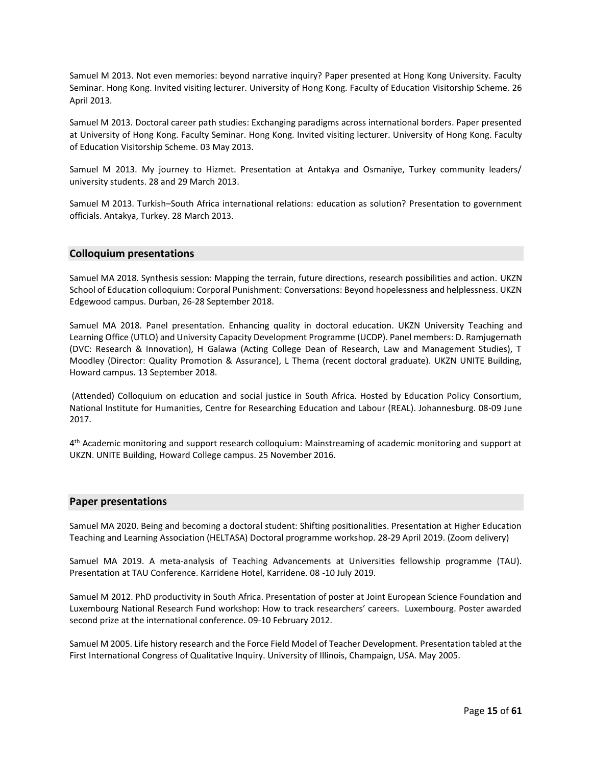Samuel M 2013. Not even memories: beyond narrative inquiry? Paper presented at Hong Kong University. Faculty Seminar. Hong Kong. Invited visiting lecturer. University of Hong Kong. Faculty of Education Visitorship Scheme. 26 April 2013.

Samuel M 2013. Doctoral career path studies: Exchanging paradigms across international borders. Paper presented at University of Hong Kong. Faculty Seminar. Hong Kong. Invited visiting lecturer. University of Hong Kong. Faculty of Education Visitorship Scheme. 03 May 2013.

Samuel M 2013. My journey to Hizmet. Presentation at Antakya and Osmaniye, Turkey community leaders/ university students. 28 and 29 March 2013.

Samuel M 2013. Turkish–South Africa international relations: education as solution? Presentation to government officials. Antakya, Turkey. 28 March 2013.

#### **Colloquium presentations**

Samuel MA 2018. Synthesis session: Mapping the terrain, future directions, research possibilities and action. UKZN School of Education colloquium: Corporal Punishment: Conversations: Beyond hopelessness and helplessness. UKZN Edgewood campus. Durban, 26-28 September 2018.

Samuel MA 2018. Panel presentation. Enhancing quality in doctoral education. UKZN University Teaching and Learning Office (UTLO) and University Capacity Development Programme (UCDP). Panel members: D. Ramjugernath (DVC: Research & Innovation), H Galawa (Acting College Dean of Research, Law and Management Studies), T Moodley (Director: Quality Promotion & Assurance), L Thema (recent doctoral graduate). UKZN UNITE Building, Howard campus. 13 September 2018.

(Attended) Colloquium on education and social justice in South Africa. Hosted by Education Policy Consortium, National Institute for Humanities, Centre for Researching Education and Labour (REAL). Johannesburg. 08-09 June 2017.

4 th Academic monitoring and support research colloquium: Mainstreaming of academic monitoring and support at UKZN. UNITE Building, Howard College campus. 25 November 2016.

#### **Paper presentations**

Samuel MA 2020. Being and becoming a doctoral student: Shifting positionalities. Presentation at Higher Education Teaching and Learning Association (HELTASA) Doctoral programme workshop. 28-29 April 2019. (Zoom delivery)

Samuel MA 2019. A meta-analysis of Teaching Advancements at Universities fellowship programme (TAU). Presentation at TAU Conference. Karridene Hotel, Karridene. 08 -10 July 2019.

Samuel M 2012. PhD productivity in South Africa. Presentation of poster at Joint European Science Foundation and Luxembourg National Research Fund workshop: How to track researchers' careers. Luxembourg. Poster awarded second prize at the international conference. 09-10 February 2012.

Samuel M 2005. Life history research and the Force Field Model of Teacher Development. Presentation tabled at the First International Congress of Qualitative Inquiry. University of Illinois, Champaign, USA. May 2005.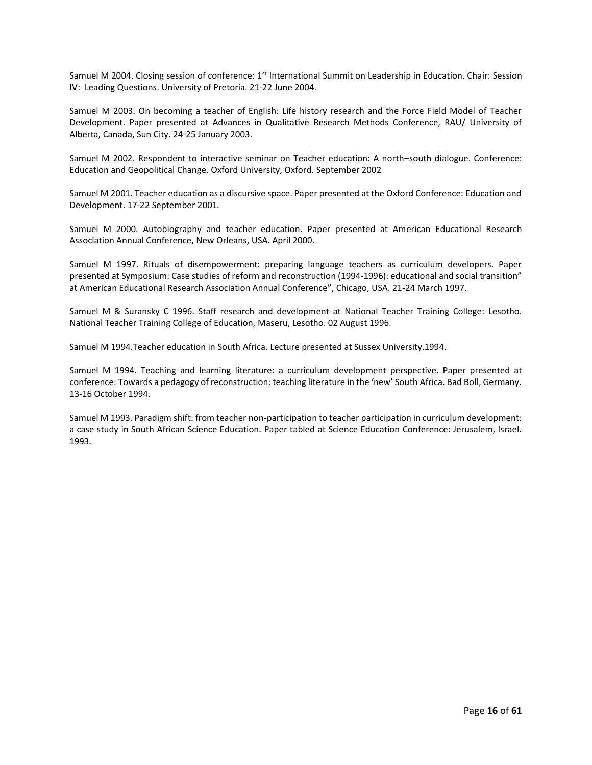Samuel M 2004. Closing session of conference: 1<sup>st</sup> International Summit on Leadership in Education. Chair: Session IV: Leading Questions. University of Pretoria. 21-22 June 2004.

Samuel M 2003. On becoming a teacher of English: Life history research and the Force Field Model of Teacher Development. Paper presented at Advances in Qualitative Research Methods Conference, RAU/ University of Alberta, Canada, Sun City. 24-25 January 2003.

Samuel M 2002. Respondent to interactive seminar on Teacher education: A north–south dialogue. Conference: Education and Geopolitical Change. Oxford University, Oxford. September 2002

Samuel M 2001. Teacher education as a discursive space. Paper presented at the Oxford Conference: Education and Development. 17-22 September 2001.

Samuel M 2000. Autobiography and teacher education. Paper presented at American Educational Research Association Annual Conference, New Orleans, USA. April 2000.

Samuel M 1997. Rituals of disempowerment: preparing language teachers as curriculum developers. Paper presented at Symposium: Case studies of reform and reconstruction (1994-1996): educational and social transition" at American Educational Research Association Annual Conference", Chicago, USA. 21-24 March 1997.

Samuel M & Suransky C 1996. Staff research and development at National Teacher Training College: Lesotho. National Teacher Training College of Education, Maseru, Lesotho. 02 August 1996.

Samuel M 1994.Teacher education in South Africa. Lecture presented at Sussex University.1994.

Samuel M 1994. Teaching and learning literature: a curriculum development perspective. Paper presented at conference: Towards a pedagogy of reconstruction: teaching literature in the 'new' South Africa. Bad Boll, Germany. 13-16 October 1994.

Samuel M 1993. Paradigm shift: from teacher non-participation to teacher participation in curriculum development: a case study in South African Science Education. Paper tabled at Science Education Conference: Jerusalem, Israel. 1993.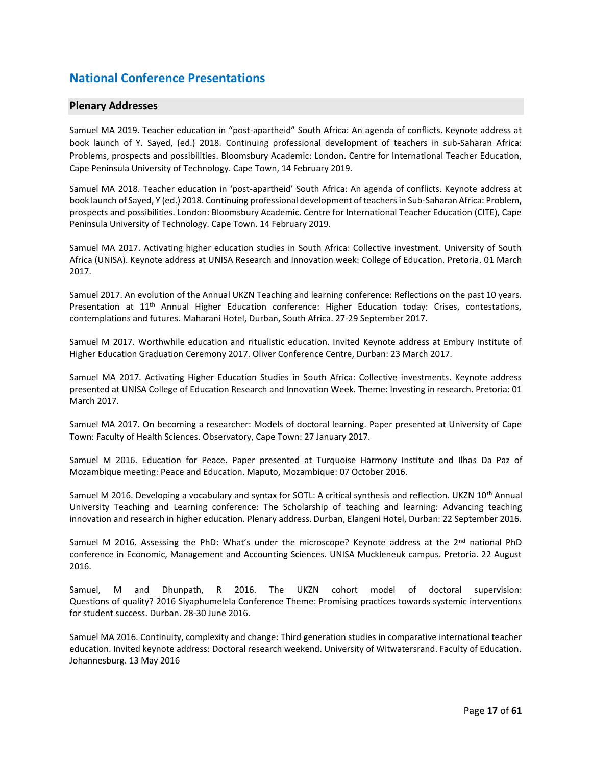### **National Conference Presentations**

#### **Plenary Addresses**

Samuel MA 2019. Teacher education in "post-apartheid" South Africa: An agenda of conflicts. Keynote address at book launch of Y. Sayed, (ed.) 2018. Continuing professional development of teachers in sub-Saharan Africa: Problems, prospects and possibilities. Bloomsbury Academic: London. Centre for International Teacher Education, Cape Peninsula University of Technology. Cape Town, 14 February 2019.

Samuel MA 2018. Teacher education in 'post-apartheid' South Africa: An agenda of conflicts. Keynote address at book launch of Sayed, Y (ed.) 2018. Continuing professional development of teachers in Sub-Saharan Africa: Problem, prospects and possibilities. London: Bloomsbury Academic. Centre for International Teacher Education (CITE), Cape Peninsula University of Technology. Cape Town. 14 February 2019.

Samuel MA 2017. Activating higher education studies in South Africa: Collective investment. University of South Africa (UNISA). Keynote address at UNISA Research and Innovation week: College of Education. Pretoria. 01 March 2017.

Samuel 2017. An evolution of the Annual UKZN Teaching and learning conference: Reflections on the past 10 years. Presentation at 11th Annual Higher Education conference: Higher Education today: Crises, contestations, contemplations and futures. Maharani Hotel, Durban, South Africa. 27-29 September 2017.

Samuel M 2017. Worthwhile education and ritualistic education. Invited Keynote address at Embury Institute of Higher Education Graduation Ceremony 2017. Oliver Conference Centre, Durban: 23 March 2017.

Samuel MA 2017. Activating Higher Education Studies in South Africa: Collective investments. Keynote address presented at UNISA College of Education Research and Innovation Week. Theme: Investing in research. Pretoria: 01 March 2017.

Samuel MA 2017. On becoming a researcher: Models of doctoral learning. Paper presented at University of Cape Town: Faculty of Health Sciences. Observatory, Cape Town: 27 January 2017.

Samuel M 2016. Education for Peace. Paper presented at Turquoise Harmony Institute and Ilhas Da Paz of Mozambique meeting: Peace and Education. Maputo, Mozambique: 07 October 2016.

Samuel M 2016. Developing a vocabulary and syntax for SOTL: A critical synthesis and reflection. UKZN 10<sup>th</sup> Annual University Teaching and Learning conference: The Scholarship of teaching and learning: Advancing teaching innovation and research in higher education. Plenary address. Durban, Elangeni Hotel, Durban: 22 September 2016.

Samuel M 2016. Assessing the PhD: What's under the microscope? Keynote address at the  $2^{nd}$  national PhD conference in Economic, Management and Accounting Sciences. UNISA Muckleneuk campus. Pretoria. 22 August 2016.

Samuel, M and Dhunpath, R 2016. The UKZN cohort model of doctoral supervision: Questions of quality? 2016 Siyaphumelela Conference Theme: Promising practices towards systemic interventions for student success. Durban. 28-30 June 2016.

Samuel MA 2016. Continuity, complexity and change: Third generation studies in comparative international teacher education. Invited keynote address: Doctoral research weekend. University of Witwatersrand. Faculty of Education. Johannesburg. 13 May 2016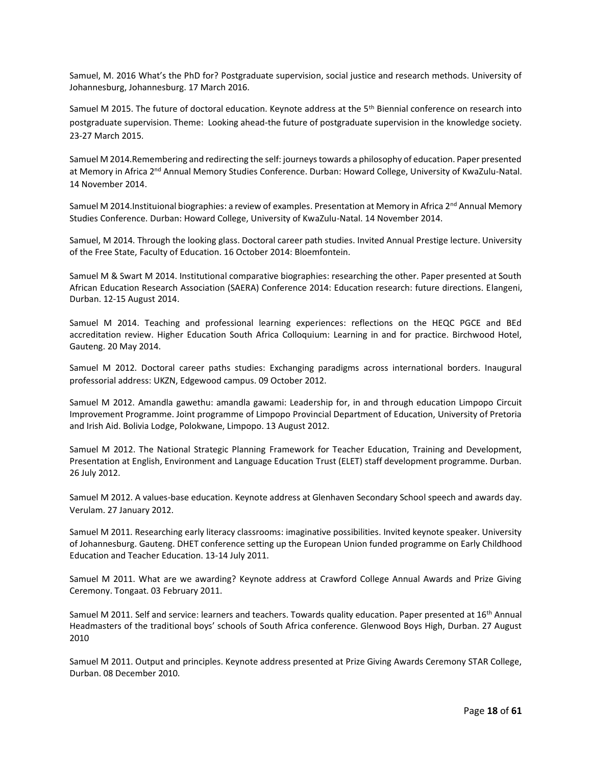Samuel, M. 2016 What's the PhD for? Postgraduate supervision, social justice and research methods. University of Johannesburg, Johannesburg. 17 March 2016.

Samuel M 2015. The future of doctoral education. Keynote address at the 5<sup>th</sup> Biennial conference on research into postgraduate supervision. Theme: Looking ahead-the future of postgraduate supervision in the knowledge society. 23-27 March 2015.

Samuel M 2014.Remembering and redirecting the self: journeys towards a philosophy of education. Paper presented at Memory in Africa 2<sup>nd</sup> Annual Memory Studies Conference. Durban: Howard College, University of KwaZulu-Natal. 14 November 2014.

Samuel M 2014. Instituional biographies: a review of examples. Presentation at Memory in Africa 2<sup>nd</sup> Annual Memory Studies Conference. Durban: Howard College, University of KwaZulu-Natal. 14 November 2014.

Samuel, M 2014. Through the looking glass. Doctoral career path studies. Invited Annual Prestige lecture. University of the Free State, Faculty of Education. 16 October 2014: Bloemfontein.

Samuel M & Swart M 2014. Institutional comparative biographies: researching the other. Paper presented at South African Education Research Association (SAERA) Conference 2014: Education research: future directions. Elangeni, Durban. 12-15 August 2014.

Samuel M 2014. Teaching and professional learning experiences: reflections on the HEQC PGCE and BEd accreditation review. Higher Education South Africa Colloquium: Learning in and for practice. Birchwood Hotel, Gauteng. 20 May 2014.

Samuel M 2012. Doctoral career paths studies: Exchanging paradigms across international borders. Inaugural professorial address: UKZN, Edgewood campus. 09 October 2012.

Samuel M 2012. Amandla gawethu: amandla gawami: Leadership for, in and through education Limpopo Circuit Improvement Programme. Joint programme of Limpopo Provincial Department of Education, University of Pretoria and Irish Aid. Bolivia Lodge, Polokwane, Limpopo. 13 August 2012.

Samuel M 2012. The National Strategic Planning Framework for Teacher Education, Training and Development, Presentation at English, Environment and Language Education Trust (ELET) staff development programme. Durban. 26 July 2012.

Samuel M 2012. A values-base education. Keynote address at Glenhaven Secondary School speech and awards day. Verulam. 27 January 2012.

Samuel M 2011. Researching early literacy classrooms: imaginative possibilities. Invited keynote speaker. University of Johannesburg. Gauteng. DHET conference setting up the European Union funded programme on Early Childhood Education and Teacher Education. 13-14 July 2011.

Samuel M 2011. What are we awarding? Keynote address at Crawford College Annual Awards and Prize Giving Ceremony. Tongaat. 03 February 2011.

Samuel M 2011. Self and service: learners and teachers. Towards quality education. Paper presented at 16<sup>th</sup> Annual Headmasters of the traditional boys' schools of South Africa conference. Glenwood Boys High, Durban. 27 August 2010

Samuel M 2011. Output and principles. Keynote address presented at Prize Giving Awards Ceremony STAR College, Durban. 08 December 2010.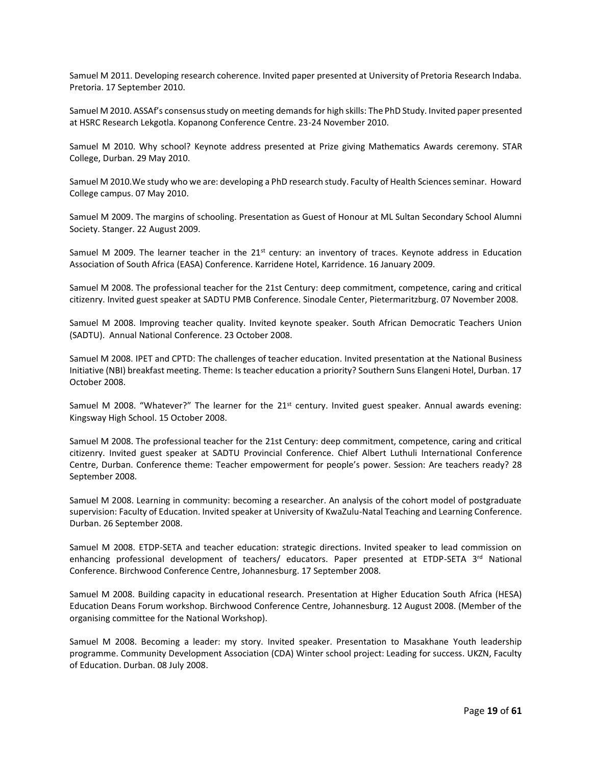Samuel M 2011. Developing research coherence. Invited paper presented at University of Pretoria Research Indaba. Pretoria. 17 September 2010.

Samuel M 2010. ASSAf's consensus study on meeting demands for high skills: The PhD Study. Invited paper presented at HSRC Research Lekgotla. Kopanong Conference Centre. 23-24 November 2010.

Samuel M 2010. Why school? Keynote address presented at Prize giving Mathematics Awards ceremony. STAR College, Durban. 29 May 2010.

Samuel M 2010.We study who we are: developing a PhD research study. Faculty of Health Sciences seminar. Howard College campus. 07 May 2010.

Samuel M 2009. The margins of schooling. Presentation as Guest of Honour at ML Sultan Secondary School Alumni Society. Stanger. 22 August 2009.

Samuel M 2009. The learner teacher in the  $21<sup>st</sup>$  century: an inventory of traces. Keynote address in Education Association of South Africa (EASA) Conference. Karridene Hotel, Karridence. 16 January 2009.

Samuel M 2008. The professional teacher for the 21st Century: deep commitment, competence, caring and critical citizenry. Invited guest speaker at SADTU PMB Conference. Sinodale Center, Pietermaritzburg. 07 November 2008.

Samuel M 2008. Improving teacher quality. Invited keynote speaker. South African Democratic Teachers Union (SADTU). Annual National Conference. 23 October 2008.

Samuel M 2008. IPET and CPTD: The challenges of teacher education. Invited presentation at the National Business Initiative (NBI) breakfast meeting. Theme: Is teacher education a priority? Southern Suns Elangeni Hotel, Durban. 17 October 2008.

Samuel M 2008. "Whatever?" The learner for the  $21<sup>st</sup>$  century. Invited guest speaker. Annual awards evening: Kingsway High School. 15 October 2008.

Samuel M 2008. The professional teacher for the 21st Century: deep commitment, competence, caring and critical citizenry. Invited guest speaker at SADTU Provincial Conference. Chief Albert Luthuli International Conference Centre, Durban. Conference theme: Teacher empowerment for people's power. Session: Are teachers ready? 28 September 2008.

Samuel M 2008. Learning in community: becoming a researcher. An analysis of the cohort model of postgraduate supervision: Faculty of Education. Invited speaker at University of KwaZulu-Natal Teaching and Learning Conference. Durban. 26 September 2008.

Samuel M 2008. ETDP-SETA and teacher education: strategic directions. Invited speaker to lead commission on enhancing professional development of teachers/ educators. Paper presented at ETDP-SETA 3rd National Conference. Birchwood Conference Centre, Johannesburg. 17 September 2008.

Samuel M 2008. Building capacity in educational research. Presentation at Higher Education South Africa (HESA) Education Deans Forum workshop. Birchwood Conference Centre, Johannesburg. 12 August 2008. (Member of the organising committee for the National Workshop).

Samuel M 2008. Becoming a leader: my story. Invited speaker. Presentation to Masakhane Youth leadership programme. Community Development Association (CDA) Winter school project: Leading for success. UKZN, Faculty of Education. Durban. 08 July 2008.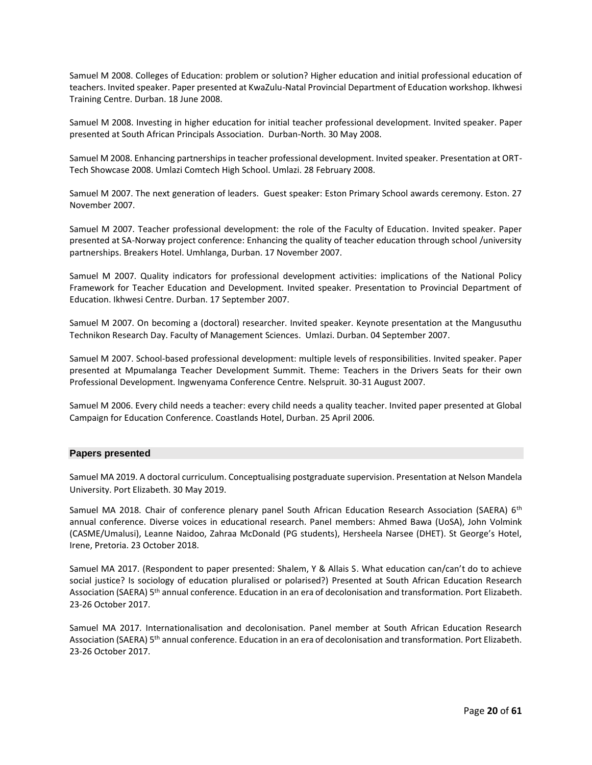Samuel M 2008. Colleges of Education: problem or solution? Higher education and initial professional education of teachers. Invited speaker. Paper presented at KwaZulu-Natal Provincial Department of Education workshop. Ikhwesi Training Centre. Durban. 18 June 2008.

Samuel M 2008. Investing in higher education for initial teacher professional development. Invited speaker. Paper presented at South African Principals Association. Durban-North. 30 May 2008.

Samuel M 2008. Enhancing partnerships in teacher professional development. Invited speaker. Presentation at ORT-Tech Showcase 2008. Umlazi Comtech High School. Umlazi. 28 February 2008.

Samuel M 2007. The next generation of leaders. Guest speaker: Eston Primary School awards ceremony. Eston. 27 November 2007.

Samuel M 2007. Teacher professional development: the role of the Faculty of Education. Invited speaker. Paper presented at SA-Norway project conference: Enhancing the quality of teacher education through school /university partnerships. Breakers Hotel. Umhlanga, Durban. 17 November 2007.

Samuel M 2007. Quality indicators for professional development activities: implications of the National Policy Framework for Teacher Education and Development. Invited speaker. Presentation to Provincial Department of Education. Ikhwesi Centre. Durban. 17 September 2007.

Samuel M 2007. On becoming a (doctoral) researcher. Invited speaker. Keynote presentation at the Mangusuthu Technikon Research Day. Faculty of Management Sciences. Umlazi. Durban. 04 September 2007.

Samuel M 2007. School-based professional development: multiple levels of responsibilities. Invited speaker. Paper presented at Mpumalanga Teacher Development Summit. Theme: Teachers in the Drivers Seats for their own Professional Development. Ingwenyama Conference Centre. Nelspruit. 30-31 August 2007.

Samuel M 2006. Every child needs a teacher: every child needs a quality teacher. Invited paper presented at Global Campaign for Education Conference. Coastlands Hotel, Durban. 25 April 2006.

#### **Papers presented**

Samuel MA 2019. A doctoral curriculum. Conceptualising postgraduate supervision. Presentation at Nelson Mandela University. Port Elizabeth. 30 May 2019.

Samuel MA 2018. Chair of conference plenary panel South African Education Research Association (SAERA) 6<sup>th</sup> annual conference. Diverse voices in educational research. Panel members: Ahmed Bawa (UoSA), John Volmink (CASME/Umalusi), Leanne Naidoo, Zahraa McDonald (PG students), Hersheela Narsee (DHET). St George's Hotel, Irene, Pretoria. 23 October 2018.

Samuel MA 2017. (Respondent to paper presented: Shalem, Y & Allais S. What education can/can't do to achieve social justice? Is sociology of education pluralised or polarised?) Presented at South African Education Research Association (SAERA) 5th annual conference. Education in an era of decolonisation and transformation. Port Elizabeth. 23-26 October 2017.

Samuel MA 2017. Internationalisation and decolonisation. Panel member at South African Education Research Association (SAERA) 5<sup>th</sup> annual conference. Education in an era of decolonisation and transformation. Port Elizabeth. 23-26 October 2017.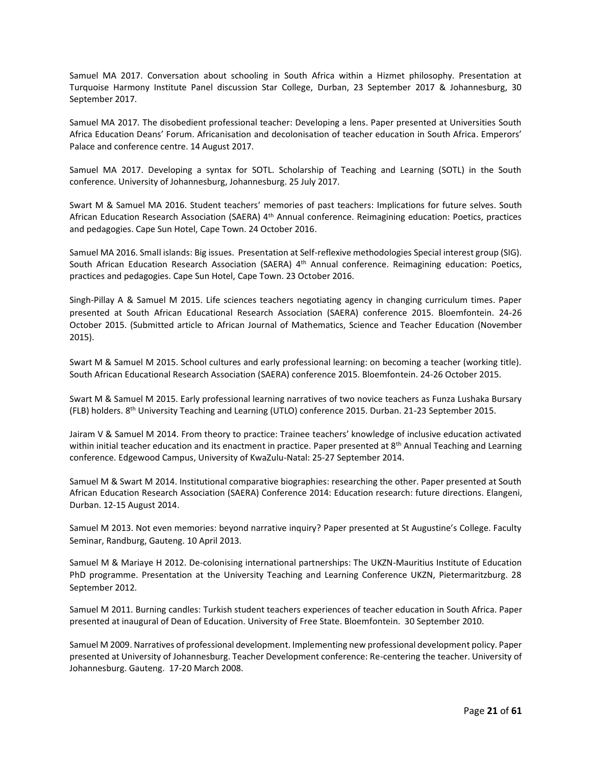Samuel MA 2017. Conversation about schooling in South Africa within a Hizmet philosophy. Presentation at Turquoise Harmony Institute Panel discussion Star College, Durban, 23 September 2017 & Johannesburg, 30 September 2017.

Samuel MA 2017. The disobedient professional teacher: Developing a lens. Paper presented at Universities South Africa Education Deans' Forum. Africanisation and decolonisation of teacher education in South Africa. Emperors' Palace and conference centre. 14 August 2017.

Samuel MA 2017. Developing a syntax for SOTL. Scholarship of Teaching and Learning (SOTL) in the South conference. University of Johannesburg, Johannesburg. 25 July 2017.

Swart M & Samuel MA 2016. Student teachers' memories of past teachers: Implications for future selves. South African Education Research Association (SAERA) 4<sup>th</sup> Annual conference. Reimagining education: Poetics, practices and pedagogies. Cape Sun Hotel, Cape Town. 24 October 2016.

Samuel MA 2016. Small islands: Big issues. Presentation at Self-reflexive methodologies Special interest group (SIG). South African Education Research Association (SAERA) 4<sup>th</sup> Annual conference. Reimagining education: Poetics, practices and pedagogies. Cape Sun Hotel, Cape Town. 23 October 2016.

Singh-Pillay A & Samuel M 2015. Life sciences teachers negotiating agency in changing curriculum times. Paper presented at South African Educational Research Association (SAERA) conference 2015. Bloemfontein. 24-26 October 2015. (Submitted article to African Journal of Mathematics, Science and Teacher Education (November 2015).

Swart M & Samuel M 2015. School cultures and early professional learning: on becoming a teacher (working title). South African Educational Research Association (SAERA) conference 2015. Bloemfontein. 24-26 October 2015.

Swart M & Samuel M 2015. Early professional learning narratives of two novice teachers as Funza Lushaka Bursary (FLB) holders. 8th University Teaching and Learning (UTLO) conference 2015. Durban. 21-23 September 2015.

Jairam V & Samuel M 2014. From theory to practice: Trainee teachers' knowledge of inclusive education activated within initial teacher education and its enactment in practice. Paper presented at 8<sup>th</sup> Annual Teaching and Learning conference. Edgewood Campus, University of KwaZulu-Natal: 25-27 September 2014.

Samuel M & Swart M 2014. Institutional comparative biographies: researching the other. Paper presented at South African Education Research Association (SAERA) Conference 2014: Education research: future directions. Elangeni, Durban. 12-15 August 2014.

Samuel M 2013. Not even memories: beyond narrative inquiry? Paper presented at St Augustine's College. Faculty Seminar, Randburg, Gauteng. 10 April 2013.

Samuel M & Mariaye H 2012. De-colonising international partnerships: The UKZN-Mauritius Institute of Education PhD programme. Presentation at the University Teaching and Learning Conference UKZN, Pietermaritzburg. 28 September 2012.

Samuel M 2011. Burning candles: Turkish student teachers experiences of teacher education in South Africa. Paper presented at inaugural of Dean of Education. University of Free State. Bloemfontein. 30 September 2010.

Samuel M 2009. Narratives of professional development. Implementing new professional development policy. Paper presented at University of Johannesburg. Teacher Development conference: Re-centering the teacher. University of Johannesburg. Gauteng. 17-20 March 2008.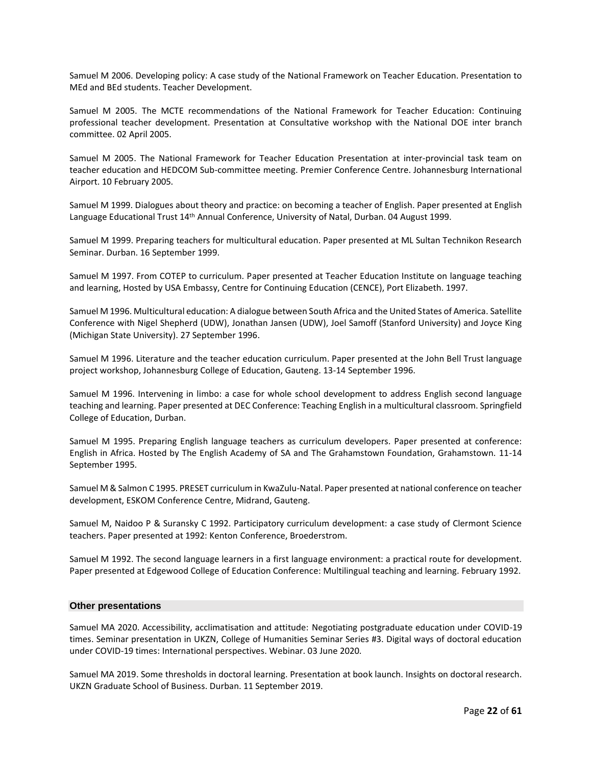Samuel M 2006. Developing policy: A case study of the National Framework on Teacher Education. Presentation to MEd and BEd students. Teacher Development.

Samuel M 2005. The MCTE recommendations of the National Framework for Teacher Education: Continuing professional teacher development. Presentation at Consultative workshop with the National DOE inter branch committee. 02 April 2005.

Samuel M 2005. The National Framework for Teacher Education Presentation at inter-provincial task team on teacher education and HEDCOM Sub-committee meeting. Premier Conference Centre. Johannesburg International Airport. 10 February 2005.

Samuel M 1999. Dialogues about theory and practice: on becoming a teacher of English. Paper presented at English Language Educational Trust 14<sup>th</sup> Annual Conference, University of Natal, Durban. 04 August 1999.

Samuel M 1999. Preparing teachers for multicultural education. Paper presented at ML Sultan Technikon Research Seminar. Durban. 16 September 1999.

Samuel M 1997. From COTEP to curriculum. Paper presented at Teacher Education Institute on language teaching and learning, Hosted by USA Embassy, Centre for Continuing Education (CENCE), Port Elizabeth. 1997.

Samuel M 1996. Multicultural education: A dialogue between South Africa and the United States of America. Satellite Conference with Nigel Shepherd (UDW), Jonathan Jansen (UDW), Joel Samoff (Stanford University) and Joyce King (Michigan State University). 27 September 1996.

Samuel M 1996. Literature and the teacher education curriculum. Paper presented at the John Bell Trust language project workshop, Johannesburg College of Education, Gauteng. 13-14 September 1996.

Samuel M 1996. Intervening in limbo: a case for whole school development to address English second language teaching and learning. Paper presented at DEC Conference: Teaching English in a multicultural classroom. Springfield College of Education, Durban.

Samuel M 1995. Preparing English language teachers as curriculum developers. Paper presented at conference: English in Africa. Hosted by The English Academy of SA and The Grahamstown Foundation, Grahamstown. 11-14 September 1995.

Samuel M & Salmon C 1995. PRESET curriculum in KwaZulu-Natal. Paper presented at national conference on teacher development, ESKOM Conference Centre, Midrand, Gauteng.

Samuel M, Naidoo P & Suransky C 1992. Participatory curriculum development: a case study of Clermont Science teachers. Paper presented at 1992: Kenton Conference, Broederstrom.

Samuel M 1992. The second language learners in a first language environment: a practical route for development. Paper presented at Edgewood College of Education Conference: Multilingual teaching and learning. February 1992.

#### **Other presentations**

Samuel MA 2020. Accessibility, acclimatisation and attitude: Negotiating postgraduate education under COVID-19 times. Seminar presentation in UKZN, College of Humanities Seminar Series #3. Digital ways of doctoral education under COVID-19 times: International perspectives. Webinar. 03 June 2020.

Samuel MA 2019. Some thresholds in doctoral learning. Presentation at book launch. Insights on doctoral research. UKZN Graduate School of Business. Durban. 11 September 2019.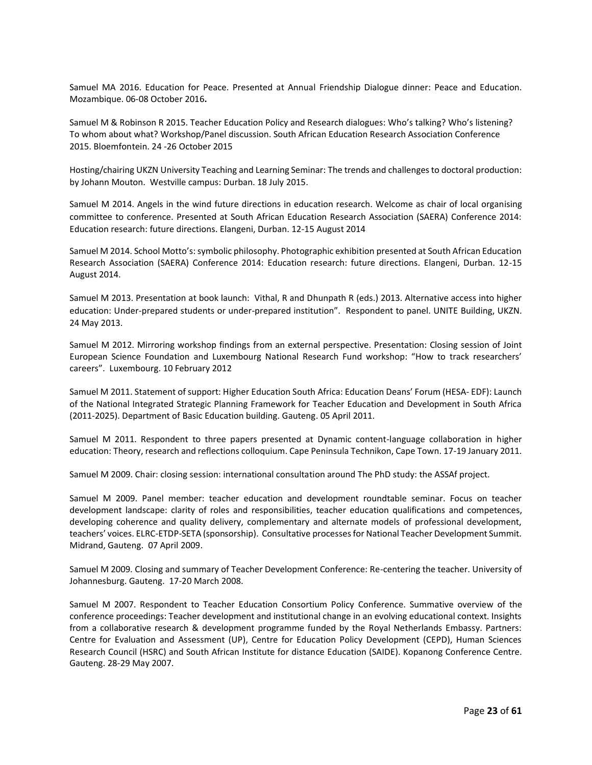Samuel MA 2016. Education for Peace. Presented at Annual Friendship Dialogue dinner: Peace and Education. Mozambique. 06-08 October 2016**.**

Samuel M & Robinson R 2015. Teacher Education Policy and Research dialogues: Who's talking? Who's listening? To whom about what? Workshop/Panel discussion. South African Education Research Association Conference 2015. Bloemfontein. 24 -26 October 2015

Hosting/chairing UKZN University Teaching and Learning Seminar: The trends and challenges to doctoral production: by Johann Mouton. Westville campus: Durban. 18 July 2015.

Samuel M 2014. Angels in the wind future directions in education research. Welcome as chair of local organising committee to conference. Presented at South African Education Research Association (SAERA) Conference 2014: Education research: future directions. Elangeni, Durban. 12-15 August 2014

Samuel M 2014. School Motto's: symbolic philosophy. Photographic exhibition presented at South African Education Research Association (SAERA) Conference 2014: Education research: future directions. Elangeni, Durban. 12-15 August 2014.

Samuel M 2013. Presentation at book launch: Vithal, R and Dhunpath R (eds.) 2013. Alternative access into higher education: Under-prepared students or under-prepared institution". Respondent to panel. UNITE Building, UKZN. 24 May 2013.

Samuel M 2012. Mirroring workshop findings from an external perspective. Presentation: Closing session of Joint European Science Foundation and Luxembourg National Research Fund workshop: "How to track researchers' careers". Luxembourg. 10 February 2012

Samuel M 2011. Statement of support: Higher Education South Africa: Education Deans' Forum (HESA- EDF): Launch of the National Integrated Strategic Planning Framework for Teacher Education and Development in South Africa (2011-2025). Department of Basic Education building. Gauteng. 05 April 2011.

Samuel M 2011. Respondent to three papers presented at Dynamic content-language collaboration in higher education: Theory, research and reflections colloquium. Cape Peninsula Technikon, Cape Town. 17-19 January 2011.

Samuel M 2009. Chair: closing session: international consultation around The PhD study: the ASSAf project.

Samuel M 2009. Panel member: teacher education and development roundtable seminar. Focus on teacher development landscape: clarity of roles and responsibilities, teacher education qualifications and competences, developing coherence and quality delivery, complementary and alternate models of professional development, teachers' voices. ELRC-ETDP-SETA (sponsorship). Consultative processes for National Teacher Development Summit. Midrand, Gauteng. 07 April 2009.

Samuel M 2009. Closing and summary of Teacher Development Conference: Re-centering the teacher. University of Johannesburg. Gauteng. 17-20 March 2008.

Samuel M 2007. Respondent to Teacher Education Consortium Policy Conference. Summative overview of the conference proceedings: Teacher development and institutional change in an evolving educational context. Insights from a collaborative research & development programme funded by the Royal Netherlands Embassy. Partners: Centre for Evaluation and Assessment (UP), Centre for Education Policy Development (CEPD), Human Sciences Research Council (HSRC) and South African Institute for distance Education (SAIDE). Kopanong Conference Centre. Gauteng. 28-29 May 2007.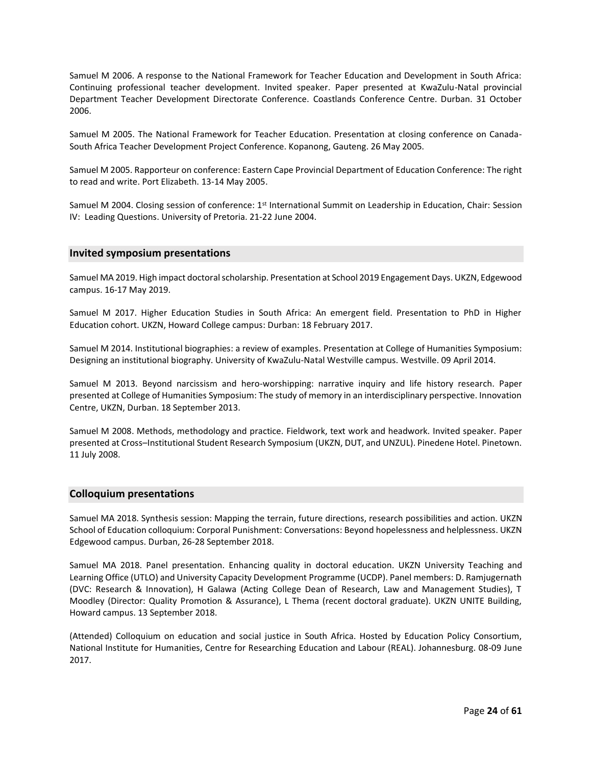Samuel M 2006. A response to the National Framework for Teacher Education and Development in South Africa: Continuing professional teacher development. Invited speaker. Paper presented at KwaZulu-Natal provincial Department Teacher Development Directorate Conference. Coastlands Conference Centre. Durban. 31 October 2006.

Samuel M 2005. The National Framework for Teacher Education. Presentation at closing conference on Canada-South Africa Teacher Development Project Conference. Kopanong, Gauteng. 26 May 2005.

Samuel M 2005. Rapporteur on conference: Eastern Cape Provincial Department of Education Conference: The right to read and write. Port Elizabeth. 13-14 May 2005.

Samuel M 2004. Closing session of conference: 1<sup>st</sup> International Summit on Leadership in Education, Chair: Session IV: Leading Questions. University of Pretoria. 21-22 June 2004.

#### **Invited symposium presentations**

Samuel MA 2019. High impact doctoral scholarship. Presentation at School 2019 Engagement Days. UKZN, Edgewood campus. 16-17 May 2019.

Samuel M 2017. Higher Education Studies in South Africa: An emergent field. Presentation to PhD in Higher Education cohort. UKZN, Howard College campus: Durban: 18 February 2017.

Samuel M 2014. Institutional biographies: a review of examples. Presentation at College of Humanities Symposium: Designing an institutional biography. University of KwaZulu-Natal Westville campus. Westville. 09 April 2014.

Samuel M 2013. Beyond narcissism and hero-worshipping: narrative inquiry and life history research. Paper presented at College of Humanities Symposium: The study of memory in an interdisciplinary perspective. Innovation Centre, UKZN, Durban. 18 September 2013.

Samuel M 2008. Methods, methodology and practice. Fieldwork, text work and headwork. Invited speaker. Paper presented at Cross–Institutional Student Research Symposium (UKZN, DUT, and UNZUL). Pinedene Hotel. Pinetown. 11 July 2008.

#### **Colloquium presentations**

Samuel MA 2018. Synthesis session: Mapping the terrain, future directions, research possibilities and action. UKZN School of Education colloquium: Corporal Punishment: Conversations: Beyond hopelessness and helplessness. UKZN Edgewood campus. Durban, 26-28 September 2018.

Samuel MA 2018. Panel presentation. Enhancing quality in doctoral education. UKZN University Teaching and Learning Office (UTLO) and University Capacity Development Programme (UCDP). Panel members: D. Ramjugernath (DVC: Research & Innovation), H Galawa (Acting College Dean of Research, Law and Management Studies), T Moodley (Director: Quality Promotion & Assurance), L Thema (recent doctoral graduate). UKZN UNITE Building, Howard campus. 13 September 2018.

(Attended) Colloquium on education and social justice in South Africa. Hosted by Education Policy Consortium, National Institute for Humanities, Centre for Researching Education and Labour (REAL). Johannesburg. 08-09 June 2017.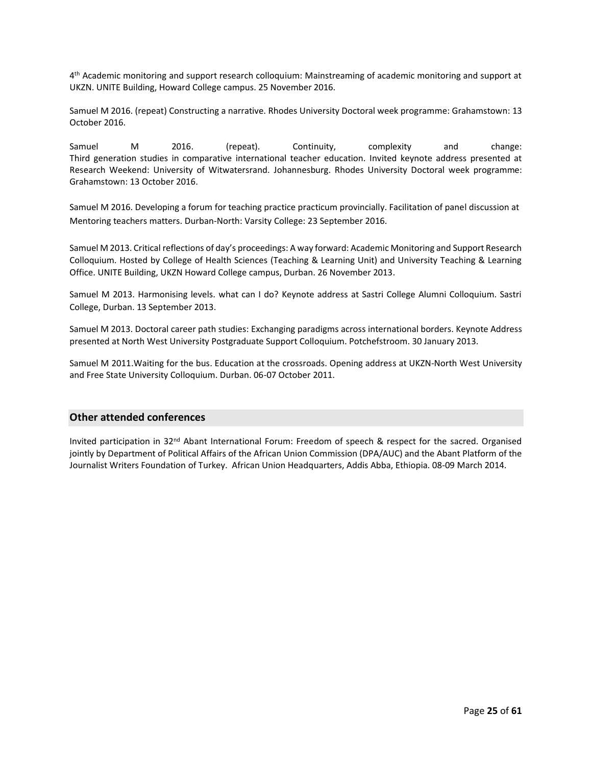4 th Academic monitoring and support research colloquium: Mainstreaming of academic monitoring and support at UKZN. UNITE Building, Howard College campus. 25 November 2016.

Samuel M 2016. (repeat) Constructing a narrative. Rhodes University Doctoral week programme: Grahamstown: 13 October 2016.

Samuel M 2016. (repeat). Continuity, complexity and change: Third generation studies in comparative international teacher education. Invited keynote address presented at Research Weekend: University of Witwatersrand. Johannesburg. Rhodes University Doctoral week programme: Grahamstown: 13 October 2016.

Samuel M 2016. Developing a forum for teaching practice practicum provincially. Facilitation of panel discussion at Mentoring teachers matters. Durban-North: Varsity College: 23 September 2016.

Samuel M 2013. Critical reflections of day's proceedings: A way forward: Academic Monitoring and Support Research Colloquium. Hosted by College of Health Sciences (Teaching & Learning Unit) and University Teaching & Learning Office. UNITE Building, UKZN Howard College campus, Durban. 26 November 2013.

Samuel M 2013. Harmonising levels. what can I do? Keynote address at Sastri College Alumni Colloquium. Sastri College, Durban. 13 September 2013.

Samuel M 2013. Doctoral career path studies: Exchanging paradigms across international borders. Keynote Address presented at North West University Postgraduate Support Colloquium. Potchefstroom. 30 January 2013.

Samuel M 2011.Waiting for the bus. Education at the crossroads. Opening address at UKZN-North West University and Free State University Colloquium. Durban. 06-07 October 2011.

#### **Other attended conferences**

Invited participation in 32nd Abant International Forum: Freedom of speech & respect for the sacred. Organised jointly by Department of Political Affairs of the African Union Commission (DPA/AUC) and the Abant Platform of the Journalist Writers Foundation of Turkey. African Union Headquarters, Addis Abba, Ethiopia. 08-09 March 2014.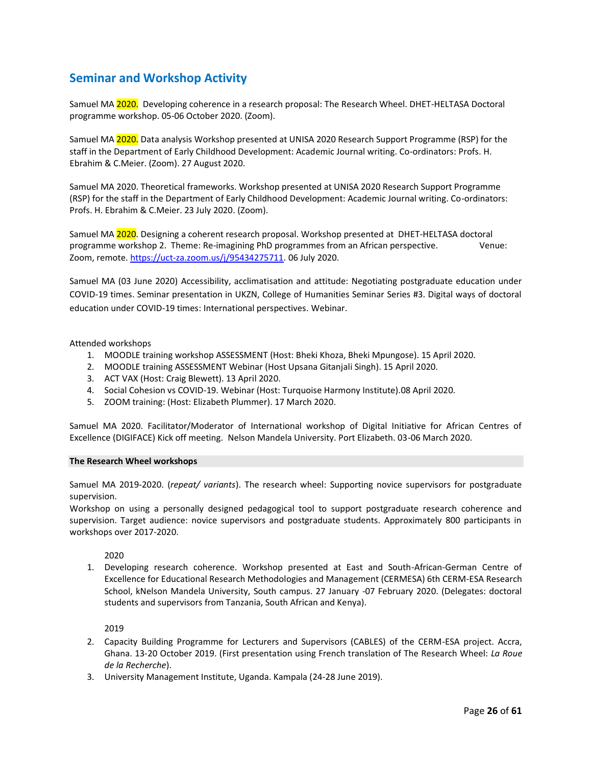### **Seminar and Workshop Activity**

Samuel MA 2020. Developing coherence in a research proposal: The Research Wheel. DHET-HELTASA Doctoral programme workshop. 05-06 October 2020. (Zoom).

Samuel MA 2020. Data analysis Workshop presented at UNISA 2020 Research Support Programme (RSP) for the staff in the Department of Early Childhood Development: Academic Journal writing. Co-ordinators: Profs. H. Ebrahim & C.Meier. (Zoom). 27 August 2020.

Samuel MA 2020. Theoretical frameworks. Workshop presented at UNISA 2020 Research Support Programme (RSP) for the staff in the Department of Early Childhood Development: Academic Journal writing. Co-ordinators: Profs. H. Ebrahim & C.Meier. 23 July 2020. (Zoom).

Samuel MA 2020. Designing a coherent research proposal. Workshop presented at DHET-HELTASA doctoral programme workshop 2. Theme: Re-imagining PhD programmes from an African perspective. Venue: Zoom, remote. [https://uct-za.zoom.us/j/95434275711.](https://uct-za.zoom.us/j/95434275711) 06 July 2020.

Samuel MA (03 June 2020) Accessibility, acclimatisation and attitude: Negotiating postgraduate education under COVID-19 times. Seminar presentation in UKZN, College of Humanities Seminar Series #3. Digital ways of doctoral education under COVID-19 times: International perspectives. Webinar.

#### Attended workshops

- 1. MOODLE training workshop ASSESSMENT (Host: Bheki Khoza, Bheki Mpungose). 15 April 2020.
- 2. MOODLE training ASSESSMENT Webinar (Host Upsana Gitanjali Singh). 15 April 2020.
- 3. ACT VAX (Host: Craig Blewett). 13 April 2020.
- 4. Social Cohesion vs COVID-19. Webinar (Host: Turquoise Harmony Institute).08 April 2020.
- 5. ZOOM training: (Host: Elizabeth Plummer). 17 March 2020.

Samuel MA 2020. Facilitator/Moderator of International workshop of Digital Initiative for African Centres of Excellence (DIGIFACE) Kick off meeting. Nelson Mandela University. Port Elizabeth. 03-06 March 2020.

#### **The Research Wheel workshops**

Samuel MA 2019-2020. (*repeat/ variants*). The research wheel: Supporting novice supervisors for postgraduate supervision.

Workshop on using a personally designed pedagogical tool to support postgraduate research coherence and supervision. Target audience: novice supervisors and postgraduate students. Approximately 800 participants in workshops over 2017-2020.

2020

1. Developing research coherence. Workshop presented at East and South-African-German Centre of Excellence for Educational Research Methodologies and Management (CERMESA) 6th CERM-ESA Research School, kNelson Mandela University, South campus. 27 January -07 February 2020. (Delegates: doctoral students and supervisors from Tanzania, South African and Kenya).

2019

- 2. Capacity Building Programme for Lecturers and Supervisors (CABLES) of the CERM-ESA project. Accra, Ghana. 13-20 October 2019. (First presentation using French translation of The Research Wheel: *La Roue de la Recherche*).
- 3. University Management Institute, Uganda. Kampala (24-28 June 2019).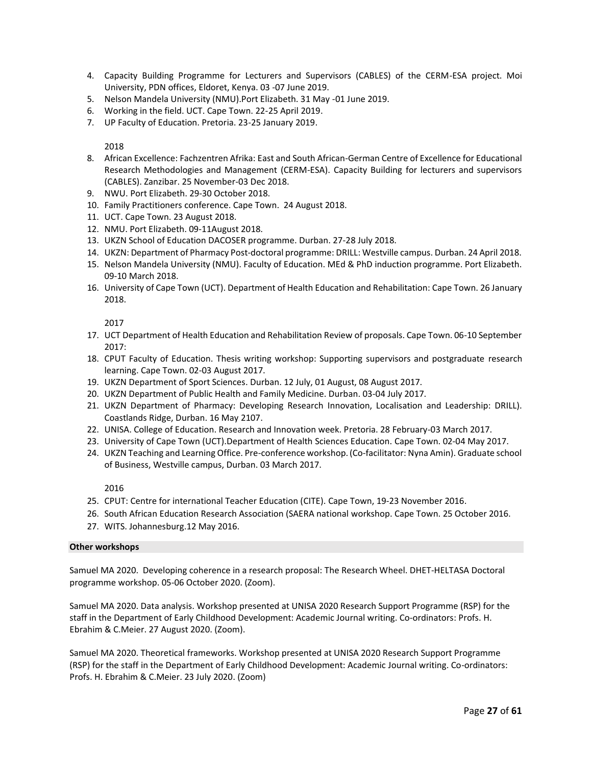- 4. Capacity Building Programme for Lecturers and Supervisors (CABLES) of the CERM-ESA project. Moi University, PDN offices, Eldoret, Kenya. 03 -07 June 2019.
- 5. Nelson Mandela University (NMU).Port Elizabeth. 31 May -01 June 2019.
- 6. Working in the field. UCT. Cape Town. 22-25 April 2019.
- 7. UP Faculty of Education. Pretoria. 23-25 January 2019.

#### 2018

- 8. African Excellence: Fachzentren Afrika: East and South African-German Centre of Excellence for Educational Research Methodologies and Management (CERM-ESA). Capacity Building for lecturers and supervisors (CABLES). Zanzibar. 25 November-03 Dec 2018.
- 9. NWU. Port Elizabeth. 29-30 October 2018.
- 10. Family Practitioners conference. Cape Town. 24 August 2018.
- 11. UCT. Cape Town. 23 August 2018.
- 12. NMU. Port Elizabeth. 09-11August 2018.
- 13. UKZN School of Education DACOSER programme. Durban. 27-28 July 2018.
- 14. UKZN: Department of Pharmacy Post-doctoral programme: DRILL: Westville campus. Durban. 24 April 2018.
- 15. Nelson Mandela University (NMU). Faculty of Education. MEd & PhD induction programme. Port Elizabeth. 09-10 March 2018.
- 16. University of Cape Town (UCT). Department of Health Education and Rehabilitation: Cape Town. 26 January 2018.

2017

- 17. UCT Department of Health Education and Rehabilitation Review of proposals. Cape Town. 06-10 September 2017:
- 18. CPUT Faculty of Education. Thesis writing workshop: Supporting supervisors and postgraduate research learning. Cape Town. 02-03 August 2017.
- 19. UKZN Department of Sport Sciences. Durban. 12 July, 01 August, 08 August 2017.
- 20. UKZN Department of Public Health and Family Medicine. Durban. 03-04 July 2017.
- 21. UKZN Department of Pharmacy: Developing Research Innovation, Localisation and Leadership: DRILL). Coastlands Ridge, Durban. 16 May 2107.
- 22. UNISA. College of Education. Research and Innovation week. Pretoria. 28 February-03 March 2017.
- 23. University of Cape Town (UCT).Department of Health Sciences Education. Cape Town. 02-04 May 2017.
- 24. UKZN Teaching and Learning Office. Pre-conference workshop. (Co-facilitator: Nyna Amin). Graduate school of Business, Westville campus, Durban. 03 March 2017.

2016

- 25. CPUT: Centre for international Teacher Education (CITE). Cape Town, 19-23 November 2016.
- 26. South African Education Research Association (SAERA national workshop. Cape Town. 25 October 2016.
- 27. WITS. Johannesburg.12 May 2016.

#### **Other workshops**

Samuel MA 2020. Developing coherence in a research proposal: The Research Wheel. DHET-HELTASA Doctoral programme workshop. 05-06 October 2020. (Zoom).

Samuel MA 2020. Data analysis. Workshop presented at UNISA 2020 Research Support Programme (RSP) for the staff in the Department of Early Childhood Development: Academic Journal writing. Co-ordinators: Profs. H. Ebrahim & C.Meier. 27 August 2020. (Zoom).

Samuel MA 2020. Theoretical frameworks. Workshop presented at UNISA 2020 Research Support Programme (RSP) for the staff in the Department of Early Childhood Development: Academic Journal writing. Co-ordinators: Profs. H. Ebrahim & C.Meier. 23 July 2020. (Zoom)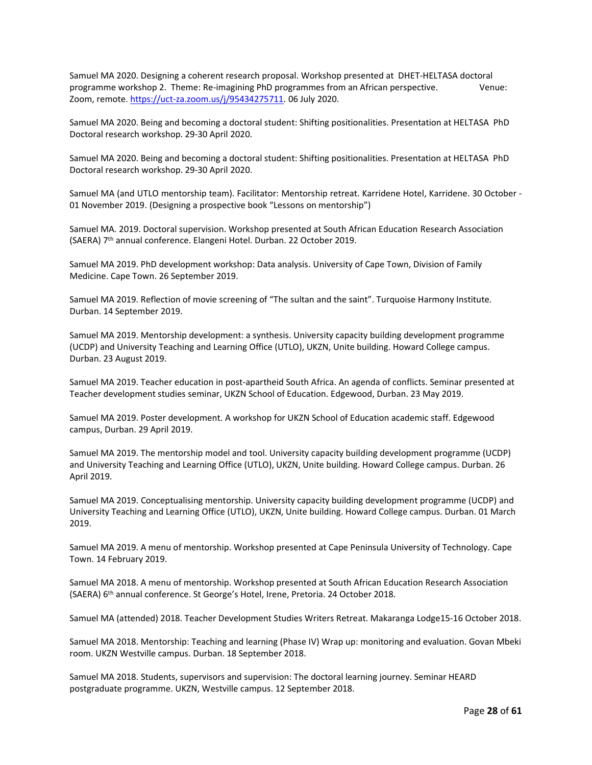Samuel MA 2020. Designing a coherent research proposal. Workshop presented at DHET-HELTASA doctoral programme workshop 2. Theme: Re-imagining PhD programmes from an African perspective. Venue: Zoom, remote. [https://uct-za.zoom.us/j/95434275711.](https://uct-za.zoom.us/j/95434275711) 06 July 2020.

Samuel MA 2020. Being and becoming a doctoral student: Shifting positionalities. Presentation at HELTASA PhD Doctoral research workshop. 29-30 April 2020.

Samuel MA 2020. Being and becoming a doctoral student: Shifting positionalities. Presentation at HELTASA PhD Doctoral research workshop. 29-30 April 2020.

Samuel MA (and UTLO mentorship team). Facilitator: Mentorship retreat. Karridene Hotel, Karridene. 30 October - 01 November 2019. (Designing a prospective book "Lessons on mentorship")

Samuel MA. 2019. Doctoral supervision. Workshop presented at South African Education Research Association (SAERA) 7th annual conference. Elangeni Hotel. Durban. 22 October 2019.

Samuel MA 2019. PhD development workshop: Data analysis. University of Cape Town, Division of Family Medicine. Cape Town. 26 September 2019.

Samuel MA 2019. Reflection of movie screening of "The sultan and the saint". Turquoise Harmony Institute. Durban. 14 September 2019.

Samuel MA 2019. Mentorship development: a synthesis. University capacity building development programme (UCDP) and University Teaching and Learning Office (UTLO), UKZN, Unite building. Howard College campus. Durban. 23 August 2019.

Samuel MA 2019. Teacher education in post-apartheid South Africa. An agenda of conflicts. Seminar presented at Teacher development studies seminar, UKZN School of Education. Edgewood, Durban. 23 May 2019.

Samuel MA 2019. Poster development. A workshop for UKZN School of Education academic staff. Edgewood campus, Durban. 29 April 2019.

Samuel MA 2019. The mentorship model and tool. University capacity building development programme (UCDP) and University Teaching and Learning Office (UTLO), UKZN, Unite building. Howard College campus. Durban. 26 April 2019.

Samuel MA 2019. Conceptualising mentorship. University capacity building development programme (UCDP) and University Teaching and Learning Office (UTLO), UKZN, Unite building. Howard College campus. Durban. 01 March 2019.

Samuel MA 2019. A menu of mentorship. Workshop presented at Cape Peninsula University of Technology. Cape Town. 14 February 2019.

Samuel MA 2018. A menu of mentorship. Workshop presented at South African Education Research Association (SAERA) 6th annual conference. St George's Hotel, Irene, Pretoria. 24 October 2018.

Samuel MA (attended) 2018. Teacher Development Studies Writers Retreat. Makaranga Lodge15-16 October 2018.

Samuel MA 2018. Mentorship: Teaching and learning (Phase IV) Wrap up: monitoring and evaluation. Govan Mbeki room. UKZN Westville campus. Durban. 18 September 2018.

Samuel MA 2018. Students, supervisors and supervision: The doctoral learning journey. Seminar HEARD postgraduate programme. UKZN, Westville campus. 12 September 2018.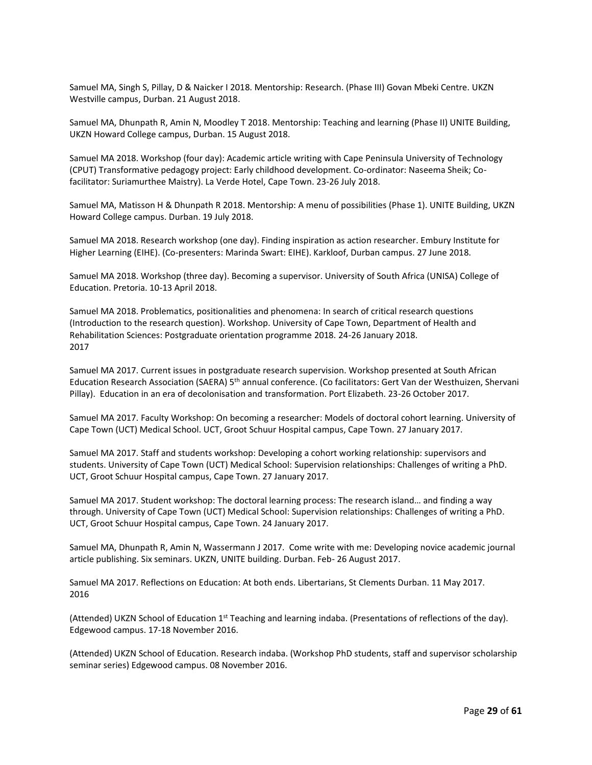Samuel MA, Singh S, Pillay, D & Naicker I 2018. Mentorship: Research. (Phase III) Govan Mbeki Centre. UKZN Westville campus, Durban. 21 August 2018.

Samuel MA, Dhunpath R, Amin N, Moodley T 2018. Mentorship: Teaching and learning (Phase II) UNITE Building, UKZN Howard College campus, Durban. 15 August 2018.

Samuel MA 2018. Workshop (four day): Academic article writing with Cape Peninsula University of Technology (CPUT) Transformative pedagogy project: Early childhood development. Co-ordinator: Naseema Sheik; Cofacilitator: Suriamurthee Maistry). La Verde Hotel, Cape Town. 23-26 July 2018.

Samuel MA, Matisson H & Dhunpath R 2018. Mentorship: A menu of possibilities (Phase 1). UNITE Building, UKZN Howard College campus. Durban. 19 July 2018.

Samuel MA 2018. Research workshop (one day). Finding inspiration as action researcher. Embury Institute for Higher Learning (EIHE). (Co-presenters: Marinda Swart: EIHE). Karkloof, Durban campus. 27 June 2018.

Samuel MA 2018. Workshop (three day). Becoming a supervisor. University of South Africa (UNISA) College of Education. Pretoria. 10-13 April 2018.

Samuel MA 2018. Problematics, positionalities and phenomena: In search of critical research questions (Introduction to the research question). Workshop. University of Cape Town, Department of Health and Rehabilitation Sciences: Postgraduate orientation programme 2018. 24-26 January 2018. 2017

Samuel MA 2017. Current issues in postgraduate research supervision. Workshop presented at South African Education Research Association (SAERA) 5th annual conference. (Co facilitators: Gert Van der Westhuizen, Shervani Pillay). Education in an era of decolonisation and transformation. Port Elizabeth. 23-26 October 2017.

Samuel MA 2017. Faculty Workshop: On becoming a researcher: Models of doctoral cohort learning. University of Cape Town (UCT) Medical School. UCT, Groot Schuur Hospital campus, Cape Town. 27 January 2017.

Samuel MA 2017. Staff and students workshop: Developing a cohort working relationship: supervisors and students. University of Cape Town (UCT) Medical School: Supervision relationships: Challenges of writing a PhD. UCT, Groot Schuur Hospital campus, Cape Town. 27 January 2017.

Samuel MA 2017. Student workshop: The doctoral learning process: The research island… and finding a way through. University of Cape Town (UCT) Medical School: Supervision relationships: Challenges of writing a PhD. UCT, Groot Schuur Hospital campus, Cape Town. 24 January 2017.

Samuel MA, Dhunpath R, Amin N, Wassermann J 2017. Come write with me: Developing novice academic journal article publishing. Six seminars. UKZN, UNITE building. Durban. Feb- 26 August 2017.

Samuel MA 2017. Reflections on Education: At both ends. Libertarians, St Clements Durban. 11 May 2017. 2016

(Attended) UKZN School of Education 1st Teaching and learning indaba. (Presentations of reflections of the day). Edgewood campus. 17-18 November 2016.

(Attended) UKZN School of Education. Research indaba. (Workshop PhD students, staff and supervisor scholarship seminar series) Edgewood campus. 08 November 2016.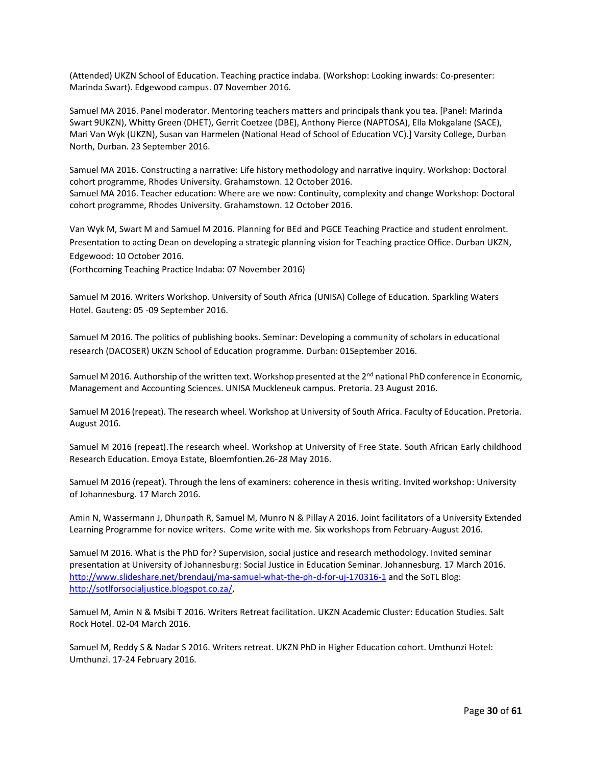(Attended) UKZN School of Education. Teaching practice indaba. (Workshop: Looking inwards: Co-presenter: Marinda Swart). Edgewood campus. 07 November 2016.

Samuel MA 2016. Panel moderator. Mentoring teachers matters and principals thank you tea. [Panel: Marinda Swart 9UKZN), Whitty Green (DHET), Gerrit Coetzee (DBE), Anthony Pierce (NAPTOSA), Ella Mokgalane (SACE), Mari Van Wyk (UKZN), Susan van Harmelen (National Head of School of Education VC).] Varsity College, Durban North, Durban. 23 September 2016.

Samuel MA 2016. Constructing a narrative: Life history methodology and narrative inquiry. Workshop: Doctoral cohort programme, Rhodes University. Grahamstown. 12 October 2016. Samuel MA 2016. Teacher education: Where are we now: Continuity, complexity and change Workshop: Doctoral cohort programme, Rhodes University. Grahamstown. 12 October 2016.

Van Wyk M, Swart M and Samuel M 2016. Planning for BEd and PGCE Teaching Practice and student enrolment. Presentation to acting Dean on developing a strategic planning vision for Teaching practice Office. Durban UKZN, Edgewood: 10 October 2016.

(Forthcoming Teaching Practice Indaba: 07 November 2016)

Samuel M 2016. Writers Workshop. University of South Africa (UNISA) College of Education. Sparkling Waters Hotel. Gauteng: 05 -09 September 2016.

Samuel M 2016. The politics of publishing books. Seminar: Developing a community of scholars in educational research (DACOSER) UKZN School of Education programme. Durban: 01September 2016.

Samuel M 2016. Authorship of the written text. Workshop presented at the  $2^{nd}$  national PhD conference in Economic, Management and Accounting Sciences. UNISA Muckleneuk campus. Pretoria. 23 August 2016.

Samuel M 2016 (repeat). The research wheel. Workshop at University of South Africa. Faculty of Education. Pretoria. August 2016.

Samuel M 2016 (repeat).The research wheel. Workshop at University of Free State. South African Early childhood Research Education. Emoya Estate, Bloemfontien.26-28 May 2016.

Samuel M 2016 (repeat). Through the lens of examiners: coherence in thesis writing. Invited workshop: University of Johannesburg. 17 March 2016.

Amin N, Wassermann J, Dhunpath R, Samuel M, Munro N & Pillay A 2016. Joint facilitators of a University Extended Learning Programme for novice writers. Come write with me. Six workshops from February-August 2016.

Samuel M 2016. What is the PhD for? Supervision, social justice and research methodology. Invited seminar presentation at University of Johannesburg: Social Justice in Education Seminar. Johannesburg. 17 March 2016. <http://www.slideshare.net/brendauj/ma-samuel-what-the-ph-d-for-uj-170316-1> and the SoTL Blog: [http://sotlforsocialjustice.blogspot.co.za/,](http://sotlforsocialjustice.blogspot.co.za/)

Samuel M, Amin N & Msibi T 2016. Writers Retreat facilitation. UKZN Academic Cluster: Education Studies. Salt Rock Hotel. 02-04 March 2016.

Samuel M, Reddy S & Nadar S 2016. Writers retreat. UKZN PhD in Higher Education cohort. Umthunzi Hotel: Umthunzi. 17-24 February 2016.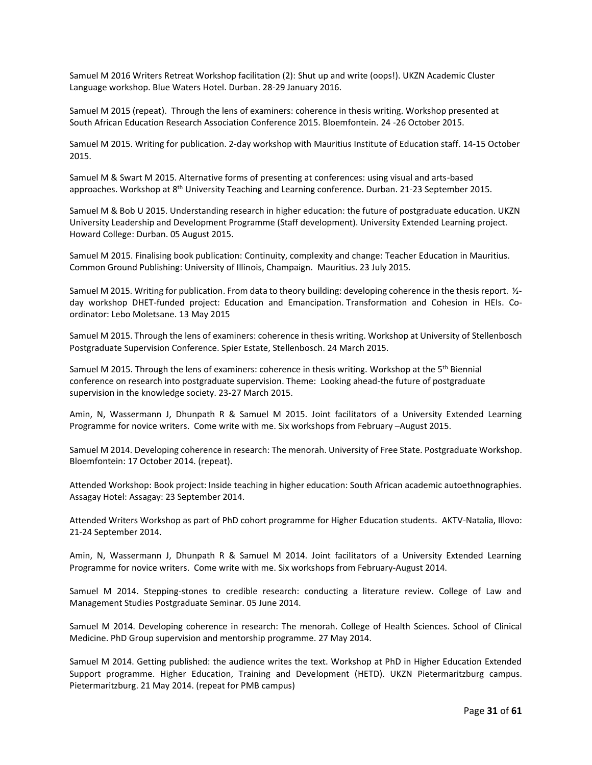Samuel M 2016 Writers Retreat Workshop facilitation (2): Shut up and write (oops!). UKZN Academic Cluster Language workshop. Blue Waters Hotel. Durban. 28-29 January 2016.

Samuel M 2015 (repeat). Through the lens of examiners: coherence in thesis writing. Workshop presented at South African Education Research Association Conference 2015. Bloemfontein. 24 -26 October 2015.

Samuel M 2015. Writing for publication. 2-day workshop with Mauritius Institute of Education staff. 14-15 October 2015.

Samuel M & Swart M 2015. Alternative forms of presenting at conferences: using visual and arts-based approaches. Workshop at 8th University Teaching and Learning conference. Durban. 21-23 September 2015.

Samuel M & Bob U 2015. Understanding research in higher education: the future of postgraduate education. UKZN University Leadership and Development Programme (Staff development). University Extended Learning project. Howard College: Durban. 05 August 2015.

Samuel M 2015. Finalising book publication: Continuity, complexity and change: Teacher Education in Mauritius. Common Ground Publishing: University of Illinois, Champaign. Mauritius. 23 July 2015.

Samuel M 2015. Writing for publication. From data to theory building: developing coherence in the thesis report. ½ day workshop DHET-funded project: Education and Emancipation. Transformation and Cohesion in HEIs. Coordinator: Lebo Moletsane. 13 May 2015

Samuel M 2015. Through the lens of examiners: coherence in thesis writing. Workshop at University of Stellenbosch Postgraduate Supervision Conference. Spier Estate, Stellenbosch. 24 March 2015.

Samuel M 2015. Through the lens of examiners: coherence in thesis writing. Workshop at the 5<sup>th</sup> Biennial conference on research into postgraduate supervision. Theme: Looking ahead-the future of postgraduate supervision in the knowledge society. 23-27 March 2015.

Amin, N, Wassermann J, Dhunpath R & Samuel M 2015. Joint facilitators of a University Extended Learning Programme for novice writers. Come write with me. Six workshops from February –August 2015.

Samuel M 2014. Developing coherence in research: The menorah. University of Free State. Postgraduate Workshop. Bloemfontein: 17 October 2014. (repeat).

Attended Workshop: Book project: Inside teaching in higher education: South African academic autoethnographies. Assagay Hotel: Assagay: 23 September 2014.

Attended Writers Workshop as part of PhD cohort programme for Higher Education students. AKTV-Natalia, Illovo: 21-24 September 2014.

Amin, N, Wassermann J, Dhunpath R & Samuel M 2014. Joint facilitators of a University Extended Learning Programme for novice writers. Come write with me. Six workshops from February-August 2014.

Samuel M 2014. Stepping-stones to credible research: conducting a literature review. College of Law and Management Studies Postgraduate Seminar. 05 June 2014.

Samuel M 2014. Developing coherence in research: The menorah. College of Health Sciences. School of Clinical Medicine. PhD Group supervision and mentorship programme. 27 May 2014.

Samuel M 2014. Getting published: the audience writes the text. Workshop at PhD in Higher Education Extended Support programme. Higher Education, Training and Development (HETD). UKZN Pietermaritzburg campus. Pietermaritzburg. 21 May 2014. (repeat for PMB campus)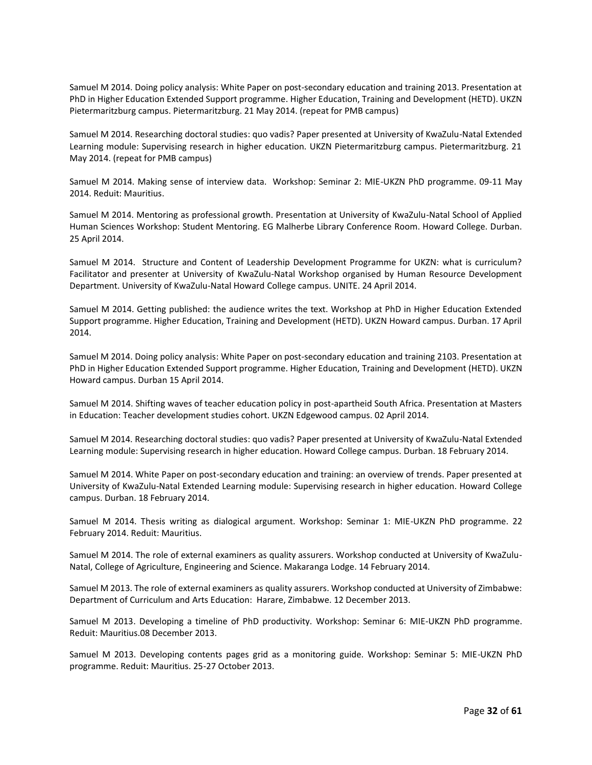Samuel M 2014. Doing policy analysis: White Paper on post-secondary education and training 2013. Presentation at PhD in Higher Education Extended Support programme. Higher Education, Training and Development (HETD). UKZN Pietermaritzburg campus. Pietermaritzburg. 21 May 2014. (repeat for PMB campus)

Samuel M 2014. Researching doctoral studies: quo vadis? Paper presented at University of KwaZulu-Natal Extended Learning module: Supervising research in higher education. UKZN Pietermaritzburg campus. Pietermaritzburg. 21 May 2014. (repeat for PMB campus)

Samuel M 2014. Making sense of interview data. Workshop: Seminar 2: MIE-UKZN PhD programme. 09-11 May 2014. Reduit: Mauritius.

Samuel M 2014. Mentoring as professional growth. Presentation at University of KwaZulu-Natal School of Applied Human Sciences Workshop: Student Mentoring. EG Malherbe Library Conference Room. Howard College. Durban. 25 April 2014.

Samuel M 2014. Structure and Content of Leadership Development Programme for UKZN: what is curriculum? Facilitator and presenter at University of KwaZulu-Natal Workshop organised by Human Resource Development Department. University of KwaZulu-Natal Howard College campus. UNITE. 24 April 2014.

Samuel M 2014. Getting published: the audience writes the text. Workshop at PhD in Higher Education Extended Support programme. Higher Education, Training and Development (HETD). UKZN Howard campus. Durban. 17 April 2014.

Samuel M 2014. Doing policy analysis: White Paper on post-secondary education and training 2103. Presentation at PhD in Higher Education Extended Support programme. Higher Education, Training and Development (HETD). UKZN Howard campus. Durban 15 April 2014.

Samuel M 2014. Shifting waves of teacher education policy in post-apartheid South Africa. Presentation at Masters in Education: Teacher development studies cohort. UKZN Edgewood campus. 02 April 2014.

Samuel M 2014. Researching doctoral studies: quo vadis? Paper presented at University of KwaZulu-Natal Extended Learning module: Supervising research in higher education. Howard College campus. Durban. 18 February 2014.

Samuel M 2014. White Paper on post-secondary education and training: an overview of trends. Paper presented at University of KwaZulu-Natal Extended Learning module: Supervising research in higher education. Howard College campus. Durban. 18 February 2014.

Samuel M 2014. Thesis writing as dialogical argument. Workshop: Seminar 1: MIE-UKZN PhD programme. 22 February 2014. Reduit: Mauritius.

Samuel M 2014. The role of external examiners as quality assurers. Workshop conducted at University of KwaZulu-Natal, College of Agriculture, Engineering and Science. Makaranga Lodge. 14 February 2014.

Samuel M 2013. The role of external examiners as quality assurers. Workshop conducted at University of Zimbabwe: Department of Curriculum and Arts Education: Harare, Zimbabwe. 12 December 2013.

Samuel M 2013. Developing a timeline of PhD productivity. Workshop: Seminar 6: MIE-UKZN PhD programme. Reduit: Mauritius.08 December 2013.

Samuel M 2013. Developing contents pages grid as a monitoring guide. Workshop: Seminar 5: MIE-UKZN PhD programme. Reduit: Mauritius. 25-27 October 2013.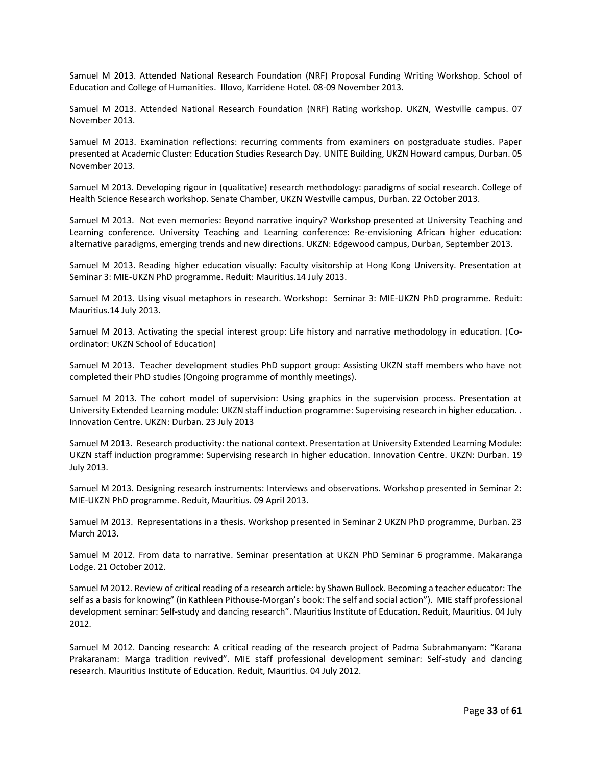Samuel M 2013. Attended National Research Foundation (NRF) Proposal Funding Writing Workshop. School of Education and College of Humanities. Illovo, Karridene Hotel. 08-09 November 2013.

Samuel M 2013. Attended National Research Foundation (NRF) Rating workshop. UKZN, Westville campus. 07 November 2013.

Samuel M 2013. Examination reflections: recurring comments from examiners on postgraduate studies. Paper presented at Academic Cluster: Education Studies Research Day. UNITE Building, UKZN Howard campus, Durban. 05 November 2013.

Samuel M 2013. Developing rigour in (qualitative) research methodology: paradigms of social research. College of Health Science Research workshop. Senate Chamber, UKZN Westville campus, Durban. 22 October 2013.

Samuel M 2013. Not even memories: Beyond narrative inquiry? Workshop presented at University Teaching and Learning conference. University Teaching and Learning conference: Re-envisioning African higher education: alternative paradigms, emerging trends and new directions. UKZN: Edgewood campus, Durban, September 2013.

Samuel M 2013. Reading higher education visually: Faculty visitorship at Hong Kong University. Presentation at Seminar 3: MIE-UKZN PhD programme. Reduit: Mauritius.14 July 2013.

Samuel M 2013. Using visual metaphors in research. Workshop: Seminar 3: MIE-UKZN PhD programme. Reduit: Mauritius.14 July 2013.

Samuel M 2013. Activating the special interest group: Life history and narrative methodology in education. (Coordinator: UKZN School of Education)

Samuel M 2013. Teacher development studies PhD support group: Assisting UKZN staff members who have not completed their PhD studies (Ongoing programme of monthly meetings).

Samuel M 2013. The cohort model of supervision: Using graphics in the supervision process. Presentation at University Extended Learning module: UKZN staff induction programme: Supervising research in higher education. . Innovation Centre. UKZN: Durban. 23 July 2013

Samuel M 2013. Research productivity: the national context. Presentation at University Extended Learning Module: UKZN staff induction programme: Supervising research in higher education. Innovation Centre. UKZN: Durban. 19 July 2013.

Samuel M 2013. Designing research instruments: Interviews and observations. Workshop presented in Seminar 2: MIE-UKZN PhD programme. Reduit, Mauritius. 09 April 2013.

Samuel M 2013. Representations in a thesis. Workshop presented in Seminar 2 UKZN PhD programme, Durban. 23 March 2013.

Samuel M 2012. From data to narrative. Seminar presentation at UKZN PhD Seminar 6 programme. Makaranga Lodge. 21 October 2012.

Samuel M 2012. Review of critical reading of a research article: by Shawn Bullock. Becoming a teacher educator: The self as a basis for knowing" (in Kathleen Pithouse-Morgan's book: The self and social action"). MIE staff professional development seminar: Self-study and dancing research". Mauritius Institute of Education. Reduit, Mauritius. 04 July 2012.

Samuel M 2012. Dancing research: A critical reading of the research project of Padma Subrahmanyam: "Karana Prakaranam: Marga tradition revived". MIE staff professional development seminar: Self-study and dancing research. Mauritius Institute of Education. Reduit, Mauritius. 04 July 2012.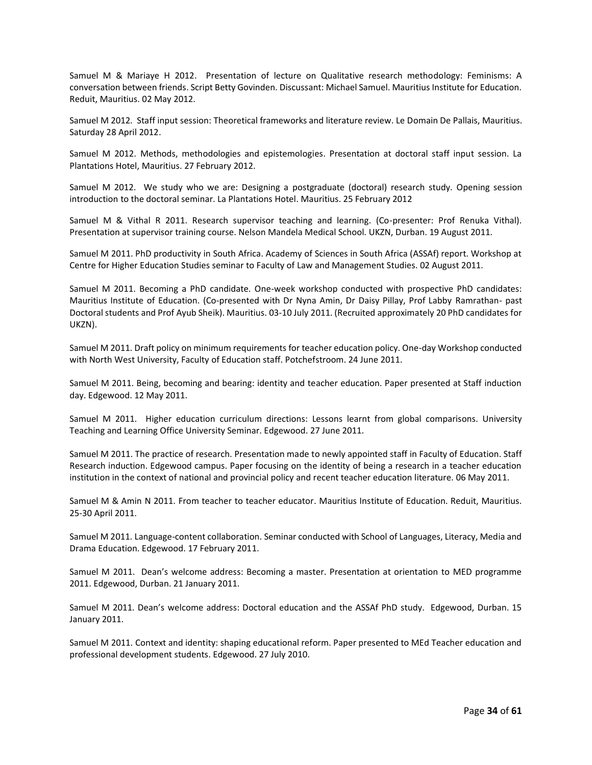Samuel M & Mariaye H 2012. Presentation of lecture on Qualitative research methodology: Feminisms: A conversation between friends. Script Betty Govinden. Discussant: Michael Samuel. Mauritius Institute for Education. Reduit, Mauritius. 02 May 2012.

Samuel M 2012. Staff input session: Theoretical frameworks and literature review. Le Domain De Pallais, Mauritius. Saturday 28 April 2012.

Samuel M 2012. Methods, methodologies and epistemologies. Presentation at doctoral staff input session. La Plantations Hotel, Mauritius. 27 February 2012.

Samuel M 2012. We study who we are: Designing a postgraduate (doctoral) research study. Opening session introduction to the doctoral seminar. La Plantations Hotel. Mauritius. 25 February 2012

Samuel M & Vithal R 2011. Research supervisor teaching and learning. (Co-presenter: Prof Renuka Vithal). Presentation at supervisor training course. Nelson Mandela Medical School. UKZN, Durban. 19 August 2011.

Samuel M 2011. PhD productivity in South Africa. Academy of Sciences in South Africa (ASSAf) report. Workshop at Centre for Higher Education Studies seminar to Faculty of Law and Management Studies. 02 August 2011.

Samuel M 2011. Becoming a PhD candidate. One-week workshop conducted with prospective PhD candidates: Mauritius Institute of Education. (Co-presented with Dr Nyna Amin, Dr Daisy Pillay, Prof Labby Ramrathan- past Doctoral students and Prof Ayub Sheik). Mauritius. 03-10 July 2011. (Recruited approximately 20 PhD candidates for UKZN).

Samuel M 2011. Draft policy on minimum requirements for teacher education policy. One-day Workshop conducted with North West University, Faculty of Education staff. Potchefstroom. 24 June 2011.

Samuel M 2011. Being, becoming and bearing: identity and teacher education. Paper presented at Staff induction day. Edgewood. 12 May 2011.

Samuel M 2011. Higher education curriculum directions: Lessons learnt from global comparisons. University Teaching and Learning Office University Seminar. Edgewood. 27 June 2011.

Samuel M 2011. The practice of research. Presentation made to newly appointed staff in Faculty of Education. Staff Research induction. Edgewood campus. Paper focusing on the identity of being a research in a teacher education institution in the context of national and provincial policy and recent teacher education literature. 06 May 2011.

Samuel M & Amin N 2011. From teacher to teacher educator. Mauritius Institute of Education. Reduit, Mauritius. 25-30 April 2011.

Samuel M 2011. Language-content collaboration. Seminar conducted with School of Languages, Literacy, Media and Drama Education. Edgewood. 17 February 2011.

Samuel M 2011. Dean's welcome address: Becoming a master. Presentation at orientation to MED programme 2011. Edgewood, Durban. 21 January 2011.

Samuel M 2011. Dean's welcome address: Doctoral education and the ASSAf PhD study. Edgewood, Durban. 15 January 2011.

Samuel M 2011. Context and identity: shaping educational reform. Paper presented to MEd Teacher education and professional development students. Edgewood. 27 July 2010.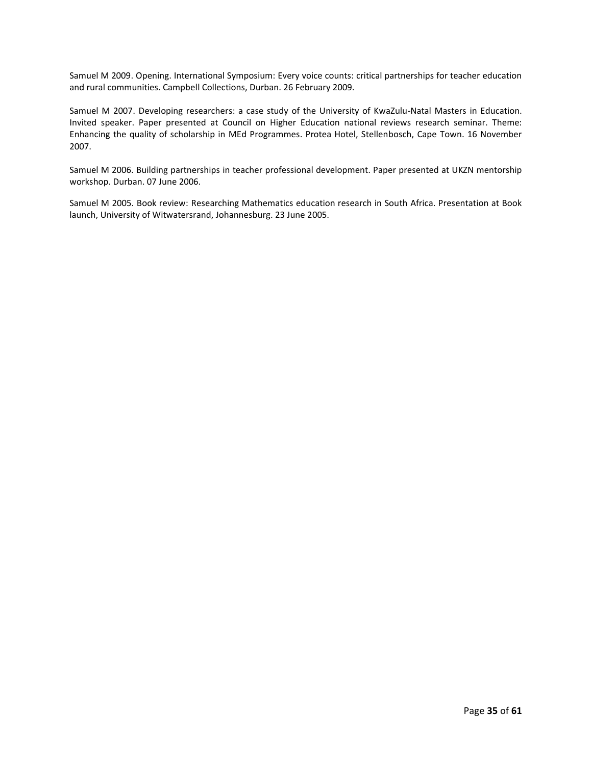Samuel M 2009. Opening. International Symposium: Every voice counts: critical partnerships for teacher education and rural communities. Campbell Collections, Durban. 26 February 2009.

Samuel M 2007. Developing researchers: a case study of the University of KwaZulu-Natal Masters in Education. Invited speaker. Paper presented at Council on Higher Education national reviews research seminar. Theme: Enhancing the quality of scholarship in MEd Programmes. Protea Hotel, Stellenbosch, Cape Town. 16 November 2007.

Samuel M 2006. Building partnerships in teacher professional development. Paper presented at UKZN mentorship workshop. Durban. 07 June 2006.

Samuel M 2005. Book review: Researching Mathematics education research in South Africa. Presentation at Book launch, University of Witwatersrand, Johannesburg. 23 June 2005.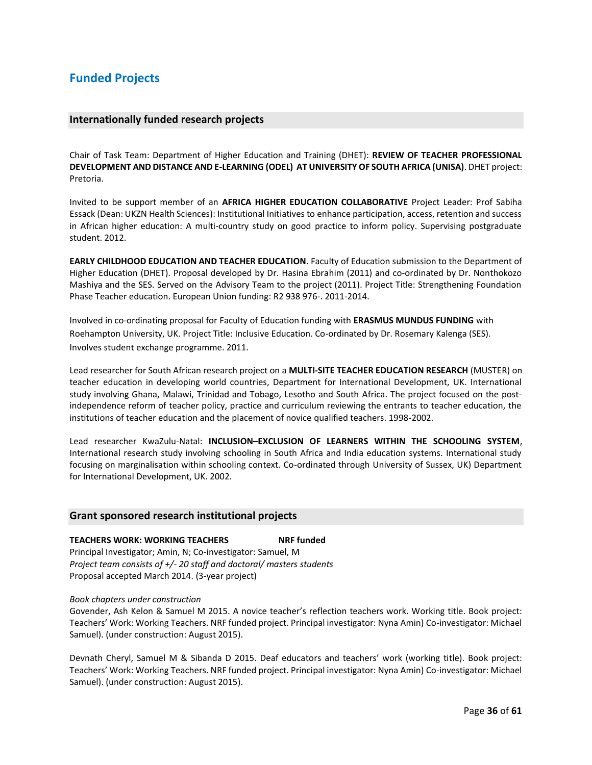### **Funded Projects**

#### **Internationally funded research projects**

Chair of Task Team: Department of Higher Education and Training (DHET): **REVIEW OF TEACHER PROFESSIONAL DEVELOPMENT AND DISTANCE AND E-LEARNING (ODEL) AT UNIVERSITY OF SOUTH AFRICA (UNISA)**. DHET project: Pretoria.

Invited to be support member of an **AFRICA HIGHER EDUCATION COLLABORATIVE** Project Leader: Prof Sabiha Essack (Dean: UKZN Health Sciences): Institutional Initiatives to enhance participation, access, retention and success in African higher education: A multi-country study on good practice to inform policy. Supervising postgraduate student. 2012.

**EARLY CHILDHOOD EDUCATION AND TEACHER EDUCATION**. Faculty of Education submission to the Department of Higher Education (DHET). Proposal developed by Dr. Hasina Ebrahim (2011) and co-ordinated by Dr. Nonthokozo Mashiya and the SES. Served on the Advisory Team to the project (2011). Project Title: Strengthening Foundation Phase Teacher education. European Union funding: R2 938 976-. 2011-2014.

Involved in co-ordinating proposal for Faculty of Education funding with **ERASMUS MUNDUS FUNDING** with Roehampton University, UK. Project Title: Inclusive Education. Co-ordinated by Dr. Rosemary Kalenga (SES). Involves student exchange programme. 2011.

Lead researcher for South African research project on a **MULTI-SITE TEACHER EDUCATION RESEARCH** (MUSTER) on teacher education in developing world countries, Department for International Development, UK. International study involving Ghana, Malawi, Trinidad and Tobago, Lesotho and South Africa. The project focused on the postindependence reform of teacher policy, practice and curriculum reviewing the entrants to teacher education, the institutions of teacher education and the placement of novice qualified teachers. 1998-2002.

Lead researcher KwaZulu-Natal: **INCLUSION–EXCLUSION OF LEARNERS WITHIN THE SCHOOLING SYSTEM**, International research study involving schooling in South Africa and India education systems. International study focusing on marginalisation within schooling context. Co-ordinated through University of Sussex, UK) Department for International Development, UK. 2002.

#### **Grant sponsored research institutional projects**

#### **TEACHERS WORK: WORKING TEACHERS NRF funded**

Principal Investigator; Amin, N; Co-investigator: Samuel, M *Project team consists of +/- 20 staff and doctoral/ masters students* Proposal accepted March 2014. (3-year project)

#### *Book chapters under construction*

Govender, Ash Kelon & Samuel M 2015. A novice teacher's reflection teachers work. Working title. Book project: Teachers' Work: Working Teachers. NRF funded project. Principal investigator: Nyna Amin) Co-investigator: Michael Samuel). (under construction: August 2015).

Devnath Cheryl, Samuel M & Sibanda D 2015. Deaf educators and teachers' work (working title). Book project: Teachers' Work: Working Teachers. NRF funded project. Principal investigator: Nyna Amin) Co-investigator: Michael Samuel). (under construction: August 2015).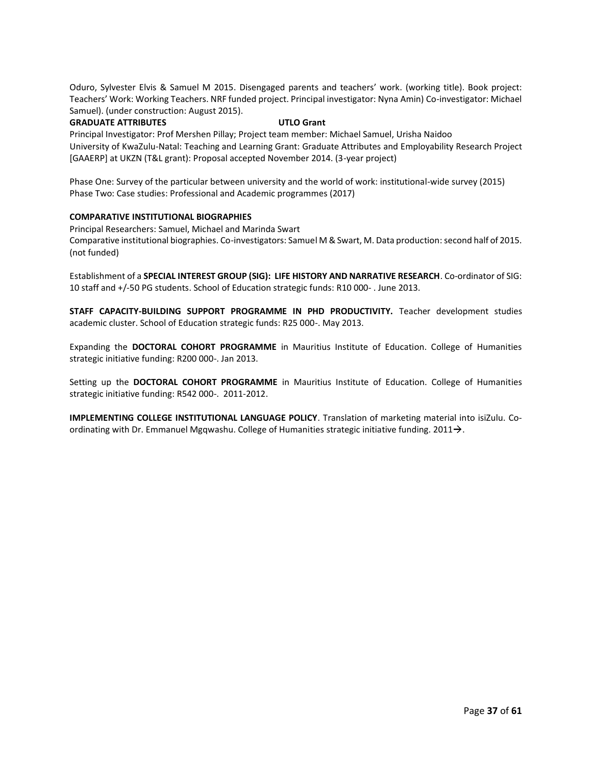Oduro, Sylvester Elvis & Samuel M 2015. Disengaged parents and teachers' work. (working title). Book project: Teachers' Work: Working Teachers. NRF funded project. Principal investigator: Nyna Amin) Co-investigator: Michael Samuel). (under construction: August 2015).

#### **GRADUATE ATTRIBUTES UTLO Grant**

Principal Investigator: Prof Mershen Pillay; Project team member: Michael Samuel, Urisha Naidoo University of KwaZulu-Natal: Teaching and Learning Grant: Graduate Attributes and Employability Research Project [GAAERP] at UKZN (T&L grant): Proposal accepted November 2014. (3-year project)

Phase One: Survey of the particular between university and the world of work: institutional-wide survey (2015) Phase Two: Case studies: Professional and Academic programmes (2017)

#### **COMPARATIVE INSTITUTIONAL BIOGRAPHIES**

Principal Researchers: Samuel, Michael and Marinda Swart Comparative institutional biographies. Co-investigators: Samuel M & Swart, M. Data production: second half of 2015. (not funded)

Establishment of a **SPECIAL INTEREST GROUP (SIG): LIFE HISTORY AND NARRATIVE RESEARCH**. Co-ordinator of SIG: 10 staff and +/-50 PG students. School of Education strategic funds: R10 000- . June 2013.

**STAFF CAPACITY-BUILDING SUPPORT PROGRAMME IN PHD PRODUCTIVITY.** Teacher development studies academic cluster. School of Education strategic funds: R25 000-. May 2013.

Expanding the **DOCTORAL COHORT PROGRAMME** in Mauritius Institute of Education. College of Humanities strategic initiative funding: R200 000-. Jan 2013.

Setting up the **DOCTORAL COHORT PROGRAMME** in Mauritius Institute of Education. College of Humanities strategic initiative funding: R542 000-. 2011-2012.

**IMPLEMENTING COLLEGE INSTITUTIONAL LANGUAGE POLICY**. Translation of marketing material into isiZulu. Coordinating with Dr. Emmanuel Mgqwashu. College of Humanities strategic initiative funding. 2011 $\rightarrow$ .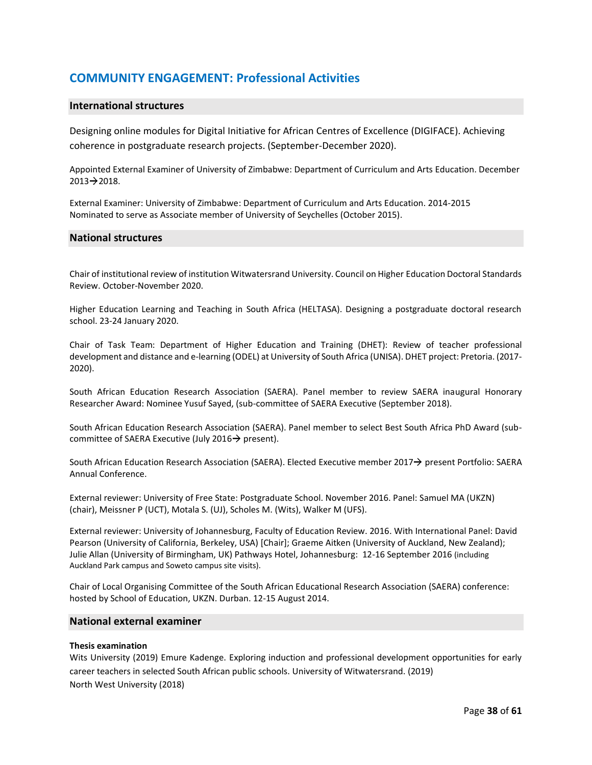### **COMMUNITY ENGAGEMENT: Professional Activities**

#### **International structures**

Designing online modules for Digital Initiative for African Centres of Excellence (DIGIFACE). Achieving coherence in postgraduate research projects. (September-December 2020).

Appointed External Examiner of University of Zimbabwe: Department of Curriculum and Arts Education. December  $2013 \rightarrow 2018$ .

External Examiner: University of Zimbabwe: Department of Curriculum and Arts Education. 2014-2015 Nominated to serve as Associate member of University of Seychelles (October 2015).

#### **National structures**

Chair of institutional review of institution Witwatersrand University. Council on Higher Education Doctoral Standards Review. October-November 2020.

Higher Education Learning and Teaching in South Africa (HELTASA). Designing a postgraduate doctoral research school. 23-24 January 2020.

Chair of Task Team: Department of Higher Education and Training (DHET): Review of teacher professional development and distance and e-learning (ODEL) at University of South Africa (UNISA). DHET project: Pretoria. (2017- 2020).

South African Education Research Association (SAERA). Panel member to review SAERA inaugural Honorary Researcher Award: Nominee Yusuf Sayed, (sub-committee of SAERA Executive (September 2018).

South African Education Research Association (SAERA). Panel member to select Best South Africa PhD Award (subcommittee of SAERA Executive (July 2016 $\rightarrow$  present).

South African Education Research Association (SAERA). Elected Executive member 2017→ present Portfolio: SAERA Annual Conference.

External reviewer: University of Free State: Postgraduate School. November 2016. Panel: Samuel MA (UKZN) (chair), Meissner P (UCT), Motala S. (UJ), Scholes M. (Wits), Walker M (UFS).

External reviewer: University of Johannesburg, Faculty of Education Review. 2016. With International Panel: David Pearson (University of California, Berkeley, USA) [Chair]; Graeme Aitken (University of Auckland, New Zealand); Julie Allan (University of Birmingham, UK) Pathways Hotel, Johannesburg: 12-16 September 2016 (including Auckland Park campus and Soweto campus site visits).

Chair of Local Organising Committee of the South African Educational Research Association (SAERA) conference: hosted by School of Education, UKZN. Durban. 12-15 August 2014.

#### **National external examiner**

#### **Thesis examination**

Wits University (2019) Emure Kadenge. Exploring induction and professional development opportunities for early career teachers in selected South African public schools. University of Witwatersrand. (2019) North West University (2018)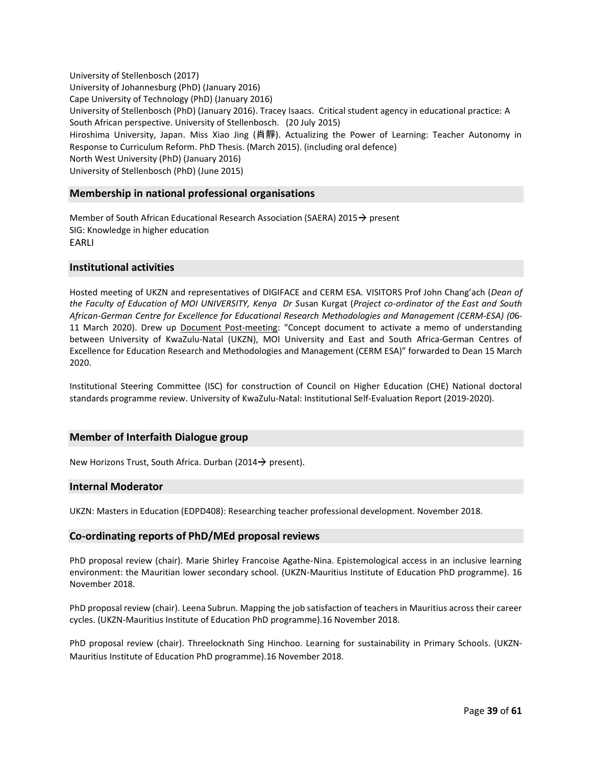University of Stellenbosch (2017) University of Johannesburg (PhD) (January 2016) Cape University of Technology (PhD) (January 2016) University of Stellenbosch (PhD) (January 2016). Tracey Isaacs. Critical student agency in educational practice: A South African perspective. University of Stellenbosch. (20 July 2015) Hiroshima University, Japan. Miss Xiao Jing (肖靜). Actualizing the Power of Learning: Teacher Autonomy in Response to Curriculum Reform. PhD Thesis. (March 2015). (including oral defence) North West University (PhD) (January 2016) University of Stellenbosch (PhD) (June 2015)

#### **Membership in national professional organisations**

Member of South African Educational Research Association (SAERA) 2015 $\rightarrow$  present SIG: Knowledge in higher education EARLI

#### **Institutional activities**

Hosted meeting of UKZN and representatives of DIGIFACE and CERM ESA. VISITORS Prof John Chang'ach (*Dean of the Faculty of Education of MOI UNIVERSITY, Kenya Dr S*usan Kurgat (*Project co-ordinator of the East and South African-German Centre for Excellence for Educational Research Methodologies and Management (CERM-ESA) (0*6- 11 March 2020). Drew up Document Post-meeting: "Concept document to activate a memo of understanding between University of KwaZulu-Natal (UKZN), MOI University and East and South Africa-German Centres of Excellence for Education Research and Methodologies and Management (CERM ESA)" forwarded to Dean 15 March 2020.

Institutional Steering Committee (ISC) for construction of Council on Higher Education (CHE) National doctoral standards programme review. University of KwaZulu-Natal: Institutional Self-Evaluation Report (2019-2020).

#### **Member of Interfaith Dialogue group**

New Horizons Trust, South Africa. Durban (2014 $\rightarrow$  present).

#### **Internal Moderator**

UKZN: Masters in Education (EDPD408): Researching teacher professional development. November 2018.

#### **Co-ordinating reports of PhD/MEd proposal reviews**

PhD proposal review (chair). Marie Shirley Francoise Agathe-Nina. Epistemological access in an inclusive learning environment: the Mauritian lower secondary school. (UKZN-Mauritius Institute of Education PhD programme). 16 November 2018.

PhD proposal review (chair). Leena Subrun. Mapping the job satisfaction of teachers in Mauritius across their career cycles. (UKZN-Mauritius Institute of Education PhD programme).16 November 2018.

PhD proposal review (chair). Threelocknath Sing Hinchoo. Learning for sustainability in Primary Schools. (UKZN-Mauritius Institute of Education PhD programme).16 November 2018.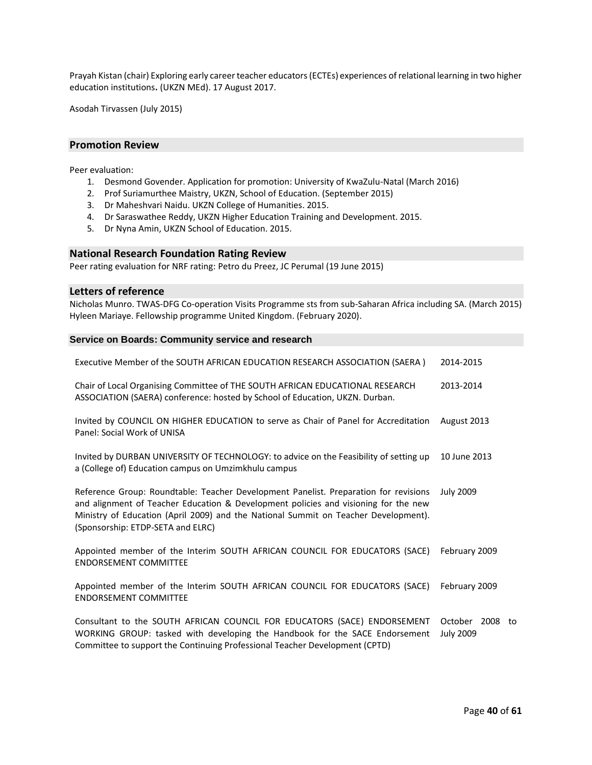Prayah Kistan (chair) Exploring early career teacher educators (ECTEs) experiences of relational learning in two higher education institutions**.** (UKZN MEd). 17 August 2017.

Asodah Tirvassen (July 2015)

#### **Promotion Review**

Peer evaluation:

- 1. Desmond Govender. Application for promotion: University of KwaZulu-Natal (March 2016)
- 2. Prof Suriamurthee Maistry, UKZN, School of Education. (September 2015)
- 3. Dr Maheshvari Naidu. UKZN College of Humanities. 2015.
- 4. Dr Saraswathee Reddy, UKZN Higher Education Training and Development. 2015.
- 5. Dr Nyna Amin, UKZN School of Education. 2015.

#### **National Research Foundation Rating Review**

Peer rating evaluation for NRF rating: Petro du Preez, JC Perumal (19 June 2015)

#### **Letters of reference**

Nicholas Munro. TWAS-DFG Co-operation Visits Programme sts from sub-Saharan Africa including SA. (March 2015) Hyleen Mariaye. Fellowship programme United Kingdom. (February 2020).

#### **Service on Boards: Community service and research**

| Executive Member of the SOUTH AFRICAN EDUCATION RESEARCH ASSOCIATION (SAERA)                                                                                                                                                                                                                            | 2014-2015                           |
|---------------------------------------------------------------------------------------------------------------------------------------------------------------------------------------------------------------------------------------------------------------------------------------------------------|-------------------------------------|
| Chair of Local Organising Committee of THE SOUTH AFRICAN EDUCATIONAL RESEARCH<br>ASSOCIATION (SAERA) conference: hosted by School of Education, UKZN. Durban.                                                                                                                                           | 2013-2014                           |
| Invited by COUNCIL ON HIGHER EDUCATION to serve as Chair of Panel for Accreditation<br>Panel: Social Work of UNISA                                                                                                                                                                                      | August 2013                         |
| Invited by DURBAN UNIVERSITY OF TECHNOLOGY: to advice on the Feasibility of setting up<br>a (College of) Education campus on Umzimkhulu campus                                                                                                                                                          | 10 June 2013                        |
| Reference Group: Roundtable: Teacher Development Panelist. Preparation for revisions<br>and alignment of Teacher Education & Development policies and visioning for the new<br>Ministry of Education (April 2009) and the National Summit on Teacher Development).<br>(Sponsorship: ETDP-SETA and ELRC) | <b>July 2009</b>                    |
| Appointed member of the Interim SOUTH AFRICAN COUNCIL FOR EDUCATORS (SACE)<br><b>ENDORSEMENT COMMITTEE</b>                                                                                                                                                                                              | February 2009                       |
| Appointed member of the Interim SOUTH AFRICAN COUNCIL FOR EDUCATORS (SACE)<br><b>ENDORSEMENT COMMITTEE</b>                                                                                                                                                                                              | February 2009                       |
| Consultant to the SOUTH AFRICAN COUNCIL FOR EDUCATORS (SACE) ENDORSEMENT<br>WORKING GROUP: tasked with developing the Handbook for the SACE Endorsement                                                                                                                                                 | October 2008 to<br><b>July 2009</b> |

Committee to support the Continuing Professional Teacher Development (CPTD)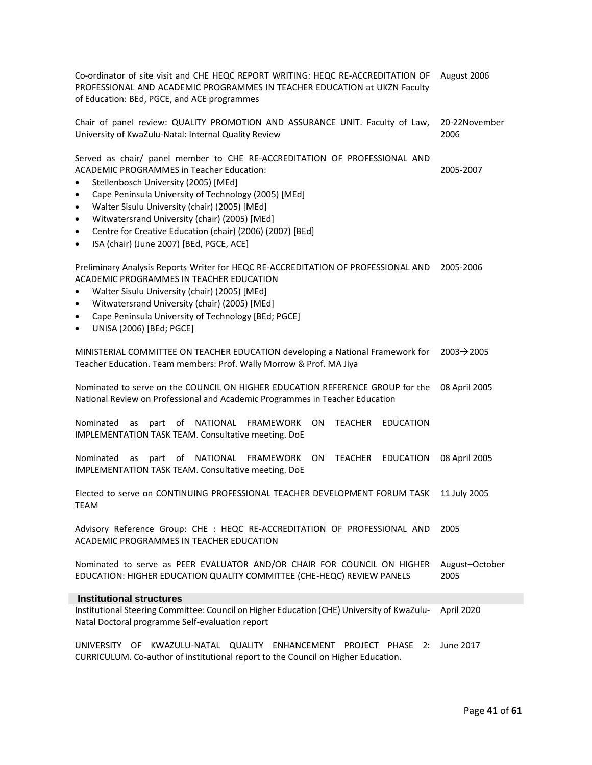Co-ordinator of site visit and CHE HEQC REPORT WRITING: HEQC RE-ACCREDITATION OF August 2006 PROFESSIONAL AND ACADEMIC PROGRAMMES IN TEACHER EDUCATION at UKZN Faculty of Education: BEd, PGCE, and ACE programmes

Chair of panel review: QUALITY PROMOTION AND ASSURANCE UNIT. Faculty of Law, University of KwaZulu-Natal: Internal Quality Review 20-22November 2006

Served as chair/ panel member to CHE RE-ACCREDITATION OF PROFESSIONAL AND ACADEMIC PROGRAMMES in Teacher Education:

2005-2007

- Stellenbosch University (2005) [MEd]
- Cape Peninsula University of Technology (2005) [MEd]
- Walter Sisulu University (chair) (2005) [MEd]
- Witwatersrand University (chair) (2005) [MEd]
- Centre for Creative Education (chair) (2006) (2007) [BEd]
- ISA (chair) (June 2007) [BEd, PGCE, ACE]

Preliminary Analysis Reports Writer for HEQC RE-ACCREDITATION OF PROFESSIONAL AND 2005-2006 ACADEMIC PROGRAMMES IN TEACHER EDUCATION

- Walter Sisulu University (chair) (2005) [MEd]
- Witwatersrand University (chair) (2005) [MEd]
- Cape Peninsula University of Technology [BEd; PGCE]
- UNISA (2006) [BEd; PGCE]

MINISTERIAL COMMITTEE ON TEACHER EDUCATION developing a National Framework for Teacher Education. Team members: Prof. Wally Morrow & Prof. MA Jiya  $2003 \rightarrow 2005$ 

Nominated to serve on the COUNCIL ON HIGHER EDUCATION REFERENCE GROUP for the National Review on Professional and Academic Programmes in Teacher Education 08 April 2005

Nominated as part of NATIONAL FRAMEWORK ON TEACHER EDUCATION IMPLEMENTATION TASK TEAM. Consultative meeting. DoE

Nominated as part of NATIONAL FRAMEWORK ON TEACHER EDUCATION IMPLEMENTATION TASK TEAM. Consultative meeting. DoE 08 April 2005

Elected to serve on CONTINUING PROFESSIONAL TEACHER DEVELOPMENT FORUM TASK TEAM 11 July 2005

Advisory Reference Group: CHE : HEQC RE-ACCREDITATION OF PROFESSIONAL AND ACADEMIC PROGRAMMES IN TEACHER EDUCATION 2005

Nominated to serve as PEER EVALUATOR AND/OR CHAIR FOR COUNCIL ON HIGHER EDUCATION: HIGHER EDUCATION QUALITY COMMITTEE (CHE-HEQC) REVIEW PANELS August–October 2005

#### **Institutional structures**

Institutional Steering Committee: Council on Higher Education (CHE) University of KwaZulu-Natal Doctoral programme Self-evaluation report April 2020

UNIVERSITY OF KWAZULU-NATAL QUALITY ENHANCEMENT PROJECT PHASE 2: June 2017CURRICULUM. Co-author of institutional report to the Council on Higher Education.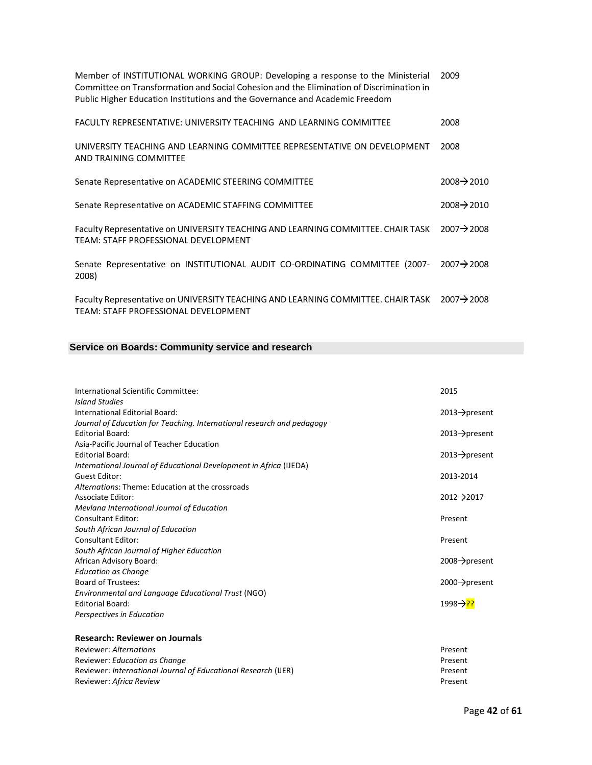| Member of INSTITUTIONAL WORKING GROUP: Developing a response to the Ministerial<br>Committee on Transformation and Social Cohesion and the Elimination of Discrimination in<br>Public Higher Education Institutions and the Governance and Academic Freedom | 2009                    |
|-------------------------------------------------------------------------------------------------------------------------------------------------------------------------------------------------------------------------------------------------------------|-------------------------|
| FACULTY REPRESENTATIVE: UNIVERSITY TEACHING AND LEARNING COMMITTEE                                                                                                                                                                                          | 2008                    |
| UNIVERSITY TEACHING AND LEARNING COMMITTEE REPRESENTATIVE ON DEVELOPMENT<br>AND TRAINING COMMITTEE                                                                                                                                                          | 2008                    |
| Senate Representative on ACADEMIC STEERING COMMITTEE                                                                                                                                                                                                        | $2008 \rightarrow 2010$ |
| Senate Representative on ACADEMIC STAFFING COMMITTEE                                                                                                                                                                                                        | $2008 \rightarrow 2010$ |
| Faculty Representative on UNIVERSITY TEACHING AND LEARNING COMMITTEE. CHAIR TASK<br>TEAM: STAFF PROFESSIONAL DEVELOPMENT                                                                                                                                    | $2007 \rightarrow 2008$ |
| Senate Representative on INSTITUTIONAL AUDIT CO-ORDINATING COMMITTEE (2007-<br>2008)                                                                                                                                                                        | $2007 \rightarrow 2008$ |
| Faculty Representative on UNIVERSITY TEACHING AND LEARNING COMMITTEE. CHAIR TASK<br>TEAM: STAFF PROFESSIONAL DEVELOPMENT                                                                                                                                    | $2007 \rightarrow 2008$ |

### **Service on Boards: Community service and research**

| International Scientific Committee:                                                 | 2015                       |
|-------------------------------------------------------------------------------------|----------------------------|
| <b>Island Studies</b>                                                               |                            |
| International Editorial Board:                                                      | $2013 \rightarrow$ present |
| Journal of Education for Teaching. International research and pedagogy              |                            |
| <b>Editorial Board:</b>                                                             | $2013 \rightarrow$ present |
| Asia-Pacific Journal of Teacher Education                                           |                            |
| <b>Editorial Board:</b>                                                             | $2013 \rightarrow$ present |
| International Journal of Educational Development in Africa (IJEDA)<br>Guest Editor: | 2013-2014                  |
| Alternations: Theme: Education at the crossroads                                    |                            |
| Associate Editor:                                                                   | $2012 \rightarrow 2017$    |
| Mevlana International Journal of Education                                          |                            |
| <b>Consultant Editor:</b>                                                           | Present                    |
| South African Journal of Education                                                  |                            |
| Consultant Editor:                                                                  | Present                    |
| South African Journal of Higher Education                                           |                            |
| African Advisory Board:                                                             | $2008 \rightarrow$ present |
| <b>Education as Change</b>                                                          |                            |
| <b>Board of Trustees:</b>                                                           | $2000 \rightarrow$ present |
| Environmental and Language Educational Trust (NGO)                                  |                            |
| <b>Editorial Board:</b>                                                             | 1998→ <mark>??</mark>      |
| Perspectives in Education                                                           |                            |
| <b>Research: Reviewer on Journals</b>                                               |                            |
| Doviouar: Altornations                                                              | Dracant                    |

| Reviewer: Alternations                                         | Present |
|----------------------------------------------------------------|---------|
| Reviewer: Education as Change                                  | Present |
| Reviewer: International Journal of Educational Research (IJER) | Present |
| Reviewer: <i>Africa Review</i>                                 | Present |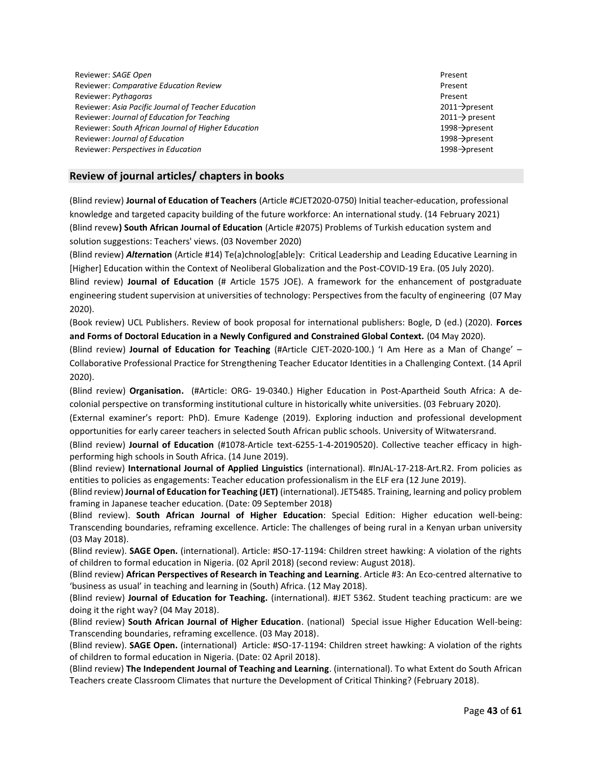**Reviewer: SAGE Open** Present Reviewer: *Comparative Education Review* Present Reviewer: Pythagoras **Present** Present Reviewer: Asia Pacific Journal of Teacher Education 2011 **compared 10 and 2011** present Reviewer: *Journal of Education for Teaching* 2011 **2011** 2011 **2011** present Reviewer: *South African Journal of Higher Education* 1998 **1998 1998** and 1998 **present** Reviewer: *Journal of Education* 1998 **and 2008** and 2008 **1998** and 2008 **1998** and 2008 **1998** and 2008 **1998** and 2008 **1998** and 2008 **1998** and 2008 **1998** and 2008 **1998** and 2008 **1998** and 2008 **1998** and 2008 **199** Reviewer: *Perspectives in Education* 1998 **and 2008** and 2008 **1998** and 2008 **1998** and 2008 **1998** and 2008 **1998** and 2008 **1998** and 2008 **1998** and 2008 **1998** and 2008 **1998** and 2008 **1998** and 2008 **1998** and 2008

#### **Review of journal articles/ chapters in books**

(Blind review) **Journal of Education of Teachers** (Article #CJET2020-0750) Initial teacher-education, professional knowledge and targeted capacity building of the future workforce: An international study. (14 February 2021) (Blind revew**) South African Journal of Education** (Article #2075) Problems of Turkish education system and solution suggestions: Teachers' views. (03 November 2020)

(Blind review) *Alter***nation** (Article #14) Te(a)chnolog[able]y: Critical Leadership and Leading Educative Learning in [Higher] Education within the Context of Neoliberal Globalization and the Post-COVID-19 Era. (05 July 2020). Blind review) **Journal of Education** (# Article 1575 JOE). A framework for the enhancement of postgraduate engineering student supervision at universities of technology: Perspectives from the faculty of engineering (07 May 2020).

(Book review) UCL Publishers. Review of book proposal for international publishers: Bogle, D (ed.) (2020). **Forces and Forms of Doctoral Education in a Newly Configured and Constrained Global Context.** (04 May 2020).

(Blind review) **Journal of Education for Teaching** (#Article CJET-2020-100.) 'I Am Here as a Man of Change' – Collaborative Professional Practice for Strengthening Teacher Educator Identities in a Challenging Context. (14 April 2020).

(Blind review) **Organisation.** (#Article: ORG- 19-0340.) Higher Education in Post-Apartheid South Africa: A decolonial perspective on transforming institutional culture in historically white universities. (03 February 2020).

(External examiner's report: PhD). Emure Kadenge (2019). Exploring induction and professional development opportunities for early career teachers in selected South African public schools. University of Witwatersrand.

(Blind review) **Journal of Education** (#1078-Article text-6255-1-4-20190520). Collective teacher efficacy in highperforming high schools in South Africa. (14 June 2019).

(Blind review) **International Journal of Applied Linguistics** (international). #InJAL-17-218-Art.R2. From policies as entities to policies as engagements: Teacher education professionalism in the ELF era (12 June 2019).

(Blind review) **Journal of Education for Teaching (JET)** (international). JET5485. Training, learning and policy problem framing in Japanese teacher education. (Date: 09 September 2018)

(Blind review). **South African Journal of Higher Education**: Special Edition: Higher education well-being: Transcending boundaries, reframing excellence. Article: The challenges of being rural in a Kenyan urban university (03 May 2018).

(Blind review). **SAGE Open.** (international). Article: #SO-17-1194: Children street hawking: A violation of the rights of children to formal education in Nigeria. (02 April 2018) (second review: August 2018).

(Blind review) **African Perspectives of Research in Teaching and Learning**. Article #3: An Eco-centred alternative to 'business as usual' in teaching and learning in (South) Africa. (12 May 2018).

(Blind review) **Journal of Education for Teaching.** (international). #JET 5362. Student teaching practicum: are we doing it the right way? (04 May 2018).

(Blind review) **South African Journal of Higher Education**. (national) Special issue Higher Education Well-being: Transcending boundaries, reframing excellence. (03 May 2018).

(Blind review). **SAGE Open.** (international)Article: #SO-17-1194: Children street hawking: A violation of the rights of children to formal education in Nigeria. (Date: 02 April 2018).

(Blind review) **The Independent Journal of Teaching and Learning**. (international). To what Extent do South African Teachers create Classroom Climates that nurture the Development of Critical Thinking? (February 2018).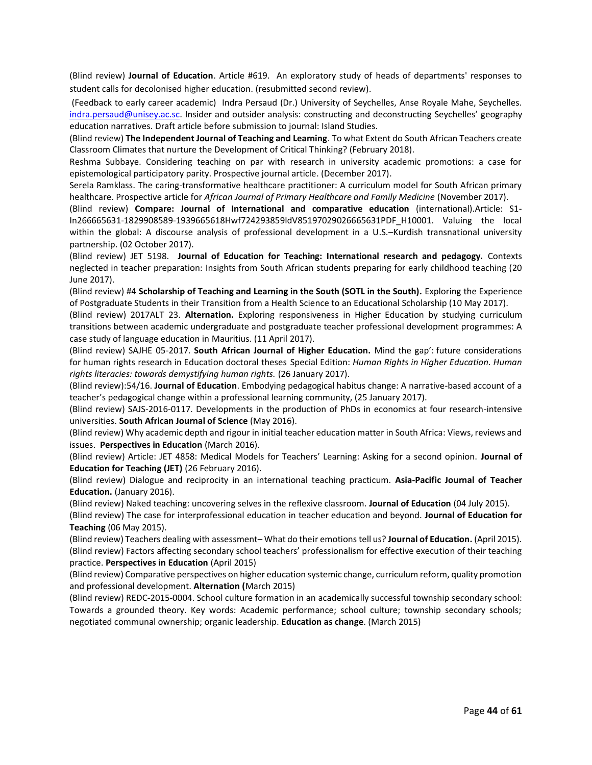(Blind review) **Journal of Education**. Article #619.An exploratory study of heads of departments' responses to student calls for decolonised higher education. (resubmitted second review).

(Feedback to early career academic) Indra Persaud (Dr.) University of Seychelles, Anse Royale Mahe, Seychelles. [indra.persaud@unisey.ac.sc.](mailto:indra.persaud@unisey.ac.sc) Insider and outsider analysis: constructing and deconstructing Seychelles' geography education narratives. Draft article before submission to journal: Island Studies.

(Blind review) **The Independent Journal of Teaching and Learning**. To what Extent do South African Teachers create Classroom Climates that nurture the Development of Critical Thinking? (February 2018).

Reshma Subbaye. Considering teaching on par with research in university academic promotions: a case for epistemological participatory parity. Prospective journal article. (December 2017).

Serela Ramklass. The caring-transformative healthcare practitioner: A curriculum model for South African primary healthcare. Prospective article for *African Journal of Primary Healthcare and Family Medicine* (November 2017).

(Blind review) **Compare: Journal of International and comparative education** (international).Article: S1- In266665631-1829908589-1939665618Hwf724293859ldV85197029026665631PDF\_H10001. Valuing the local within the global: A discourse analysis of professional development in a U.S.–Kurdish transnational university partnership. (02 October 2017).

(Blind review) JET 5198. **Journal of Education for Teaching: International research and pedagogy.** Contexts neglected in teacher preparation: Insights from South African students preparing for early childhood teaching (20 June 2017).

(Blind review) #4 **Scholarship of Teaching and Learning in the South (SOTL in the South).** Exploring the Experience of Postgraduate Students in their Transition from a Health Science to an Educational Scholarship (10 May 2017).

(Blind review) 2017ALT 23. **Alternation.** Exploring responsiveness in Higher Education by studying curriculum transitions between academic undergraduate and postgraduate teacher professional development programmes: A case study of language education in Mauritius. (11 April 2017).

(Blind review) SAJHE 05-2017. **South African Journal of Higher Education.** Mind the gap': future considerations for human rights research in Education doctoral theses Special Edition: *Human Rights in Higher Education. Human rights literacies: towards demystifying human rights.* (26 January 2017).

(Blind review):54/16. **Journal of Education**. Embodying pedagogical habitus change: A narrative-based account of a teacher's pedagogical change within a professional learning community, (25 January 2017).

(Blind review) SAJS-2016-0117. Developments in the production of PhDs in economics at four research-intensive universities. **South African Journal of Science** (May 2016).

(Blind review) Why academic depth and rigour in initial teacher education matter in South Africa: Views, reviews and issues. **Perspectives in Education** (March 2016).

(Blind review) Article: JET 4858: Medical Models for Teachers' Learning: Asking for a second opinion. **Journal of Education for Teaching (JET)** (26 February 2016).

(Blind review) Dialogue and reciprocity in an international teaching practicum. **Asia-Pacific Journal of Teacher Education.** (January 2016).

(Blind review) Naked teaching: uncovering selves in the reflexive classroom. **Journal of Education** (04 July 2015).

(Blind review) The case for interprofessional education in teacher education and beyond. **Journal of Education for Teaching** (06 May 2015).

(Blind review) Teachers dealing with assessment– What do their emotions tell us? **Journal of Education.** (April 2015). (Blind review) Factors affecting secondary school teachers' professionalism for effective execution of their teaching practice. **Perspectives in Education** (April 2015)

(Blind review) Comparative perspectives on higher education systemic change, curriculum reform, quality promotion and professional development. **Alternation (**March 2015)

(Blind review) REDC-2015-0004. School culture formation in an academically successful township secondary school: Towards a grounded theory. Key words: Academic performance; school culture; township secondary schools; negotiated communal ownership; organic leadership. **Education as change**. (March 2015)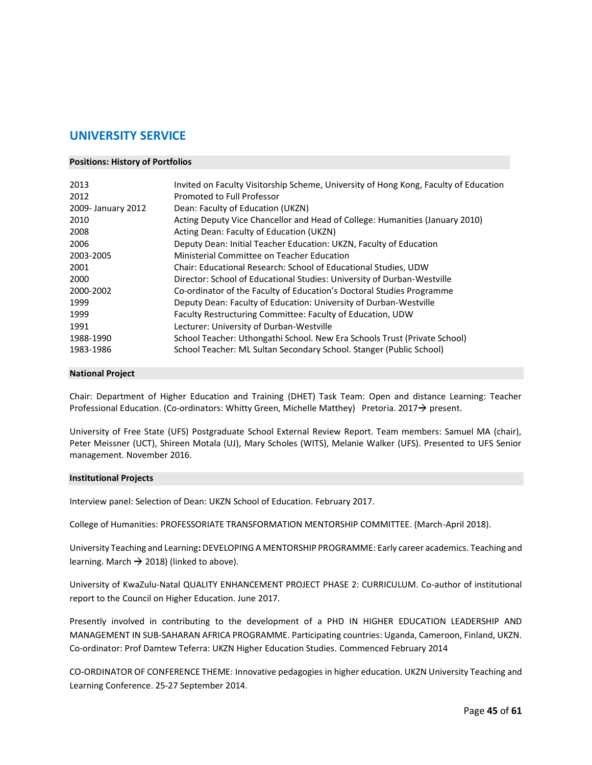### **UNIVERSITY SERVICE**

#### **Positions: History of Portfolios**

| 2013               | Invited on Faculty Visitorship Scheme, University of Hong Kong, Faculty of Education |
|--------------------|--------------------------------------------------------------------------------------|
| 2012               | Promoted to Full Professor                                                           |
| 2009- January 2012 | Dean: Faculty of Education (UKZN)                                                    |
| 2010               | Acting Deputy Vice Chancellor and Head of College: Humanities (January 2010)         |
| 2008               | Acting Dean: Faculty of Education (UKZN)                                             |
| 2006               | Deputy Dean: Initial Teacher Education: UKZN, Faculty of Education                   |
| 2003-2005          | Ministerial Committee on Teacher Education                                           |
| 2001               | Chair: Educational Research: School of Educational Studies, UDW                      |
| 2000               | Director: School of Educational Studies: University of Durban-Westville              |
| 2000-2002          | Co-ordinator of the Faculty of Education's Doctoral Studies Programme                |
| 1999               | Deputy Dean: Faculty of Education: University of Durban-Westville                    |
| 1999               | Faculty Restructuring Committee: Faculty of Education, UDW                           |
| 1991               | Lecturer: University of Durban-Westville                                             |
| 1988-1990          | School Teacher: Uthongathi School. New Era Schools Trust (Private School)            |
| 1983-1986          | School Teacher: ML Sultan Secondary School. Stanger (Public School)                  |

#### **National Project**

Chair: Department of Higher Education and Training (DHET) Task Team: Open and distance Learning: Teacher Professional Education. (Co-ordinators: Whitty Green, Michelle Matthey) Pretoria. 2017 $\rightarrow$  present.

University of Free State (UFS) Postgraduate School External Review Report. Team members: Samuel MA (chair), Peter Meissner (UCT), Shireen Motala (UJ), Mary Scholes (WITS), Melanie Walker (UFS). Presented to UFS Senior management. November 2016.

#### **Institutional Projects**

Interview panel: Selection of Dean: UKZN School of Education. February 2017.

College of Humanities: PROFESSORIATE TRANSFORMATION MENTORSHIP COMMITTEE. (March-April 2018).

University Teaching and Learning**:** DEVELOPING A MENTORSHIP PROGRAMME: Early career academics. Teaching and learning. March  $\rightarrow$  2018) (linked to above).

University of KwaZulu-Natal QUALITY ENHANCEMENT PROJECT PHASE 2: CURRICULUM. Co-author of institutional report to the Council on Higher Education. June 2017.

Presently involved in contributing to the development of a PHD IN HIGHER EDUCATION LEADERSHIP AND MANAGEMENT IN SUB-SAHARAN AFRICA PROGRAMME. Participating countries: Uganda, Cameroon, Finland, UKZN. Co-ordinator: Prof Damtew Teferra: UKZN Higher Education Studies. Commenced February 2014

CO-ORDINATOR OF CONFERENCE THEME: Innovative pedagogies in higher education. UKZN University Teaching and Learning Conference. 25-27 September 2014.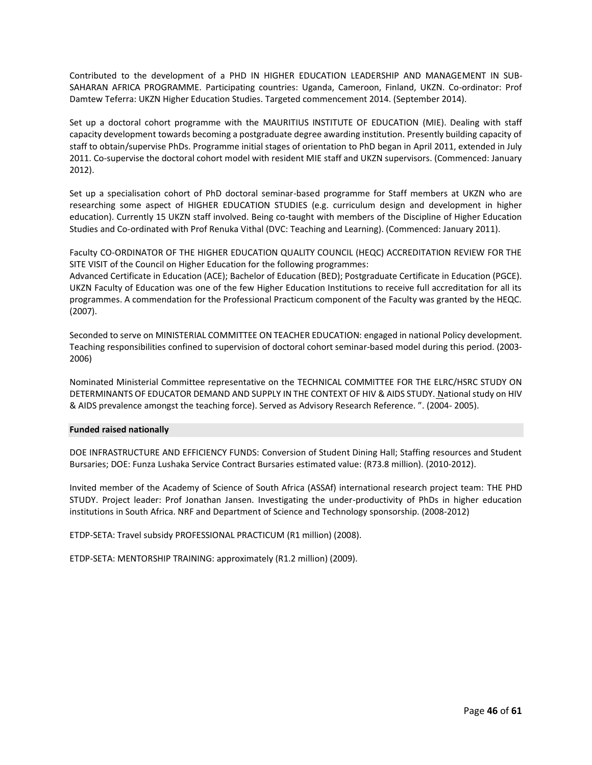Contributed to the development of a PHD IN HIGHER EDUCATION LEADERSHIP AND MANAGEMENT IN SUB-SAHARAN AFRICA PROGRAMME. Participating countries: Uganda, Cameroon, Finland, UKZN. Co-ordinator: Prof Damtew Teferra: UKZN Higher Education Studies. Targeted commencement 2014. (September 2014).

Set up a doctoral cohort programme with the MAURITIUS INSTITUTE OF EDUCATION (MIE). Dealing with staff capacity development towards becoming a postgraduate degree awarding institution. Presently building capacity of staff to obtain/supervise PhDs. Programme initial stages of orientation to PhD began in April 2011, extended in July 2011. Co-supervise the doctoral cohort model with resident MIE staff and UKZN supervisors. (Commenced: January 2012).

Set up a specialisation cohort of PhD doctoral seminar-based programme for Staff members at UKZN who are researching some aspect of HIGHER EDUCATION STUDIES (e.g. curriculum design and development in higher education). Currently 15 UKZN staff involved. Being co-taught with members of the Discipline of Higher Education Studies and Co-ordinated with Prof Renuka Vithal (DVC: Teaching and Learning). (Commenced: January 2011).

Faculty CO-ORDINATOR OF THE HIGHER EDUCATION QUALITY COUNCIL (HEQC) ACCREDITATION REVIEW FOR THE SITE VISIT of the Council on Higher Education for the following programmes:

Advanced Certificate in Education (ACE); Bachelor of Education (BED); Postgraduate Certificate in Education (PGCE). UKZN Faculty of Education was one of the few Higher Education Institutions to receive full accreditation for all its programmes. A commendation for the Professional Practicum component of the Faculty was granted by the HEQC. (2007).

Seconded to serve on MINISTERIAL COMMITTEE ON TEACHER EDUCATION: engaged in national Policy development. Teaching responsibilities confined to supervision of doctoral cohort seminar-based model during this period. (2003- 2006)

Nominated Ministerial Committee representative on the TECHNICAL COMMITTEE FOR THE ELRC/HSRC STUDY ON DETERMINANTS OF EDUCATOR DEMAND AND SUPPLY IN THE CONTEXT OF HIV & AIDS STUDY. National study on HIV & AIDS prevalence amongst the teaching force). Served as Advisory Research Reference. ". (2004- 2005).

#### **Funded raised nationally**

DOE INFRASTRUCTURE AND EFFICIENCY FUNDS: Conversion of Student Dining Hall; Staffing resources and Student Bursaries; DOE: Funza Lushaka Service Contract Bursaries estimated value: (R73.8 million). (2010-2012).

Invited member of the Academy of Science of South Africa (ASSAf) international research project team: THE PHD STUDY. Project leader: Prof Jonathan Jansen. Investigating the under-productivity of PhDs in higher education institutions in South Africa. NRF and Department of Science and Technology sponsorship. (2008-2012)

ETDP-SETA: Travel subsidy PROFESSIONAL PRACTICUM (R1 million) (2008).

ETDP-SETA: MENTORSHIP TRAINING: approximately (R1.2 million) (2009).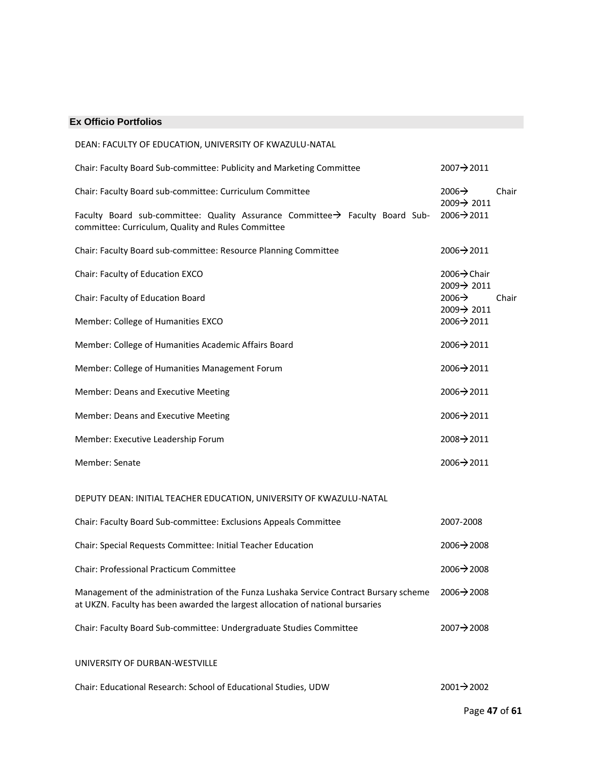#### **Ex Officio Portfolios**

| DEAN: FACULTY OF EDUCATION, UNIVERSITY OF KWAZULU-NATAL                                                                                                                 |                                           |
|-------------------------------------------------------------------------------------------------------------------------------------------------------------------------|-------------------------------------------|
| Chair: Faculty Board Sub-committee: Publicity and Marketing Committee                                                                                                   | 2007→2011                                 |
| Chair: Faculty Board sub-committee: Curriculum Committee                                                                                                                | $2006 \rightarrow$<br>Chair<br>2009→ 2011 |
| Faculty Board sub-committee: Quality Assurance Committee→ Faculty Board Sub-<br>committee: Curriculum, Quality and Rules Committee                                      | 2006→2011                                 |
| Chair: Faculty Board sub-committee: Resource Planning Committee                                                                                                         | 2006→2011                                 |
| Chair: Faculty of Education EXCO                                                                                                                                        | 2006→ Chair<br>2009→ 2011                 |
| Chair: Faculty of Education Board                                                                                                                                       | 2006 $\rightarrow$<br>Chair<br>2009→ 2011 |
| Member: College of Humanities EXCO                                                                                                                                      | 2006→2011                                 |
| Member: College of Humanities Academic Affairs Board                                                                                                                    | 2006→2011                                 |
| Member: College of Humanities Management Forum                                                                                                                          | 2006→2011                                 |
| Member: Deans and Executive Meeting                                                                                                                                     | $2006 \rightarrow 2011$                   |
| Member: Deans and Executive Meeting                                                                                                                                     | 2006→2011                                 |
| Member: Executive Leadership Forum                                                                                                                                      | 2008→2011                                 |
| Member: Senate                                                                                                                                                          | 2006→2011                                 |
| DEPUTY DEAN: INITIAL TEACHER EDUCATION, UNIVERSITY OF KWAZULU-NATAL                                                                                                     |                                           |
| Chair: Faculty Board Sub-committee: Exclusions Appeals Committee                                                                                                        | 2007-2008                                 |
| Chair: Special Requests Committee: Initial Teacher Education                                                                                                            | 2006→2008                                 |
| Chair: Professional Practicum Committee                                                                                                                                 | $2006 \rightarrow 2008$                   |
| Management of the administration of the Funza Lushaka Service Contract Bursary scheme<br>at UKZN. Faculty has been awarded the largest allocation of national bursaries | $2006 \rightarrow 2008$                   |
| Chair: Faculty Board Sub-committee: Undergraduate Studies Committee                                                                                                     | 2007→2008                                 |
| UNIVERSITY OF DURBAN-WESTVILLE                                                                                                                                          |                                           |
| Chair: Educational Research: School of Educational Studies, UDW                                                                                                         | 2001→2002                                 |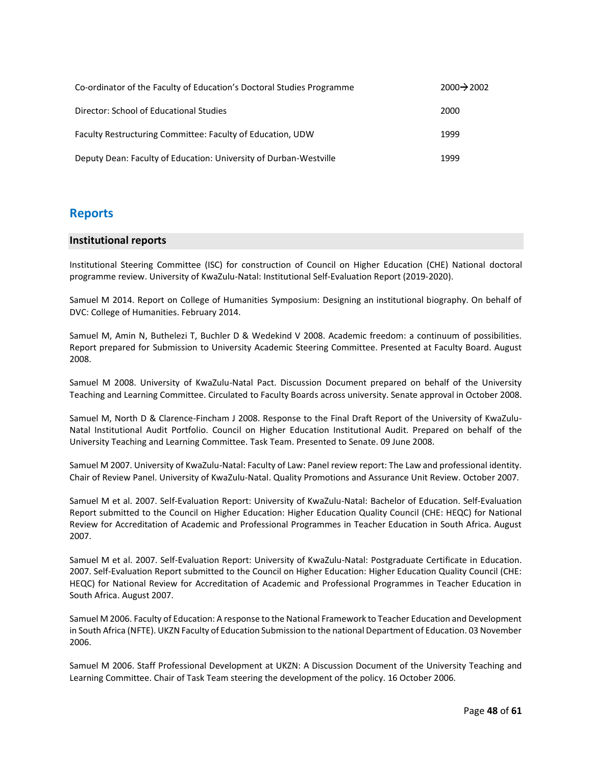| Co-ordinator of the Faculty of Education's Doctoral Studies Programme | $2000 \rightarrow 2002$ |
|-----------------------------------------------------------------------|-------------------------|
| Director: School of Educational Studies                               | 2000                    |
| Faculty Restructuring Committee: Faculty of Education, UDW            | 1999                    |
| Deputy Dean: Faculty of Education: University of Durban-Westville     | 1999                    |

### **Reports**

#### **Institutional reports**

Institutional Steering Committee (ISC) for construction of Council on Higher Education (CHE) National doctoral programme review. University of KwaZulu-Natal: Institutional Self-Evaluation Report (2019-2020).

Samuel M 2014. Report on College of Humanities Symposium: Designing an institutional biography. On behalf of DVC: College of Humanities. February 2014.

Samuel M, Amin N, Buthelezi T, Buchler D & Wedekind V 2008. Academic freedom: a continuum of possibilities. Report prepared for Submission to University Academic Steering Committee. Presented at Faculty Board. August 2008.

Samuel M 2008. University of KwaZulu-Natal Pact. Discussion Document prepared on behalf of the University Teaching and Learning Committee. Circulated to Faculty Boards across university. Senate approval in October 2008.

Samuel M, North D & Clarence-Fincham J 2008. Response to the Final Draft Report of the University of KwaZulu-Natal Institutional Audit Portfolio. Council on Higher Education Institutional Audit. Prepared on behalf of the University Teaching and Learning Committee. Task Team. Presented to Senate. 09 June 2008.

Samuel M 2007. University of KwaZulu-Natal: Faculty of Law: Panel review report: The Law and professional identity. Chair of Review Panel. University of KwaZulu-Natal. Quality Promotions and Assurance Unit Review. October 2007.

Samuel M et al. 2007. Self-Evaluation Report: University of KwaZulu-Natal: Bachelor of Education. Self-Evaluation Report submitted to the Council on Higher Education: Higher Education Quality Council (CHE: HEQC) for National Review for Accreditation of Academic and Professional Programmes in Teacher Education in South Africa. August 2007.

Samuel M et al. 2007. Self-Evaluation Report: University of KwaZulu-Natal: Postgraduate Certificate in Education. 2007. Self-Evaluation Report submitted to the Council on Higher Education: Higher Education Quality Council (CHE: HEQC) for National Review for Accreditation of Academic and Professional Programmes in Teacher Education in South Africa. August 2007.

Samuel M 2006. Faculty of Education: A response to the National Framework to Teacher Education and Development in South Africa (NFTE). UKZN Faculty of Education Submission to the national Department of Education. 03 November 2006.

Samuel M 2006. Staff Professional Development at UKZN: A Discussion Document of the University Teaching and Learning Committee. Chair of Task Team steering the development of the policy. 16 October 2006.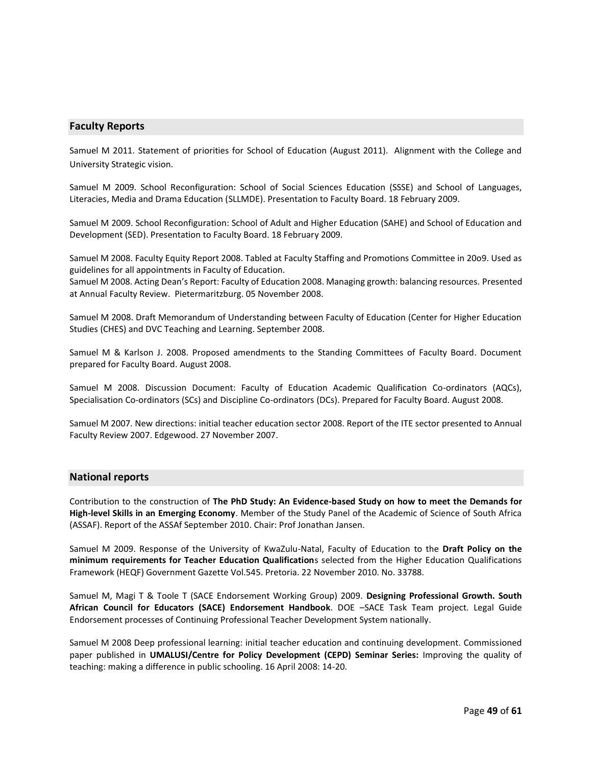#### **Faculty Reports**

Samuel M 2011. Statement of priorities for School of Education (August 2011). Alignment with the College and University Strategic vision.

Samuel M 2009. School Reconfiguration: School of Social Sciences Education (SSSE) and School of Languages, Literacies, Media and Drama Education (SLLMDE). Presentation to Faculty Board. 18 February 2009.

Samuel M 2009. School Reconfiguration: School of Adult and Higher Education (SAHE) and School of Education and Development (SED). Presentation to Faculty Board. 18 February 2009.

Samuel M 2008. Faculty Equity Report 2008. Tabled at Faculty Staffing and Promotions Committee in 20o9. Used as guidelines for all appointments in Faculty of Education.

Samuel M 2008. Acting Dean's Report: Faculty of Education 2008. Managing growth: balancing resources. Presented at Annual Faculty Review. Pietermaritzburg. 05 November 2008.

Samuel M 2008. Draft Memorandum of Understanding between Faculty of Education (Center for Higher Education Studies (CHES) and DVC Teaching and Learning. September 2008.

Samuel M & Karlson J. 2008. Proposed amendments to the Standing Committees of Faculty Board. Document prepared for Faculty Board. August 2008.

Samuel M 2008. Discussion Document: Faculty of Education Academic Qualification Co-ordinators (AQCs), Specialisation Co-ordinators (SCs) and Discipline Co-ordinators (DCs). Prepared for Faculty Board. August 2008.

Samuel M 2007. New directions: initial teacher education sector 2008. Report of the ITE sector presented to Annual Faculty Review 2007. Edgewood. 27 November 2007.

#### **National reports**

Contribution to the construction of **The PhD Study: An Evidence-based Study on how to meet the Demands for High-level Skills in an Emerging Economy**. Member of the Study Panel of the Academic of Science of South Africa (ASSAF). Report of the ASSAf September 2010. Chair: Prof Jonathan Jansen.

Samuel M 2009. Response of the University of KwaZulu-Natal, Faculty of Education to the **Draft Policy on the minimum requirements for Teacher Education Qualification**s selected from the Higher Education Qualifications Framework (HEQF) Government Gazette Vol.545. Pretoria. 22 November 2010. No. 33788.

Samuel M, Magi T & Toole T (SACE Endorsement Working Group) 2009. **Designing Professional Growth. South African Council for Educators (SACE) Endorsement Handbook**. DOE –SACE Task Team project. Legal Guide Endorsement processes of Continuing Professional Teacher Development System nationally.

Samuel M 2008 Deep professional learning: initial teacher education and continuing development. Commissioned paper published in **UMALUSI/Centre for Policy Development (CEPD) Seminar Series:** Improving the quality of teaching: making a difference in public schooling. 16 April 2008: 14-20.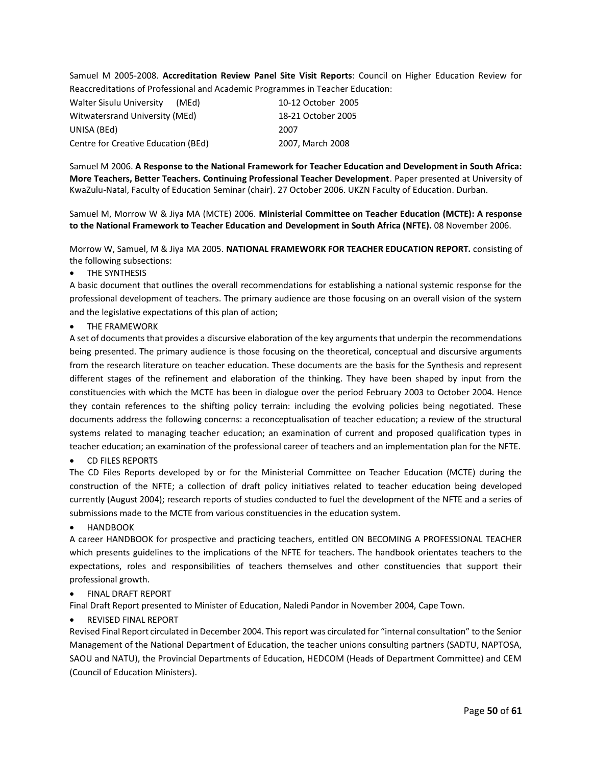Samuel M 2005-2008. **Accreditation Review Panel Site Visit Reports**: Council on Higher Education Review for Reaccreditations of Professional and Academic Programmes in Teacher Education:

| <b>Walter Sisulu University</b>     | (MEd) | 10-12 October 2005 |
|-------------------------------------|-------|--------------------|
| Witwatersrand University (MEd)      |       | 18-21 October 2005 |
| UNISA (BEd)                         |       | 2007               |
| Centre for Creative Education (BEd) |       | 2007, March 2008   |

Samuel M 2006. **A Response to the National Framework for Teacher Education and Development in South Africa: More Teachers, Better Teachers. Continuing Professional Teacher Development**. Paper presented at University of KwaZulu-Natal, Faculty of Education Seminar (chair). 27 October 2006. UKZN Faculty of Education. Durban.

Samuel M, Morrow W & Jiya MA (MCTE) 2006. **Ministerial Committee on Teacher Education (MCTE): A response to the National Framework to Teacher Education and Development in South Africa (NFTE).** 08 November 2006.

Morrow W, Samuel, M & Jiya MA 2005. **NATIONAL FRAMEWORK FOR TEACHER EDUCATION REPORT.** consisting of the following subsections:

THE SYNTHESIS

A basic document that outlines the overall recommendations for establishing a national systemic response for the professional development of teachers. The primary audience are those focusing on an overall vision of the system and the legislative expectations of this plan of action;

**THE FRAMEWORK** 

A set of documents that provides a discursive elaboration of the key arguments that underpin the recommendations being presented. The primary audience is those focusing on the theoretical, conceptual and discursive arguments from the research literature on teacher education. These documents are the basis for the Synthesis and represent different stages of the refinement and elaboration of the thinking. They have been shaped by input from the constituencies with which the MCTE has been in dialogue over the period February 2003 to October 2004. Hence they contain references to the shifting policy terrain: including the evolving policies being negotiated. These documents address the following concerns: a reconceptualisation of teacher education; a review of the structural systems related to managing teacher education; an examination of current and proposed qualification types in teacher education; an examination of the professional career of teachers and an implementation plan for the NFTE.

• CD FILES REPORTS

The CD Files Reports developed by or for the Ministerial Committee on Teacher Education (MCTE) during the construction of the NFTE; a collection of draft policy initiatives related to teacher education being developed currently (August 2004); research reports of studies conducted to fuel the development of the NFTE and a series of submissions made to the MCTE from various constituencies in the education system.

• HANDBOOK

A career HANDBOOK for prospective and practicing teachers, entitled ON BECOMING A PROFESSIONAL TEACHER which presents guidelines to the implications of the NFTE for teachers. The handbook orientates teachers to the expectations, roles and responsibilities of teachers themselves and other constituencies that support their professional growth.

#### • FINAL DRAFT REPORT

Final Draft Report presented to Minister of Education, Naledi Pandor in November 2004, Cape Town.

#### • REVISED FINAL REPORT

Revised Final Report circulated in December 2004. This report was circulated for "internal consultation" to the Senior Management of the National Department of Education, the teacher unions consulting partners (SADTU, NAPTOSA, SAOU and NATU), the Provincial Departments of Education, HEDCOM (Heads of Department Committee) and CEM (Council of Education Ministers).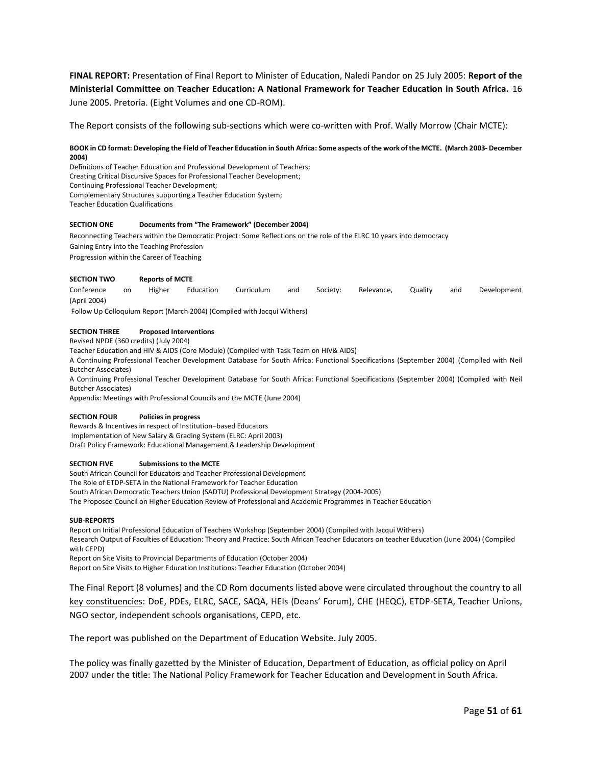**FINAL REPORT:** Presentation of Final Report to Minister of Education, Naledi Pandor on 25 July 2005: **Report of the Ministerial Committee on Teacher Education: A National Framework for Teacher Education in South Africa.** 16 June 2005. Pretoria. (Eight Volumes and one CD-ROM).

The Report consists of the following sub-sections which were co-written with Prof. Wally Morrow (Chair MCTE):

#### **BOOK in CD format: Developing the Field of Teacher Education in South Africa: Some aspects of the work of the MCTE. (March 2003- December 2004)**

Definitions of Teacher Education and Professional Development of Teachers; Creating Critical Discursive Spaces for Professional Teacher Development; Continuing Professional Teacher Development; Complementary Structures supporting a Teacher Education System; Teacher Education Qualifications

#### **SECTION ONE Documents from "The Framework" (December 2004)**

Reconnecting Teachers within the Democratic Project: Some Reflections on the role of the ELRC 10 years into democracy Gaining Entry into the Teaching Profession Progression within the Career of Teaching

#### **SECTION TWO Reports of MCTE**

Conference on Higher Education Curriculum and Society: Relevance, Quality and Development (April 2004)

Follow Up Colloquium Report (March 2004) (Compiled with Jacqui Withers)

#### **SECTION THREE Proposed Interventions**

Revised NPDE (360 credits) (July 2004)

Teacher Education and HIV & AIDS (Core Module) (Compiled with Task Team on HIV& AIDS)

A Continuing Professional Teacher Development Database for South Africa: Functional Specifications (September 2004) (Compiled with Neil Butcher Associates)

A Continuing Professional Teacher Development Database for South Africa: Functional Specifications (September 2004) (Compiled with Neil Butcher Associates)

Appendix: Meetings with Professional Councils and the MCTE (June 2004)

#### **SECTION FOUR Policies in progress**

Rewards & Incentives in respect of Institution–based Educators Implementation of New Salary & Grading System (ELRC: April 2003) Draft Policy Framework: Educational Management & Leadership Development

#### **SECTION FIVE Submissions to the MCTE**

South African Council for Educators and Teacher Professional Development The Role of ETDP-SETA in the National Framework for Teacher Education South African Democratic Teachers Union (SADTU) Professional Development Strategy (2004-2005) The Proposed Council on Higher Education Review of Professional and Academic Programmes in Teacher Education

#### **SUB-REPORTS**

Report on Initial Professional Education of Teachers Workshop (September 2004) (Compiled with Jacqui Withers) Research Output of Faculties of Education: Theory and Practice: South African Teacher Educators on teacher Education (June 2004) (Compiled with CEPD) Report on Site Visits to Provincial Departments of Education (October 2004)

Report on Site Visits to Higher Education Institutions: Teacher Education (October 2004)

The Final Report (8 volumes) and the CD Rom documents listed above were circulated throughout the country to all key constituencies: DoE, PDEs, ELRC, SACE, SAQA, HEIs (Deans' Forum), CHE (HEQC), ETDP-SETA, Teacher Unions, NGO sector, independent schools organisations, CEPD, etc.

The report was published on the Department of Education Website. July 2005.

The policy was finally gazetted by the Minister of Education, Department of Education, as official policy on April 2007 under the title: The National Policy Framework for Teacher Education and Development in South Africa.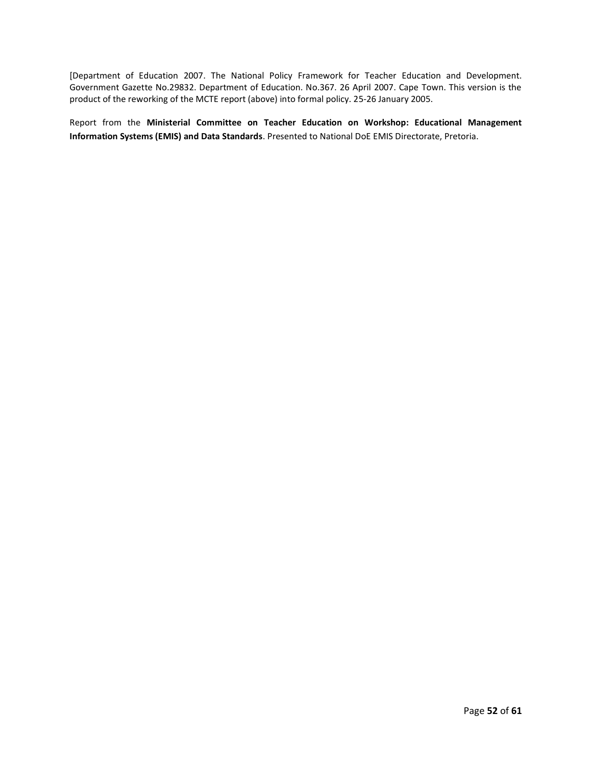[Department of Education 2007. The National Policy Framework for Teacher Education and Development. Government Gazette No.29832. Department of Education. No.367. 26 April 2007. Cape Town. This version is the product of the reworking of the MCTE report (above) into formal policy. 25-26 January 2005.

Report from the **Ministerial Committee on Teacher Education on Workshop: Educational Management Information Systems (EMIS) and Data Standards**. Presented to National DoE EMIS Directorate, Pretoria.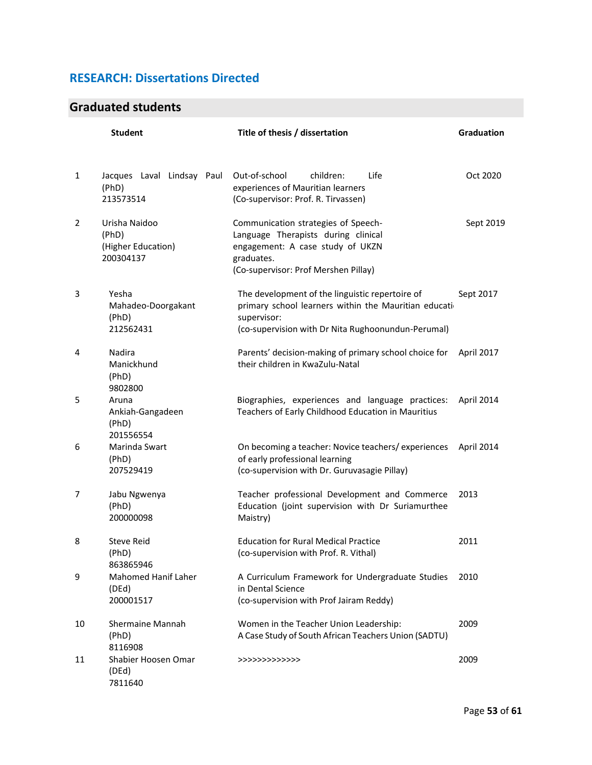### **RESEARCH: Dissertations Directed**

### **Graduated students**

|    | <b>Student</b>                                            | Title of thesis / dissertation                                                                                                                                                 | <b>Graduation</b> |
|----|-----------------------------------------------------------|--------------------------------------------------------------------------------------------------------------------------------------------------------------------------------|-------------------|
| 1  | Jacques Laval Lindsay Paul<br>(PhD)<br>213573514          | Out-of-school<br>children:<br>Life<br>experiences of Mauritian learners<br>(Co-supervisor: Prof. R. Tirvassen)                                                                 | Oct 2020          |
| 2  | Urisha Naidoo<br>(PhD)<br>(Higher Education)<br>200304137 | Communication strategies of Speech-<br>Language Therapists during clinical<br>engagement: A case study of UKZN<br>graduates.<br>(Co-supervisor: Prof Mershen Pillay)           | Sept 2019         |
| 3  | Yesha<br>Mahadeo-Doorgakant<br>(PhD)<br>212562431         | The development of the linguistic repertoire of<br>primary school learners within the Mauritian education<br>supervisor:<br>(co-supervision with Dr Nita Rughoonundun-Perumal) | Sept 2017         |
| 4  | Nadira<br>Manickhund<br>(PhD)<br>9802800                  | Parents' decision-making of primary school choice for<br>their children in KwaZulu-Natal                                                                                       | April 2017        |
| 5  | Aruna<br>Ankiah-Gangadeen<br>(PhD)<br>201556554           | Biographies, experiences and language practices:<br>Teachers of Early Childhood Education in Mauritius                                                                         | April 2014        |
| 6  | Marinda Swart<br>(PhD)<br>207529419                       | On becoming a teacher: Novice teachers/experiences<br>of early professional learning<br>(co-supervision with Dr. Guruvasagie Pillay)                                           | April 2014        |
| 7  | Jabu Ngwenya<br>(PhD)<br>200000098                        | Teacher professional Development and Commerce<br>Education (joint supervision with Dr Suriamurthee<br>Maistry)                                                                 | 2013              |
| 8  | <b>Steve Reid</b><br>(PhD)<br>863865946                   | <b>Education for Rural Medical Practice</b><br>(co-supervision with Prof. R. Vithal)                                                                                           | 2011              |
| 9  | <b>Mahomed Hanif Laher</b><br>(DEd)<br>200001517          | A Curriculum Framework for Undergraduate Studies<br>in Dental Science<br>(co-supervision with Prof Jairam Reddy)                                                               | 2010              |
| 10 | <b>Shermaine Mannah</b><br>(PhD)<br>8116908               | Women in the Teacher Union Leadership:<br>A Case Study of South African Teachers Union (SADTU)                                                                                 | 2009              |
| 11 | Shabier Hoosen Omar<br>(DEd)<br>7811640                   | >>>>>>>>>>>>>>>                                                                                                                                                                | 2009              |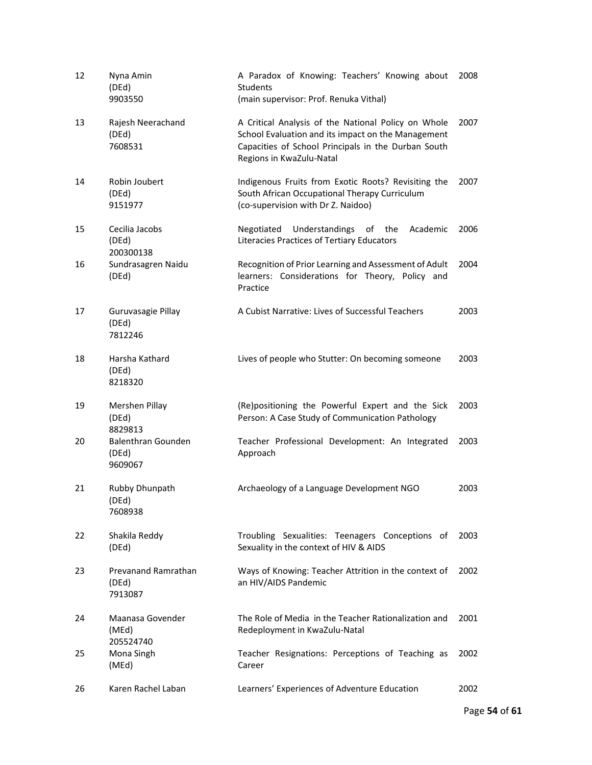| 12 | Nyna Amin<br>(DEd)<br>9903550                 | A Paradox of Knowing: Teachers' Knowing about<br><b>Students</b><br>(main supervisor: Prof. Renuka Vithal)                                                                                   | 2008 |
|----|-----------------------------------------------|----------------------------------------------------------------------------------------------------------------------------------------------------------------------------------------------|------|
| 13 | Rajesh Neerachand<br>(DEd)<br>7608531         | A Critical Analysis of the National Policy on Whole<br>School Evaluation and its impact on the Management<br>Capacities of School Principals in the Durban South<br>Regions in KwaZulu-Natal | 2007 |
| 14 | Robin Joubert<br>(DEd)<br>9151977             | Indigenous Fruits from Exotic Roots? Revisiting the<br>South African Occupational Therapy Curriculum<br>(co-supervision with Dr Z. Naidoo)                                                   | 2007 |
| 15 | Cecilia Jacobs<br>(DEd)<br>200300138          | Understandings of<br>Negotiated<br>the<br>Academic<br>Literacies Practices of Tertiary Educators                                                                                             | 2006 |
| 16 | Sundrasagren Naidu<br>(DEd)                   | Recognition of Prior Learning and Assessment of Adult<br>learners: Considerations for Theory, Policy and<br>Practice                                                                         | 2004 |
| 17 | Guruvasagie Pillay<br>(DEd)<br>7812246        | A Cubist Narrative: Lives of Successful Teachers                                                                                                                                             | 2003 |
| 18 | Harsha Kathard<br>(DEd)<br>8218320            | Lives of people who Stutter: On becoming someone                                                                                                                                             | 2003 |
| 19 | Mershen Pillay<br>(DEd)<br>8829813            | (Re)positioning the Powerful Expert and the Sick<br>Person: A Case Study of Communication Pathology                                                                                          | 2003 |
| 20 | <b>Balenthran Gounden</b><br>(DEd)<br>9609067 | Teacher Professional Development: An Integrated<br>Approach                                                                                                                                  | 2003 |
| 21 | Rubby Dhunpath<br>(DEd)<br>7608938            | Archaeology of a Language Development NGO                                                                                                                                                    | 2003 |
| 22 | Shakila Reddy<br>(DEd)                        | Troubling Sexualities: Teenagers Conceptions of<br>Sexuality in the context of HIV & AIDS                                                                                                    | 2003 |
| 23 | Prevanand Ramrathan<br>(DEd)<br>7913087       | Ways of Knowing: Teacher Attrition in the context of<br>an HIV/AIDS Pandemic                                                                                                                 | 2002 |
| 24 | Maanasa Govender<br>(MEd)<br>205524740        | The Role of Media in the Teacher Rationalization and<br>Redeployment in KwaZulu-Natal                                                                                                        | 2001 |
| 25 | Mona Singh<br>(MEd)                           | Teacher Resignations: Perceptions of Teaching as<br>Career                                                                                                                                   | 2002 |
| 26 | Karen Rachel Laban                            | Learners' Experiences of Adventure Education                                                                                                                                                 | 2002 |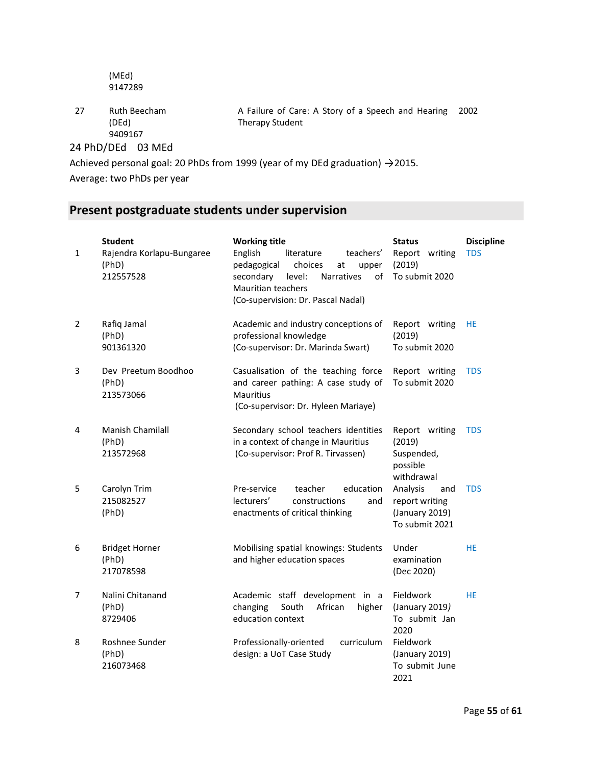(MEd) 9147289

27 Ruth Beecham (DEd) 9409167

A Failure of Care: A Story of a Speech and Hearing 2002 Therapy Student

24 PhD/DEd 03 MEd

Achieved personal goal: 20 PhDs from 1999 (year of my DEd graduation)  $\rightarrow$  2015.

Average: two PhDs per year

### **Present postgraduate students under supervision**

| $\mathbf{1}$   | <b>Student</b><br>Rajendra Korlapu-Bungaree<br>(PhD)<br>212557528 | <b>Working title</b><br>English<br>teachers'<br>literature<br>pedagogical<br>choices<br>at<br>upper<br>secondary<br><b>Narratives</b><br>of<br>level:<br>Mauritian teachers<br>(Co-supervision: Dr. Pascal Nadal) | <b>Status</b><br>Report<br>writing<br>(2019)<br>To submit 2020        | <b>Discipline</b><br><b>TDS</b> |
|----------------|-------------------------------------------------------------------|-------------------------------------------------------------------------------------------------------------------------------------------------------------------------------------------------------------------|-----------------------------------------------------------------------|---------------------------------|
| $\overline{2}$ | Rafiq Jamal<br>(PhD)<br>901361320                                 | Academic and industry conceptions of<br>professional knowledge<br>(Co-supervisor: Dr. Marinda Swart)                                                                                                              | Report writing<br>(2019)<br>To submit 2020                            | HE                              |
| 3              | Dev Preetum Boodhoo<br>(PhD)<br>213573066                         | Casualisation of the teaching force<br>and career pathing: A case study of<br><b>Mauritius</b><br>(Co-supervisor: Dr. Hyleen Mariaye)                                                                             | Report writing<br>To submit 2020                                      | <b>TDS</b>                      |
| 4              | Manish Chamilall<br>(PhD)<br>213572968                            | Secondary school teachers identities<br>in a context of change in Mauritius<br>(Co-supervisor: Prof R. Tirvassen)                                                                                                 | Report writing<br>(2019)<br>Suspended,<br>possible<br>withdrawal      | <b>TDS</b>                      |
| 5              | Carolyn Trim<br>215082527<br>(PhD)                                | education<br>Pre-service<br>teacher<br>lecturers'<br>constructions<br>and<br>enactments of critical thinking                                                                                                      | Analysis<br>and<br>report writing<br>(January 2019)<br>To submit 2021 | <b>TDS</b>                      |
| 6              | <b>Bridget Horner</b><br>(PhD)<br>217078598                       | Mobilising spatial knowings: Students<br>and higher education spaces                                                                                                                                              | Under<br>examination<br>(Dec 2020)                                    | <b>HE</b>                       |
| 7              | Nalini Chitanand<br>(PhD)<br>8729406                              | Academic staff development in a<br>African<br>changing<br>South<br>higher<br>education context                                                                                                                    | Fieldwork<br>(January 2019)<br>To submit Jan<br>2020                  | <b>HE</b>                       |
| 8              | Roshnee Sunder<br>(PhD)<br>216073468                              | curriculum<br>Professionally-oriented<br>design: a UoT Case Study                                                                                                                                                 | Fieldwork<br>(January 2019)<br>To submit June<br>2021                 |                                 |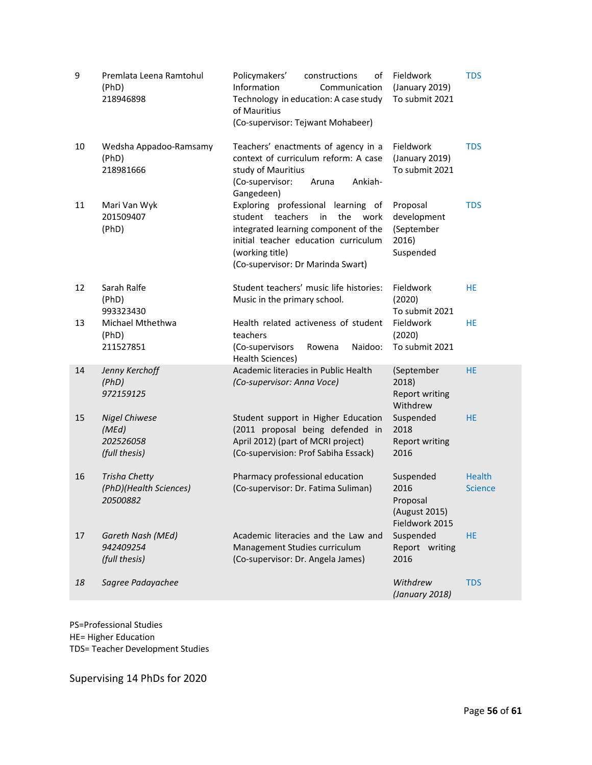| 9  | Premlata Leena Ramtohul<br>(PhD)<br>218946898               | Policymakers'<br>constructions<br>of<br>Information<br>Communication<br>Technology in education: A case study<br>of Mauritius<br>(Co-supervisor: Tejwant Mohabeer)                                                        | Fieldwork<br>(January 2019)<br>To submit 2021                    | <b>TDS</b>                      |
|----|-------------------------------------------------------------|---------------------------------------------------------------------------------------------------------------------------------------------------------------------------------------------------------------------------|------------------------------------------------------------------|---------------------------------|
| 10 | Wedsha Appadoo-Ramsamy<br>(PhD)<br>218981666                | Teachers' enactments of agency in a<br>context of curriculum reform: A case<br>study of Mauritius<br>(Co-supervisor:<br>Ankiah-<br>Aruna<br>Gangedeen)                                                                    | Fieldwork<br>(January 2019)<br>To submit 2021                    | <b>TDS</b>                      |
| 11 | Mari Van Wyk<br>201509407<br>(PhD)                          | Exploring professional<br>learning of<br>teachers<br>the<br>student<br>in<br>work<br>integrated learning component of the<br>initial teacher education curriculum<br>(working title)<br>(Co-supervisor: Dr Marinda Swart) | Proposal<br>development<br>(September<br>2016)<br>Suspended      | <b>TDS</b>                      |
| 12 | Sarah Ralfe<br>(PhD)<br>993323430                           | Student teachers' music life histories:<br>Music in the primary school.                                                                                                                                                   | Fieldwork<br>(2020)<br>To submit 2021                            | <b>HE</b>                       |
| 13 | Michael Mthethwa<br>(PhD)<br>211527851                      | Health related activeness of student<br>teachers<br>Naidoo:<br>(Co-supervisors<br>Rowena<br>Health Sciences)                                                                                                              | Fieldwork<br>(2020)<br>To submit 2021                            | HE                              |
| 14 | Jenny Kerchoff<br>(PhD)<br>972159125                        | Academic literacies in Public Health<br>(Co-supervisor: Anna Voce)                                                                                                                                                        | (September<br>2018)<br><b>Report writing</b><br>Withdrew         | <b>HE</b>                       |
| 15 | <b>Nigel Chiwese</b><br>(MEd)<br>202526058<br>(full thesis) | Student support in Higher Education<br>(2011 proposal being defended in<br>April 2012) (part of MCRI project)<br>(Co-supervision: Prof Sabiha Essack)                                                                     | Suspended<br>2018<br><b>Report writing</b><br>2016               | HE.                             |
| 16 | <b>Trisha Chetty</b><br>(PhD)(Health Sciences)<br>20500882  | Pharmacy professional education<br>(Co-supervisor: Dr. Fatima Suliman)                                                                                                                                                    | Suspended<br>2016<br>Proposal<br>(August 2015)<br>Fieldwork 2015 | <b>Health</b><br><b>Science</b> |
| 17 | Gareth Nash (MEd)<br>942409254<br>(full thesis)             | Academic literacies and the Law and<br>Management Studies curriculum<br>(Co-supervisor: Dr. Angela James)                                                                                                                 | Suspended<br>Report writing<br>2016                              | <b>HE</b>                       |
| 18 | Sagree Padayachee                                           |                                                                                                                                                                                                                           | Withdrew<br>(January 2018)                                       | <b>TDS</b>                      |

PS=Professional Studies HE= Higher Education TDS= Teacher Development Studies

Supervising 14 PhDs for 2020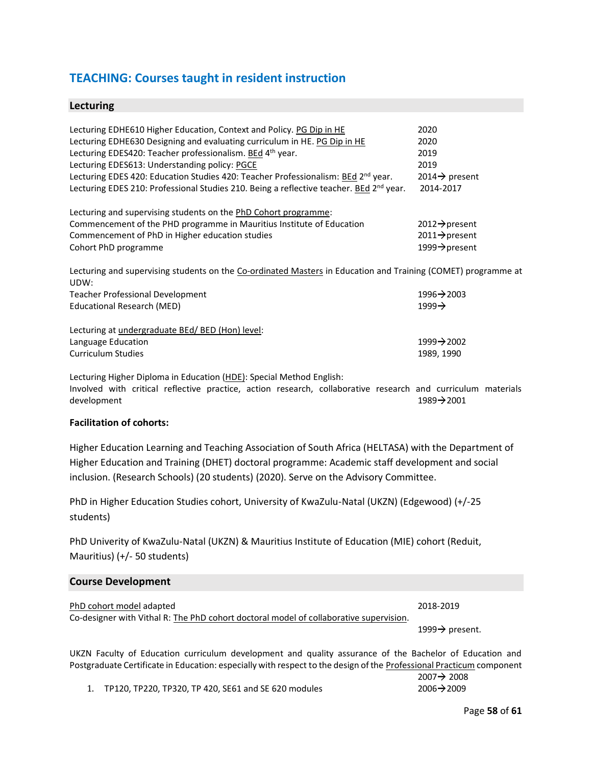### **TEACHING: Courses taught in resident instruction**

#### **Lecturing**

| Lecturing EDHE610 Higher Education, Context and Policy. PG Dip in HE<br>Lecturing EDHE630 Designing and evaluating curriculum in HE. PG Dip in HE<br>Lecturing EDES420: Teacher professionalism. BEd 4th year.<br>Lecturing EDES613: Understanding policy: PGCE<br>Lecturing EDES 420: Education Studies 420: Teacher Professionalism: BEd 2 <sup>nd</sup> year.<br>Lecturing EDES 210: Professional Studies 210. Being a reflective teacher. BEd 2 <sup>nd</sup> year. | 2020<br>2020<br>2019<br>2019<br>2014 $\rightarrow$ present<br>2014-2017 |
|-------------------------------------------------------------------------------------------------------------------------------------------------------------------------------------------------------------------------------------------------------------------------------------------------------------------------------------------------------------------------------------------------------------------------------------------------------------------------|-------------------------------------------------------------------------|
| Lecturing and supervising students on the PhD Cohort programme:                                                                                                                                                                                                                                                                                                                                                                                                         |                                                                         |
| Commencement of the PHD programme in Mauritius Institute of Education                                                                                                                                                                                                                                                                                                                                                                                                   | $2012 \rightarrow$ present                                              |
| Commencement of PhD in Higher education studies                                                                                                                                                                                                                                                                                                                                                                                                                         | $2011 \rightarrow$ present                                              |
| Cohort PhD programme                                                                                                                                                                                                                                                                                                                                                                                                                                                    | 1999→ present                                                           |
| Lecturing and supervising students on the Co-ordinated Masters in Education and Training (COMET) programme at<br>UDW:                                                                                                                                                                                                                                                                                                                                                   |                                                                         |
| Teacher Professional Development                                                                                                                                                                                                                                                                                                                                                                                                                                        | $1996 \rightarrow 2003$                                                 |
| Educational Research (MED)                                                                                                                                                                                                                                                                                                                                                                                                                                              | $1999 \rightarrow$                                                      |
| Lecturing at undergraduate BEd/ BED (Hon) level:                                                                                                                                                                                                                                                                                                                                                                                                                        |                                                                         |
| Language Education                                                                                                                                                                                                                                                                                                                                                                                                                                                      | $1999 \rightarrow 2002$                                                 |
| <b>Curriculum Studies</b>                                                                                                                                                                                                                                                                                                                                                                                                                                               | 1989, 1990                                                              |
| Losturing Higher Diploma in Education (HDE): Coosial Mathod English:                                                                                                                                                                                                                                                                                                                                                                                                    |                                                                         |

Lecturing Higher Diploma in Education (HDE): Special Method English: Involved with critical reflective practice, action research, collaborative research and curriculum materials development 1989→2001

#### **Facilitation of cohorts:**

Higher Education Learning and Teaching Association of South Africa (HELTASA) with the Department of Higher Education and Training (DHET) doctoral programme: Academic staff development and social inclusion. (Research Schools) (20 students) (2020). Serve on the Advisory Committee.

PhD in Higher Education Studies cohort, University of KwaZulu-Natal (UKZN) (Edgewood) (+/-25 students)

PhD Univerity of KwaZulu-Natal (UKZN) & Mauritius Institute of Education (MIE) cohort (Reduit, Mauritius) (+/- 50 students)

#### **Course Development**

| PhD cohort model adapted                                                               | 2018-2019                   |
|----------------------------------------------------------------------------------------|-----------------------------|
| Co-designer with Vithal R: The PhD cohort doctoral model of collaborative supervision. | 1999 $\rightarrow$ present. |

UKZN Faculty of Education curriculum development and quality assurance of the Bachelor of Education and Postgraduate Certificate in Education: especially with respect to the design of the Professional Practicum component

2007→ 2008

1. TP120, TP220, TP320, TP 420, SE61 and SE 620 modules 2006 2006 2009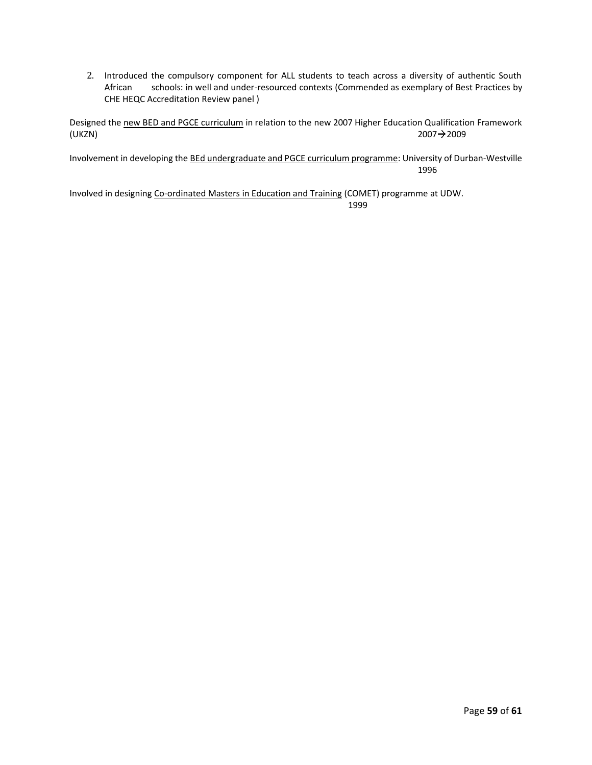2. Introduced the compulsory component for ALL students to teach across a diversity of authentic South African schools: in well and under-resourced contexts (Commended as exemplary of Best Practices by CHE HEQC Accreditation Review panel )

Designed the new BED and PGCE curriculum in relation to the new 2007 Higher Education Qualification Framework (UKZN)  $2007 \rightarrow 2009$ 

Involvement in developing the BEd undergraduate and PGCE curriculum programme: University of Durban-Westville 1996

Involved in designing Co-ordinated Masters in Education and Training (COMET) programme at UDW. 1999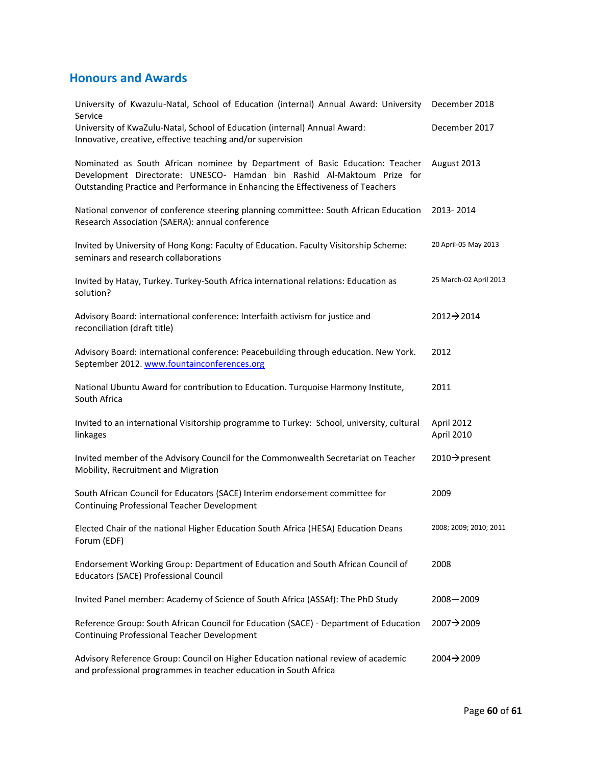### **Honours and Awards**

| University of Kwazulu-Natal, School of Education (internal) Annual Award: University<br>Service                                                                                                                                            | December 2018            |
|--------------------------------------------------------------------------------------------------------------------------------------------------------------------------------------------------------------------------------------------|--------------------------|
| University of KwaZulu-Natal, School of Education (internal) Annual Award:<br>Innovative, creative, effective teaching and/or supervision                                                                                                   | December 2017            |
| Nominated as South African nominee by Department of Basic Education: Teacher<br>Development Directorate: UNESCO- Hamdan bin Rashid Al-Maktoum Prize for<br>Outstanding Practice and Performance in Enhancing the Effectiveness of Teachers | August 2013              |
| National convenor of conference steering planning committee: South African Education<br>Research Association (SAERA): annual conference                                                                                                    | 2013-2014                |
| Invited by University of Hong Kong: Faculty of Education. Faculty Visitorship Scheme:<br>seminars and research collaborations                                                                                                              | 20 April-05 May 2013     |
| Invited by Hatay, Turkey. Turkey-South Africa international relations: Education as<br>solution?                                                                                                                                           | 25 March-02 April 2013   |
| Advisory Board: international conference: Interfaith activism for justice and<br>reconciliation (draft title)                                                                                                                              | $2012 \rightarrow 2014$  |
| Advisory Board: international conference: Peacebuilding through education. New York.<br>September 2012. www.fountainconferences.org                                                                                                        | 2012                     |
| National Ubuntu Award for contribution to Education. Turquoise Harmony Institute,<br>South Africa                                                                                                                                          | 2011                     |
| Invited to an international Visitorship programme to Turkey: School, university, cultural<br>linkages                                                                                                                                      | April 2012<br>April 2010 |
| Invited member of the Advisory Council for the Commonwealth Secretariat on Teacher<br>Mobility, Recruitment and Migration                                                                                                                  | 2010→ present            |
| South African Council for Educators (SACE) Interim endorsement committee for<br>Continuing Professional Teacher Development                                                                                                                | 2009                     |
| Elected Chair of the national Higher Education South Africa (HESA) Education Deans<br>Forum (EDF)                                                                                                                                          | 2008; 2009; 2010; 2011   |
| Endorsement Working Group: Department of Education and South African Council of<br>Educators (SACE) Professional Council                                                                                                                   | 2008                     |
| Invited Panel member: Academy of Science of South Africa (ASSAf): The PhD Study                                                                                                                                                            | 2008-2009                |
| Reference Group: South African Council for Education (SACE) - Department of Education<br><b>Continuing Professional Teacher Development</b>                                                                                                | 2007→2009                |
| Advisory Reference Group: Council on Higher Education national review of academic<br>and professional programmes in teacher education in South Africa                                                                                      | 2004→2009                |